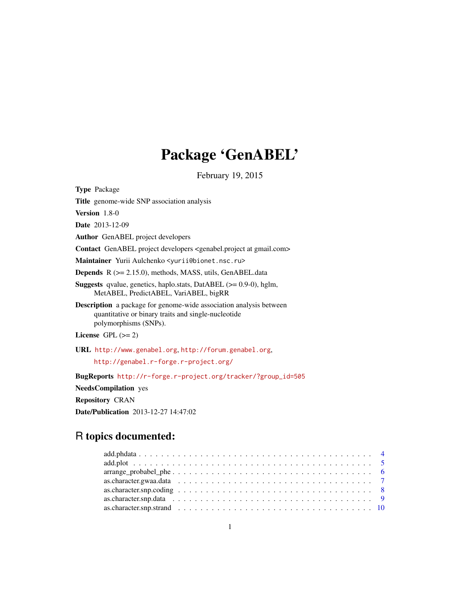# Package 'GenABEL'

February 19, 2015

<span id="page-0-0"></span>Type Package Title genome-wide SNP association analysis Version 1.8-0 Date 2013-12-09 Author GenABEL project developers Contact GenABEL project developers <genabel.project at gmail.com> Maintainer Yurii Aulchenko <yurii@bionet.nsc.ru> Depends R (>= 2.15.0), methods, MASS, utils, GenABEL.data Suggests qvalue, genetics, haplo.stats, DatABEL (>= 0.9-0), hglm, MetABEL, PredictABEL, VariABEL, bigRR Description a package for genome-wide association analysis between quantitative or binary traits and single-nucleotide polymorphisms (SNPs). License GPL  $(>= 2)$ URL <http://www.genabel.org>, <http://forum.genabel.org>, <http://genabel.r-forge.r-project.org/> BugReports [http://r-forge.r-project.org/tracker/?group\\_id=505](http://r-forge.r-project.org/tracker/?group_id=505) NeedsCompilation yes Repository CRAN Date/Publication 2013-12-27 14:47:02

# R topics documented:

| $arrange\_probabel\_phe \dots \dots \dots \dots \dots \dots \dots \dots \dots \dots \dots \dots \dots \dots$ 6 |  |  |  |  |  |  |  |  |  |  |  |  |  |  |  |  |  |  |
|----------------------------------------------------------------------------------------------------------------|--|--|--|--|--|--|--|--|--|--|--|--|--|--|--|--|--|--|
|                                                                                                                |  |  |  |  |  |  |  |  |  |  |  |  |  |  |  |  |  |  |
| as.character.snp.coding $\ldots \ldots \ldots \ldots \ldots \ldots \ldots \ldots \ldots \ldots \ldots \ldots$  |  |  |  |  |  |  |  |  |  |  |  |  |  |  |  |  |  |  |
|                                                                                                                |  |  |  |  |  |  |  |  |  |  |  |  |  |  |  |  |  |  |
|                                                                                                                |  |  |  |  |  |  |  |  |  |  |  |  |  |  |  |  |  |  |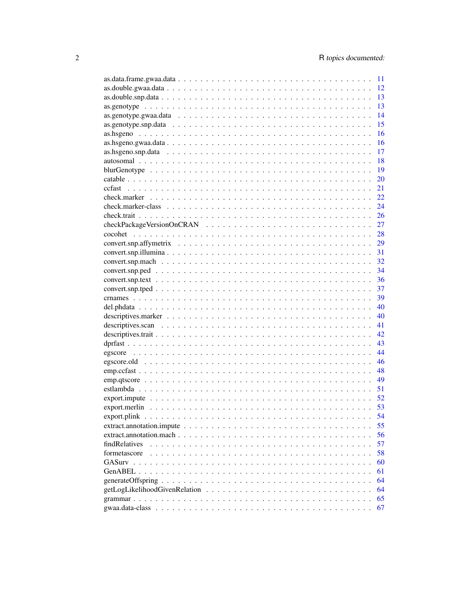|               | 11 |
|---------------|----|
|               | 12 |
|               | 13 |
|               | 13 |
|               | 14 |
|               | 15 |
|               | 16 |
|               | 16 |
|               | 17 |
|               | 18 |
|               | 19 |
|               | 20 |
| ccfast        | 21 |
|               | 22 |
|               | 24 |
|               | 26 |
|               | 27 |
|               | 28 |
|               | 29 |
|               | 31 |
|               |    |
|               | 32 |
|               | 34 |
|               | 36 |
|               | 37 |
|               | 39 |
|               | 40 |
|               | 40 |
|               | 41 |
|               | 42 |
|               | 43 |
|               | 44 |
|               | 46 |
|               | 48 |
|               | 49 |
|               | 51 |
|               | 52 |
|               | 53 |
|               | 54 |
|               | 55 |
|               | 56 |
| findRelatives | 57 |
| formetascore  | 58 |
| GASurv        | 60 |
|               | 61 |
|               | 64 |
|               | 64 |
|               | 65 |
|               | 67 |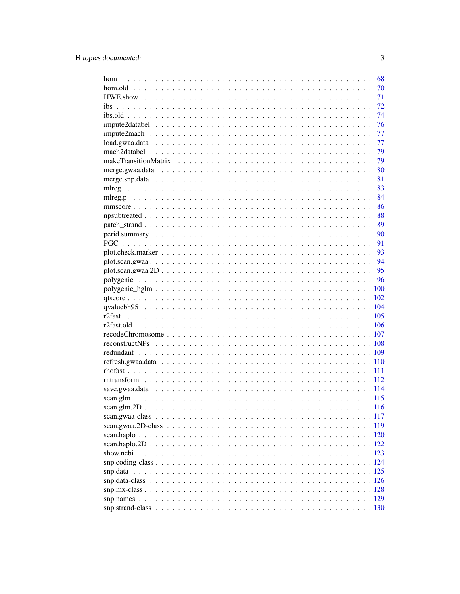|        | 68   |
|--------|------|
|        | 70   |
|        | 71   |
| ibs    | 72   |
|        | 74   |
|        | 76   |
|        | 77   |
|        | 77   |
|        | 79   |
|        | 79   |
|        | 80   |
|        | 81   |
| mlreg  | 83   |
|        | 84   |
|        | 86   |
|        | 88   |
|        | 89   |
|        | - 90 |
|        | 91   |
|        | - 93 |
|        |      |
|        |      |
|        |      |
|        |      |
|        |      |
|        |      |
| r2fast |      |
|        |      |
|        |      |
|        |      |
|        |      |
|        |      |
|        |      |
|        |      |
|        |      |
|        |      |
|        |      |
|        |      |
|        |      |
|        |      |
|        |      |
|        |      |
|        |      |
|        |      |
|        |      |
|        |      |
|        |      |
|        |      |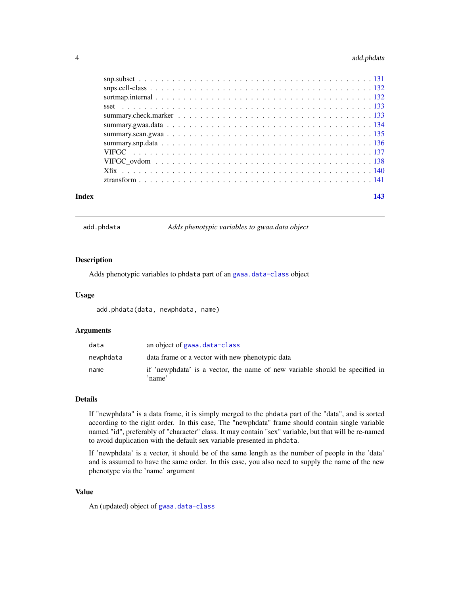# <span id="page-3-0"></span>4 add.phdata

| Index | 143 |  |
|-------|-----|--|
|       |     |  |
|       |     |  |
|       |     |  |
|       |     |  |
|       |     |  |
|       |     |  |
|       |     |  |
|       |     |  |
|       |     |  |
|       |     |  |
|       |     |  |
|       |     |  |

add.phdata *Adds phenotypic variables to gwaa.data object*

#### Description

Adds phenotypic variables to phdata part of an [gwaa.data-class](#page-66-1) object

#### Usage

add.phdata(data, newphdata, name)

# Arguments

| data      | an object of gwaa, data-class                                                         |
|-----------|---------------------------------------------------------------------------------------|
| newphdata | data frame or a vector with new phenotypic data                                       |
| name      | if 'newphdata' is a vector, the name of new variable should be specified in<br>'name' |

# Details

If "newphdata" is a data frame, it is simply merged to the phdata part of the "data", and is sorted according to the right order. In this case, The "newphdata" frame should contain single variable named "id", preferably of "character" class. It may contain "sex" variable, but that will be re-named to avoid duplication with the default sex variable presented in phdata.

If 'newphdata' is a vector, it should be of the same length as the number of people in the 'data' and is assumed to have the same order. In this case, you also need to supply the name of the new phenotype via the 'name' argument

# Value

An (updated) object of [gwaa.data-class](#page-66-1)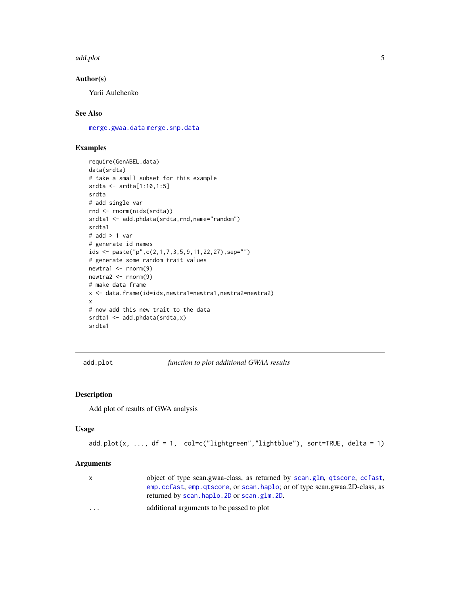#### <span id="page-4-0"></span>add.plot 5

# Author(s)

Yurii Aulchenko

# See Also

[merge.gwaa.data](#page-79-1) [merge.snp.data](#page-80-1)

# Examples

```
require(GenABEL.data)
data(srdta)
# take a small subset for this example
srdta <- srdta[1:10,1:5]
srdta
# add single var
rnd <- rnorm(nids(srdta))
srdta1 <- add.phdata(srdta,rnd,name="random")
srdta1
# add > 1 var
# generate id names
ids <- paste("p",c(2,1,7,3,5,9,11,22,27),sep="")
# generate some random trait values
newtra1 <- rnorm(9)
newtra2 <- rnorm(9)
# make data frame
x <- data.frame(id=ids,newtra1=newtra1,newtra2=newtra2)
x
# now add this new trait to the data
srdta1 <- add.phdata(srdta,x)
srdta1
```
add.plot *function to plot additional GWAA results*

#### Description

Add plot of results of GWA analysis

#### Usage

```
add.plot(x, ..., df = 1, col=c("lightgreen", "lightblue"), sort = TRUE, delta = 1)
```
#### Arguments

|                         | object of type scan.gwaa-class, as returned by scan.glm, qtscore, ccfast, |
|-------------------------|---------------------------------------------------------------------------|
|                         | emp.ccfast.emp.gtscore.or scan.haplo:or of type scan.gwaa.2D-class.as     |
|                         | returned by scan.haplo. 2D or scan.glm. 2D.                               |
| $\cdot$ $\cdot$ $\cdot$ | additional arguments to be passed to plot                                 |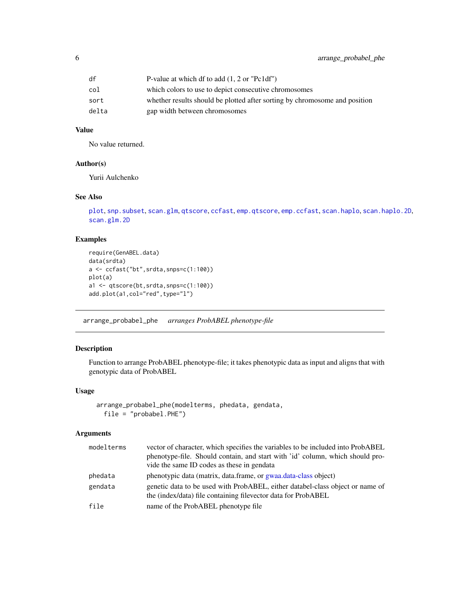#### <span id="page-5-0"></span>Value

No value returned.

#### Author(s)

Yurii Aulchenko

# See Also

```
plot, snp.subset, scan.glm, qtscore, ccfast, emp.qtscore, emp.ccfast, scan.haplo, scan.haplo.2D,
scan.glm.2D
```
# Examples

```
require(GenABEL.data)
data(srdta)
a \leftarrow \text{ccfast("bt", srdta, snps=c(1:100))}plot(a)
a1 <- qtscore(bt,srdta,snps=c(1:100))
add.plot(a1,col="red",type="l")
```
arrange\_probabel\_phe *arranges ProbABEL phenotype-file*

#### Description

Function to arrange ProbABEL phenotype-file; it takes phenotypic data as input and aligns that with genotypic data of ProbABEL

#### Usage

```
arrange_probabel_phe(modelterms, phedata, gendata,
 file = "probabel.PHE")
```
# Arguments

| modelterms | vector of character, which specifies the variables to be included into ProbABEL<br>phenotype-file. Should contain, and start with 'id' column, which should pro-<br>vide the same ID codes as these in gendata |
|------------|----------------------------------------------------------------------------------------------------------------------------------------------------------------------------------------------------------------|
| phedata    | phenotypic data (matrix, data frame, or gwaa data-class object)                                                                                                                                                |
| gendata    | genetic data to be used with ProbABEL, either databel-class object or name of<br>the (index/data) file containing filevector data for ProbABEL                                                                 |
| file       | name of the ProbABEL phenotype file                                                                                                                                                                            |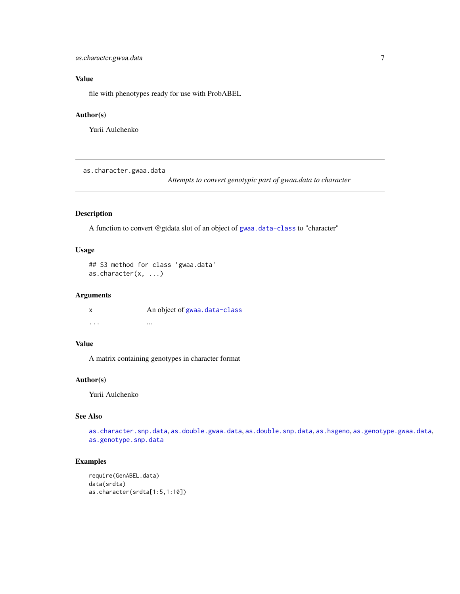# <span id="page-6-0"></span>Value

file with phenotypes ready for use with ProbABEL

# Author(s)

Yurii Aulchenko

<span id="page-6-1"></span>as.character.gwaa.data

*Attempts to convert genotypic part of gwaa.data to character*

# Description

A function to convert @gtdata slot of an object of [gwaa.data-class](#page-66-1) to "character"

# Usage

```
## S3 method for class 'gwaa.data'
as.character(x, ...)
```
#### Arguments

x An object of [gwaa.data-class](#page-66-1) ... ... ... ... ... ... ...

# Value

A matrix containing genotypes in character format

#### Author(s)

Yurii Aulchenko

# See Also

[as.character.snp.data](#page-8-1), [as.double.gwaa.data](#page-11-1), [as.double.snp.data](#page-12-1), [as.hsgeno](#page-15-1), [as.genotype.gwaa.data](#page-13-1), [as.genotype.snp.data](#page-14-1)

```
require(GenABEL.data)
data(srdta)
as.character(srdta[1:5,1:10])
```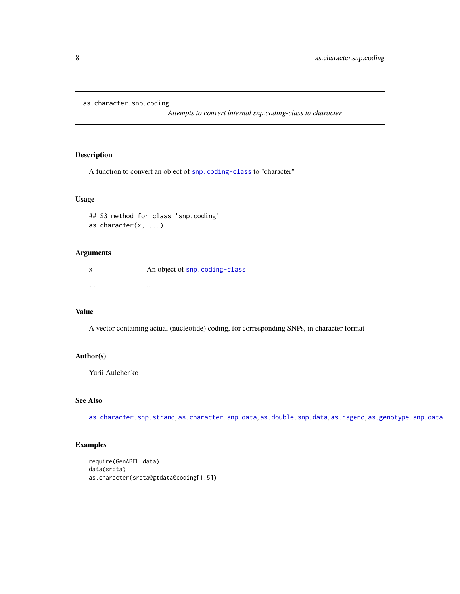<span id="page-7-1"></span><span id="page-7-0"></span>as.character.snp.coding

*Attempts to convert internal snp.coding-class to character*

# Description

A function to convert an object of [snp.coding-class](#page-123-1) to "character"

# Usage

```
## S3 method for class 'snp.coding'
as.character(x, ...)
```
#### Arguments

|          | An object of snp. coding-class |
|----------|--------------------------------|
|          |                                |
| $\cdots$ | $\cdots$                       |

# Value

A vector containing actual (nucleotide) coding, for corresponding SNPs, in character format

# Author(s)

Yurii Aulchenko

# See Also

[as.character.snp.strand](#page-9-1), [as.character.snp.data](#page-8-1), [as.double.snp.data](#page-12-1), [as.hsgeno](#page-15-1), [as.genotype.snp.data](#page-14-1)

```
require(GenABEL.data)
data(srdta)
as.character(srdta@gtdata@coding[1:5])
```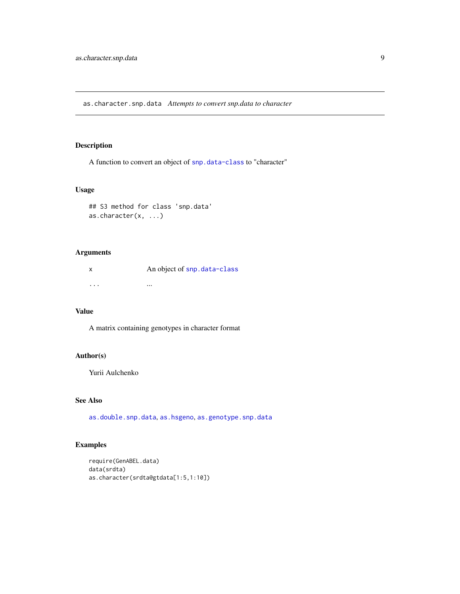<span id="page-8-1"></span><span id="page-8-0"></span>as.character.snp.data *Attempts to convert snp.data to character*

# Description

A function to convert an object of [snp.data-class](#page-125-1) to "character"

## Usage

```
## S3 method for class 'snp.data'
as.character(x, ...)
```
# Arguments

x An object of [snp.data-class](#page-125-1) ... ...

#### Value

A matrix containing genotypes in character format

# Author(s)

Yurii Aulchenko

# See Also

[as.double.snp.data](#page-12-1), [as.hsgeno](#page-15-1), [as.genotype.snp.data](#page-14-1)

```
require(GenABEL.data)
data(srdta)
as.character(srdta@gtdata[1:5,1:10])
```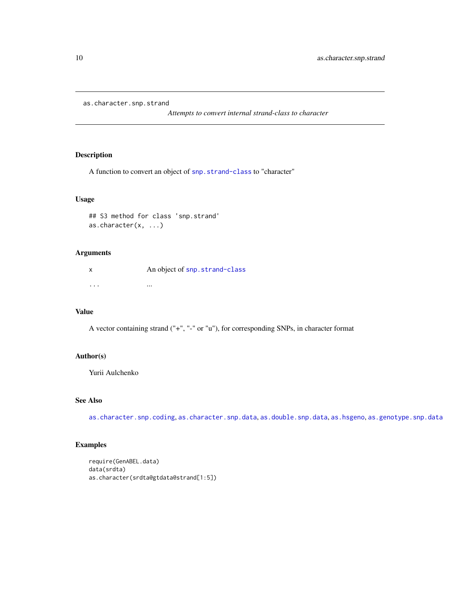<span id="page-9-1"></span><span id="page-9-0"></span>as.character.snp.strand

*Attempts to convert internal strand-class to character*

# Description

A function to convert an object of [snp.strand-class](#page-129-1) to "character"

# Usage

```
## S3 method for class 'snp.strand'
as.character(x, ...)
```
# Arguments

|          | An object of snp. strand-class |
|----------|--------------------------------|
|          |                                |
| $\cdots$ | $\cdots$                       |

# Value

A vector containing strand ("+", "-" or "u"), for corresponding SNPs, in character format

# Author(s)

Yurii Aulchenko

# See Also

[as.character.snp.coding](#page-7-1), [as.character.snp.data](#page-8-1), [as.double.snp.data](#page-12-1), [as.hsgeno](#page-15-1), [as.genotype.snp.data](#page-14-1)

```
require(GenABEL.data)
data(srdta)
as.character(srdta@gtdata@strand[1:5])
```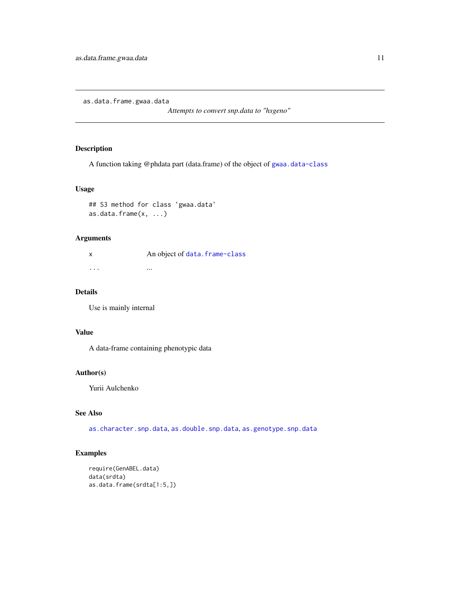<span id="page-10-0"></span>as.data.frame.gwaa.data

*Attempts to convert snp.data to "hsgeno"*

# Description

A function taking @phdata part (data.frame) of the object of [gwaa.data-class](#page-66-1)

# Usage

```
## S3 method for class 'gwaa.data'
as.data.frame(x, ...)
```
# Arguments

|          | An object of data. frame-class |
|----------|--------------------------------|
|          |                                |
| $\cdots$ | $\cdots$                       |

# Details

Use is mainly internal

#### Value

A data-frame containing phenotypic data

#### Author(s)

Yurii Aulchenko

# See Also

[as.character.snp.data](#page-8-1), [as.double.snp.data](#page-12-1), [as.genotype.snp.data](#page-14-1)

```
require(GenABEL.data)
data(srdta)
as.data.frame(srdta[1:5,])
```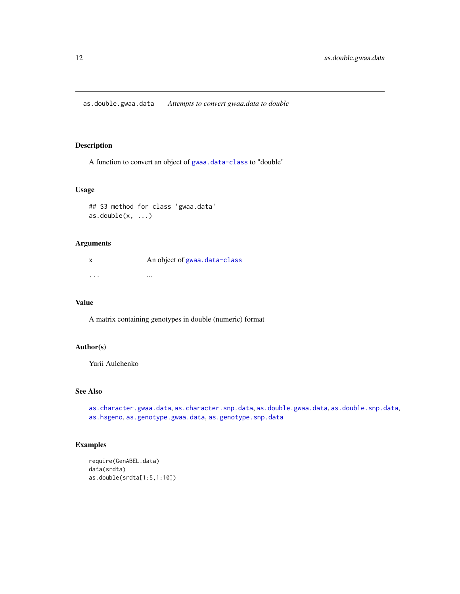<span id="page-11-1"></span><span id="page-11-0"></span>as.double.gwaa.data *Attempts to convert gwaa.data to double*

# Description

A function to convert an object of [gwaa.data-class](#page-66-1) to "double"

## Usage

## S3 method for class 'gwaa.data'  $as.double(x, \ldots)$ 

# Arguments

| X                       | An object of gwaa.data-class |
|-------------------------|------------------------------|
| $\cdot$ $\cdot$ $\cdot$ | $\cdots$                     |

#### Value

A matrix containing genotypes in double (numeric) format

#### Author(s)

Yurii Aulchenko

# See Also

[as.character.gwaa.data](#page-6-1), [as.character.snp.data](#page-8-1), [as.double.gwaa.data](#page-11-1), [as.double.snp.data](#page-12-1), [as.hsgeno](#page-15-1), [as.genotype.gwaa.data](#page-13-1), [as.genotype.snp.data](#page-14-1)

```
require(GenABEL.data)
data(srdta)
as.double(srdta[1:5,1:10])
```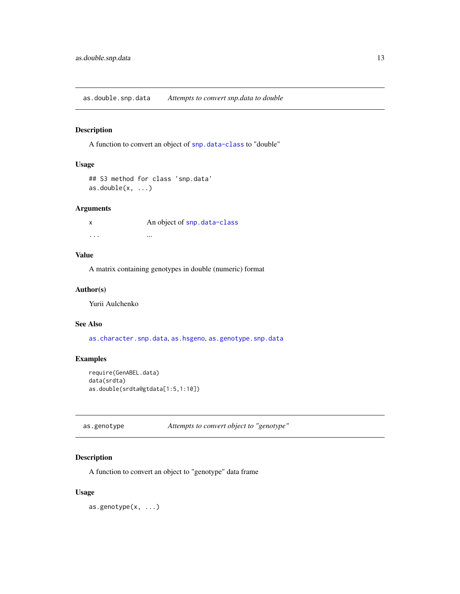<span id="page-12-1"></span><span id="page-12-0"></span>as.double.snp.data *Attempts to convert snp.data to double*

#### Description

A function to convert an object of [snp.data-class](#page-125-1) to "double"

# Usage

```
## S3 method for class 'snp.data'
as.double(x, ...)
```
# Arguments

x An object of [snp.data-class](#page-125-1) ... ...

# Value

A matrix containing genotypes in double (numeric) format

# Author(s)

Yurii Aulchenko

#### See Also

[as.character.snp.data](#page-8-1), [as.hsgeno](#page-15-1), [as.genotype.snp.data](#page-14-1)

# Examples

```
require(GenABEL.data)
data(srdta)
as.double(srdta@gtdata[1:5,1:10])
```
as.genotype *Attempts to convert object to "genotype"*

# Description

A function to convert an object to "genotype" data frame

#### Usage

as.genotype(x, ...)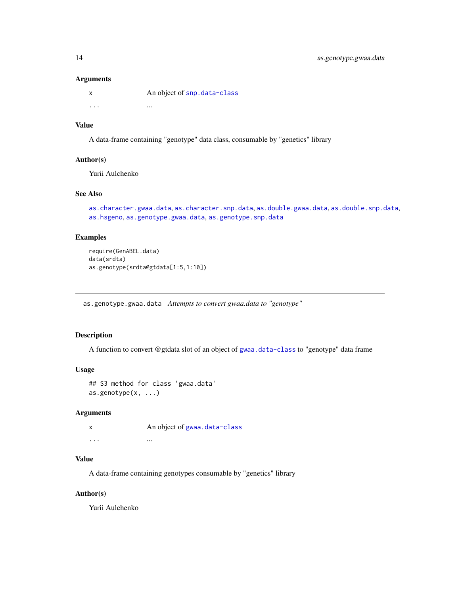#### <span id="page-13-0"></span>Arguments

|          | An object of snp. data-class |
|----------|------------------------------|
| $\cdots$ | $\cdots$                     |

# Value

A data-frame containing "genotype" data class, consumable by "genetics" library

#### Author(s)

Yurii Aulchenko

# See Also

[as.character.gwaa.data](#page-6-1), [as.character.snp.data](#page-8-1), [as.double.gwaa.data](#page-11-1), [as.double.snp.data](#page-12-1), [as.hsgeno](#page-15-1), [as.genotype.gwaa.data](#page-13-1), [as.genotype.snp.data](#page-14-1)

#### Examples

```
require(GenABEL.data)
data(srdta)
as.genotype(srdta@gtdata[1:5,1:10])
```
<span id="page-13-1"></span>as.genotype.gwaa.data *Attempts to convert gwaa.data to "genotype"*

# Description

A function to convert @gtdata slot of an object of [gwaa.data-class](#page-66-1) to "genotype" data frame

#### Usage

```
## S3 method for class 'gwaa.data'
as.genotype(x, ...)
```
#### Arguments

| X | An object of gwaa.data-class |
|---|------------------------------|
| . | $\cdots$                     |

#### Value

A data-frame containing genotypes consumable by "genetics" library

# Author(s)

Yurii Aulchenko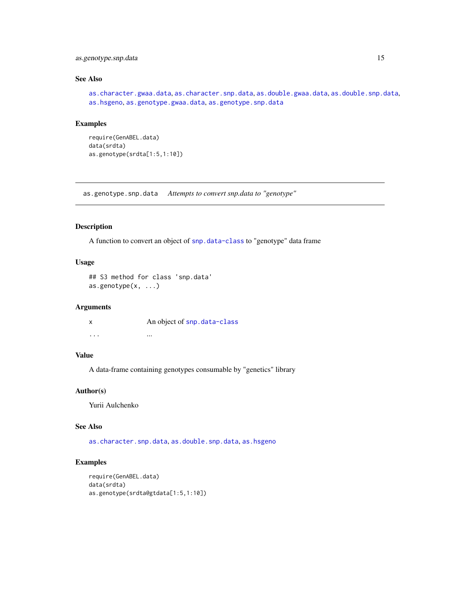# <span id="page-14-0"></span>as.genotype.snp.data 15

# See Also

[as.character.gwaa.data](#page-6-1), [as.character.snp.data](#page-8-1), [as.double.gwaa.data](#page-11-1), [as.double.snp.data](#page-12-1), [as.hsgeno](#page-15-1), [as.genotype.gwaa.data](#page-13-1), [as.genotype.snp.data](#page-14-1)

# Examples

```
require(GenABEL.data)
data(srdta)
as.genotype(srdta[1:5,1:10])
```
<span id="page-14-1"></span>as.genotype.snp.data *Attempts to convert snp.data to "genotype"*

# Description

A function to convert an object of [snp.data-class](#page-125-1) to "genotype" data frame

# Usage

```
## S3 method for class 'snp.data'
as.genotype(x, ...)
```
#### Arguments

| $\boldsymbol{\mathsf{x}}$ | An object of snp. data-class |
|---------------------------|------------------------------|
| $\cdot$ $\cdot$ $\cdot$   | $\cdots$                     |

# Value

A data-frame containing genotypes consumable by "genetics" library

#### Author(s)

Yurii Aulchenko

#### See Also

[as.character.snp.data](#page-8-1), [as.double.snp.data](#page-12-1), [as.hsgeno](#page-15-1)

```
require(GenABEL.data)
data(srdta)
as.genotype(srdta@gtdata[1:5,1:10])
```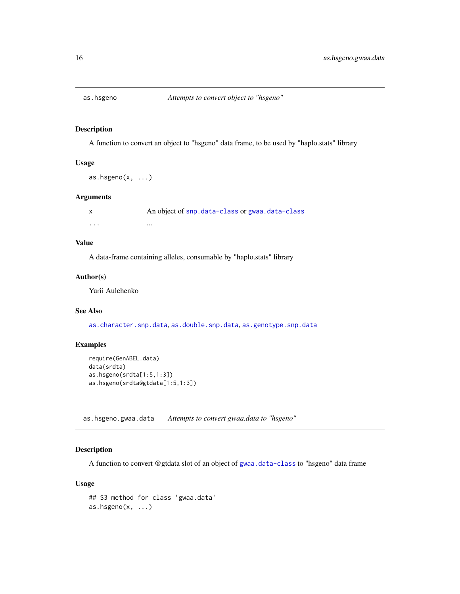<span id="page-15-1"></span><span id="page-15-0"></span>

A function to convert an object to "hsgeno" data frame, to be used by "haplo.stats" library

#### Usage

```
as.hsgeno(x, ...)
```
#### Arguments

x An object of [snp.data-class](#page-125-1) or [gwaa.data-class](#page-66-1) ... ...

# Value

A data-frame containing alleles, consumable by "haplo.stats" library

#### Author(s)

Yurii Aulchenko

#### See Also

[as.character.snp.data](#page-8-1), [as.double.snp.data](#page-12-1), [as.genotype.snp.data](#page-14-1)

#### Examples

```
require(GenABEL.data)
data(srdta)
as.hsgeno(srdta[1:5,1:3])
as.hsgeno(srdta@gtdata[1:5,1:3])
```
as.hsgeno.gwaa.data *Attempts to convert gwaa.data to "hsgeno"*

# Description

A function to convert @gtdata slot of an object of [gwaa.data-class](#page-66-1) to "hsgeno" data frame

# Usage

```
## S3 method for class 'gwaa.data'
as.hsgeno(x, \ldots)
```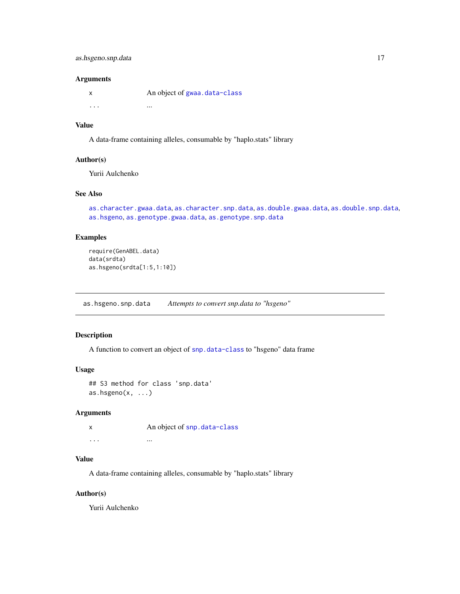#### <span id="page-16-0"></span>Arguments

| X        | An object of gwaa.data-class |
|----------|------------------------------|
| $\cdots$ | $\cdots$                     |

# Value

A data-frame containing alleles, consumable by "haplo.stats" library

#### Author(s)

Yurii Aulchenko

# See Also

[as.character.gwaa.data](#page-6-1), [as.character.snp.data](#page-8-1), [as.double.gwaa.data](#page-11-1), [as.double.snp.data](#page-12-1), [as.hsgeno](#page-15-1), [as.genotype.gwaa.data](#page-13-1), [as.genotype.snp.data](#page-14-1)

#### Examples

```
require(GenABEL.data)
data(srdta)
as.hsgeno(srdta[1:5,1:10])
```
as.hsgeno.snp.data *Attempts to convert snp.data to "hsgeno"*

#### Description

A function to convert an object of [snp.data-class](#page-125-1) to "hsgeno" data frame

#### Usage

```
## S3 method for class 'snp.data'
as.hsgeno(x, \ldots)
```
#### Arguments

|          | An object of snp. data-class |
|----------|------------------------------|
| $\cdots$ | $\cdots$                     |

#### Value

A data-frame containing alleles, consumable by "haplo.stats" library

# Author(s)

Yurii Aulchenko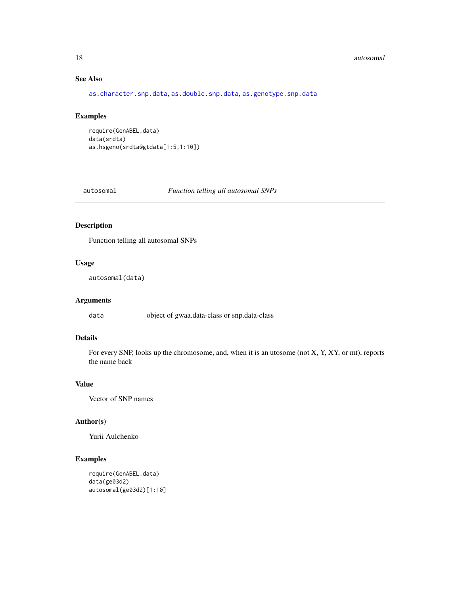#### <span id="page-17-0"></span>18 autosomal autosomal est est en la construction de la construction de la construction de la construction de la construction de la construction de la construction de la construction de la construction de la construction d

# See Also

[as.character.snp.data](#page-8-1), [as.double.snp.data](#page-12-1), [as.genotype.snp.data](#page-14-1)

#### Examples

```
require(GenABEL.data)
data(srdta)
as.hsgeno(srdta@gtdata[1:5,1:10])
```
autosomal *Function telling all autosomal SNPs*

# Description

Function telling all autosomal SNPs

#### Usage

```
autosomal(data)
```
# Arguments

data object of gwaa.data-class or snp.data-class

#### Details

For every SNP, looks up the chromosome, and, when it is an utosome (not X, Y, XY, or mt), reports the name back

# Value

Vector of SNP names

#### Author(s)

Yurii Aulchenko

```
require(GenABEL.data)
data(ge03d2)
autosomal(ge03d2)[1:10]
```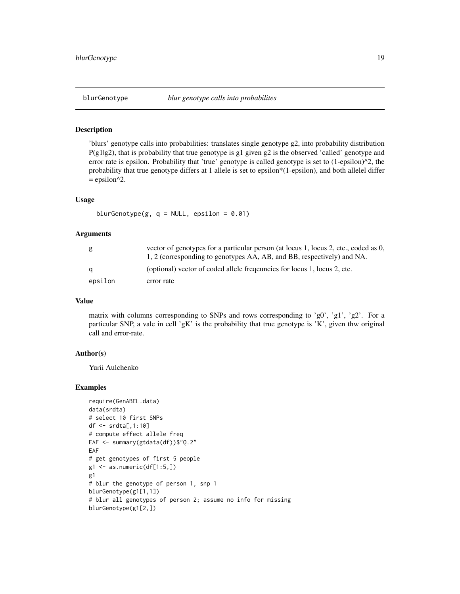<span id="page-18-0"></span>'blurs' genotype calls into probabilities: translates single genotype g2, into probability distribution P(g1|g2), that is probability that true genotype is g1 given g2 is the observed 'called' genotype and error rate is epsilon. Probability that 'true' genotype is called genotype is set to (1-epsilon)^2, the probability that true genotype differs at 1 allele is set to epsilon\*(1-epsilon), and both allelel differ  $=$  epsilon<sup> $\wedge$ 2.</sup>

#### Usage

```
blurGenotype(g, q = NULL, epsilon = 0.01)
```
#### Arguments

| g       | vector of genotypes for a particular person (at locus 1, locus 2, etc., coded as 0, |
|---------|-------------------------------------------------------------------------------------|
|         | 1, 2 (corresponding to genotypes AA, AB, and BB, respectively) and NA.              |
| a       | (optional) vector of coded allele frequencies for locus 1, locus 2, etc.            |
| epsilon | error rate                                                                          |

#### Value

matrix with columns corresponding to SNPs and rows corresponding to 'g0', 'g1', 'g2'. For a particular SNP, a vale in cell 'gK' is the probability that true genotype is 'K', given thw original call and error-rate.

#### Author(s)

Yurii Aulchenko

```
require(GenABEL.data)
data(srdta)
# select 10 first SNPs
df <- srdta[,1:10]
# compute effect allele freq
EAF <- summary(gtdata(df))$"Q.2"
EAF
# get genotypes of first 5 people
g1 \leftarrow as.numeric(df[1:5,])g1
# blur the genotype of person 1, snp 1
blurGenotype(g1[1,1])
# blur all genotypes of person 2; assume no info for missing
blurGenotype(g1[2,])
```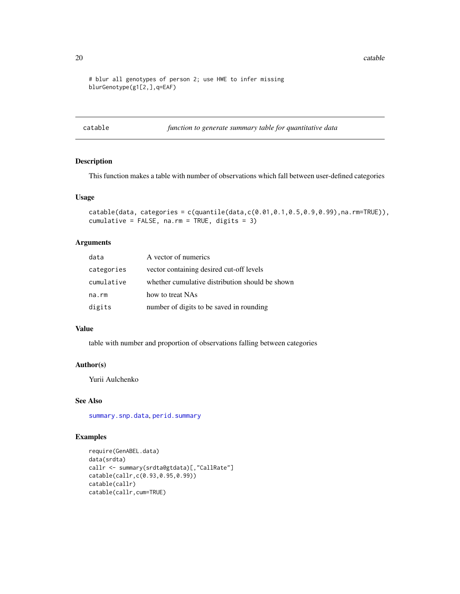<span id="page-19-0"></span>20 catable control of the control of the control of the control of the catable catable catable control of the control of the control of the control of the control of the control of the control of the control of the control

```
# blur all genotypes of person 2; use HWE to infer missing
blurGenotype(g1[2,],q=EAF)
```
catable *function to generate summary table for quantitative data*

#### Description

This function makes a table with number of observations which fall between user-defined categories

#### Usage

```
catable(data, categories = c(quantile(data,c(0.01,0.1,0.5,0.9,0.99),na.rm=TRUE)),
cumulative = FALSE, na.rm = TRUE, digits = 3)
```
#### Arguments

| data       | A vector of numerics                            |
|------------|-------------------------------------------------|
| categories | vector containing desired cut-off levels        |
| cumulative | whether cumulative distribution should be shown |
| na.rm      | how to treat NAs                                |
| digits     | number of digits to be saved in rounding        |

#### Value

table with number and proportion of observations falling between categories

#### Author(s)

Yurii Aulchenko

# See Also

[summary.snp.data](#page-135-1), [perid.summary](#page-89-1)

```
require(GenABEL.data)
data(srdta)
callr <- summary(srdta@gtdata)[,"CallRate"]
catable(callr,c(0.93,0.95,0.99))
catable(callr)
catable(callr,cum=TRUE)
```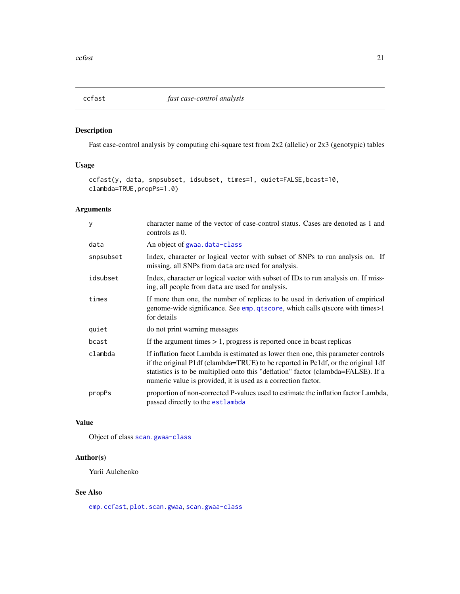<span id="page-20-1"></span><span id="page-20-0"></span>

Fast case-control analysis by computing chi-square test from 2x2 (allelic) or 2x3 (genotypic) tables

# Usage

```
ccfast(y, data, snpsubset, idsubset, times=1, quiet=FALSE,bcast=10,
clambda=TRUE,propPs=1.0)
```
# Arguments

| y         | character name of the vector of case-control status. Cases are denoted as 1 and<br>controls as 0.                                                                                                                                                                                                                           |
|-----------|-----------------------------------------------------------------------------------------------------------------------------------------------------------------------------------------------------------------------------------------------------------------------------------------------------------------------------|
| data      | An object of gwaa.data-class                                                                                                                                                                                                                                                                                                |
| snpsubset | Index, character or logical vector with subset of SNPs to run analysis on. If<br>missing, all SNPs from data are used for analysis.                                                                                                                                                                                         |
| idsubset  | Index, character or logical vector with subset of IDs to run analysis on. If miss-<br>ing, all people from data are used for analysis.                                                                                                                                                                                      |
| times     | If more then one, the number of replicas to be used in derivation of empirical<br>genome-wide significance. See emp. qtscore, which calls qtscore with times>1<br>for details                                                                                                                                               |
| quiet     | do not print warning messages                                                                                                                                                                                                                                                                                               |
| bcast     | If the argument times $> 1$ , progress is reported once in beast replicas                                                                                                                                                                                                                                                   |
| clambda   | If inflation facot Lambda is estimated as lower then one, this parameter controls<br>if the original P1df (clambda=TRUE) to be reported in Pc1df, or the original 1df<br>statistics is to be multiplied onto this "deflation" factor (clambda=FALSE). If a<br>numeric value is provided, it is used as a correction factor. |
| propPs    | proportion of non-corrected P-values used to estimate the inflation factor Lambda,<br>passed directly to the estlambda                                                                                                                                                                                                      |

#### Value

Object of class [scan.gwaa-class](#page-116-1)

# Author(s)

Yurii Aulchenko

# See Also

[emp.ccfast](#page-47-1), [plot.scan.gwaa](#page-93-1), [scan.gwaa-class](#page-116-1)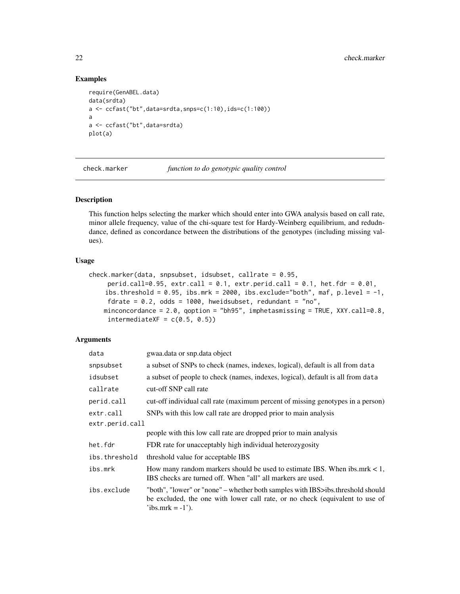# Examples

```
require(GenABEL.data)
data(srdta)
a \leftarrow \text{ccfast("bt", data=srdta, snps=c(1:10),ids=c(1:100))}a
a <- ccfast("bt",data=srdta)
plot(a)
```
<span id="page-21-1"></span>

check.marker *function to do genotypic quality control*

#### Description

This function helps selecting the marker which should enter into GWA analysis based on call rate, minor allele frequency, value of the chi-square test for Hardy-Weinberg equilibrium, and redudndance, defined as concordance between the distributions of the genotypes (including missing values).

# Usage

```
check.marker(data, snpsubset, idsubset, callrate = 0.95,
     perid.call=0.95, extr.call = 0.1, extr.perid.call = 0.1, het.fdr = 0.01,
    ibs.threshold = 0.95, ibs.mrk = 2000, ibs.exclude="both", maf, p.level = -1,
     fdrate = 0.2, odds = 1000, hweidsubset, redundant = "no",
   minconcordance = 2.0, qoption = "bh95", imphetasmissing = TRUE, XXY.call=0.8,
     intermediateXF = c(0.5, 0.5)
```
#### Arguments

| data            | gwaa.data or snp.data object                                                                                                                                                        |  |
|-----------------|-------------------------------------------------------------------------------------------------------------------------------------------------------------------------------------|--|
| snpsubset       | a subset of SNPs to check (names, indexes, logical), default is all from data                                                                                                       |  |
| idsubset        | a subset of people to check (names, indexes, logical), default is all from data                                                                                                     |  |
| callrate        | cut-off SNP call rate                                                                                                                                                               |  |
| perid.call      | cut-off individual call rate (maximum percent of missing genotypes in a person)                                                                                                     |  |
| extr.call       | SNPs with this low call rate are dropped prior to main analysis                                                                                                                     |  |
| extr.perid.call |                                                                                                                                                                                     |  |
|                 | people with this low call rate are dropped prior to main analysis                                                                                                                   |  |
| het.fdr         | FDR rate for unacceptably high individual heterozygosity                                                                                                                            |  |
| ibs.threshold   | threshold value for acceptable IBS                                                                                                                                                  |  |
| ibs.mrk         | How many random markers should be used to estimate IBS. When ibs.mrk $< 1$ ,<br>IBS checks are turned off. When "all" all markers are used.                                         |  |
| ibs.exclude     | "both", "lower" or "none" – whether both samples with IBS>ibs.threshold should<br>be excluded, the one with lower call rate, or no check (equivalent to use of<br>$'ibs.mrk = -1'.$ |  |

<span id="page-21-0"></span>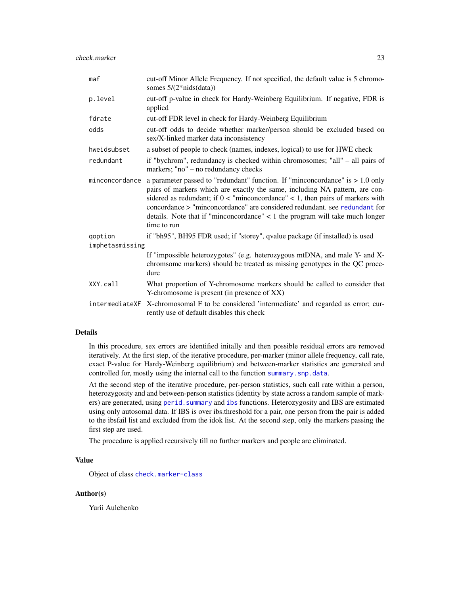| maf             | cut-off Minor Allele Frequency. If not specified, the default value is 5 chromo-<br>somes $5/(2 * nids(data))$                                                                                                                                                                                                                                                                                                                      |
|-----------------|-------------------------------------------------------------------------------------------------------------------------------------------------------------------------------------------------------------------------------------------------------------------------------------------------------------------------------------------------------------------------------------------------------------------------------------|
| p.level         | cut-off p-value in check for Hardy-Weinberg Equilibrium. If negative, FDR is<br>applied                                                                                                                                                                                                                                                                                                                                             |
| fdrate          | cut-off FDR level in check for Hardy-Weinberg Equilibrium                                                                                                                                                                                                                                                                                                                                                                           |
| odds            | cut-off odds to decide whether marker/person should be excluded based on<br>sex/X-linked marker data inconsistency                                                                                                                                                                                                                                                                                                                  |
| hweidsubset     | a subset of people to check (names, indexes, logical) to use for HWE check                                                                                                                                                                                                                                                                                                                                                          |
| redundant       | if "bychrom", redundancy is checked within chromosomes; "all" – all pairs of<br>markers; "no" – no redundancy checks                                                                                                                                                                                                                                                                                                                |
| minconcordance  | a parameter passed to "redundant" function. If "minconcordance" is $> 1.0$ only<br>pairs of markers which are exactly the same, including NA pattern, are con-<br>sidered as redundant; if $0 <$ "minconcordance" $< 1$ , then pairs of markers with<br>concordance > "minconcordance" are considered redundant, see redundant for<br>details. Note that if "minconcordance" $<$ 1 the program will take much longer<br>time to run |
| qoption         | if "bh95", BH95 FDR used; if "storey", qvalue package (if installed) is used                                                                                                                                                                                                                                                                                                                                                        |
| imphetasmissing |                                                                                                                                                                                                                                                                                                                                                                                                                                     |
|                 | If "impossible heterozygotes" (e.g. heterozygous mtDNA, and male Y- and X-<br>chromsome markers) should be treated as missing genotypes in the QC proce-<br>dure                                                                                                                                                                                                                                                                    |
| XXY.call        | What proportion of Y-chromosome markers should be called to consider that<br>Y-chromosome is present (in presence of XX)                                                                                                                                                                                                                                                                                                            |
| intermediateXF  | X-chromosomal F to be considered 'intermediate' and regarded as error; cur-<br>rently use of default disables this check                                                                                                                                                                                                                                                                                                            |

#### Details

In this procedure, sex errors are identified initally and then possible residual errors are removed iteratively. At the first step, of the iterative procedure, per-marker (minor allele frequency, call rate, exact P-value for Hardy-Weinberg equilibrium) and between-marker statistics are generated and controlled for, mostly using the internal call to the function [summary.snp.data](#page-135-1).

At the second step of the iterative procedure, per-person statistics, such call rate within a person, heterozygosity and and between-person statistics (identity by state across a random sample of markers) are generated, using [perid.summary](#page-89-1) and [ibs](#page-71-1) functions. Heterozygosity and IBS are estimated using only autosomal data. If IBS is over ibs.threshold for a pair, one person from the pair is added to the ibsfail list and excluded from the idok list. At the second step, only the markers passing the first step are used.

The procedure is applied recursively till no further markers and people are eliminated.

# Value

Object of class [check.marker-class](#page-23-1)

#### Author(s)

Yurii Aulchenko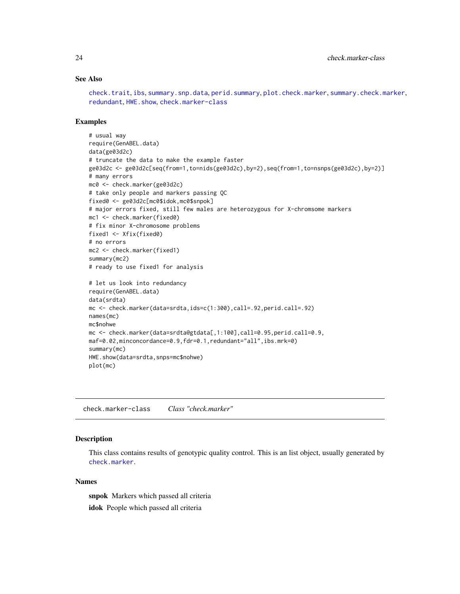#### See Also

[check.trait](#page-25-1), [ibs](#page-71-1), [summary.snp.data](#page-135-1), [perid.summary](#page-89-1), [plot.check.marker](#page-92-1), [summary.check.marker](#page-132-1), [redundant](#page-108-1), [HWE.show](#page-70-1), [check.marker-class](#page-23-1)

#### Examples

```
# usual way
require(GenABEL.data)
data(ge03d2c)
# truncate the data to make the example faster
ge03d2c <- ge03d2c[seq(from=1,to=nids(ge03d2c),by=2),seq(from=1,to=nsnps(ge03d2c),by=2)]
# many errors
mc0 <- check.marker(ge03d2c)
# take only people and markers passing QC
fixed0 <- ge03d2c[mc0$idok,mc0$snpok]
# major errors fixed, still few males are heterozygous for X-chromsome markers
mc1 <- check.marker(fixed0)
# fix minor X-chromosome problems
fixed1 <- Xfix(fixed0)
# no errors
mc2 <- check.marker(fixed1)
summary(mc2)
# ready to use fixed1 for analysis
# let us look into redundancy
require(GenABEL.data)
data(srdta)
mc <- check.marker(data=srdta,ids=c(1:300),call=.92,perid.call=.92)
names(mc)
mc$nohwe
mc <- check.marker(data=srdta@gtdata[,1:100],call=0.95,perid.call=0.9,
maf=0.02,minconcordance=0.9,fdr=0.1,redundant="all",ibs.mrk=0)
summary(mc)
HWE.show(data=srdta,snps=mc$nohwe)
plot(mc)
```
<span id="page-23-1"></span>check.marker-class *Class "check.marker"*

#### Description

This class contains results of genotypic quality control. This is an list object, usually generated by [check.marker](#page-21-1).

#### Names

snpok Markers which passed all criteria idok People which passed all criteria

<span id="page-23-0"></span>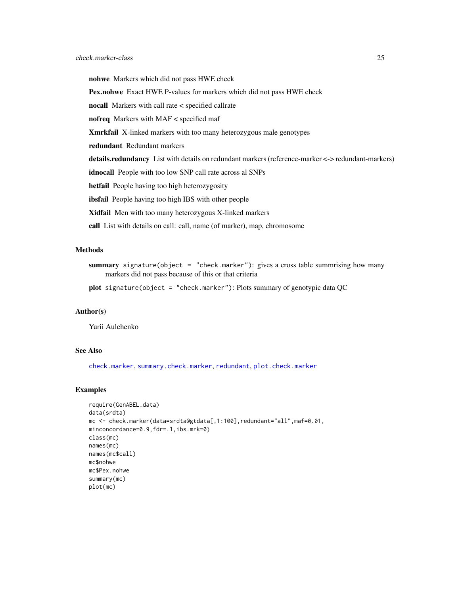nohwe Markers which did not pass HWE check Pex.nohwe Exact HWE P-values for markers which did not pass HWE check nocall Markers with call rate < specified callrate nofreq Markers with MAF < specified maf Xmrkfail X-linked markers with too many heterozygous male genotypes redundant Redundant markers details.redundancy List with details on redundant markers (reference-marker <-> redundant-markers) idnocall People with too low SNP call rate across al SNPs hetfail People having too high heterozygosity ibsfail People having too high IBS with other people Xidfail Men with too many heterozygous X-linked markers call List with details on call: call, name (of marker), map, chromosome

#### Methods

summary signature(object = "check.marker"): gives a cross table summrising how many markers did not pass because of this or that criteria

plot signature(object = "check.marker"): Plots summary of genotypic data QC

#### Author(s)

Yurii Aulchenko

#### See Also

[check.marker](#page-21-1), [summary.check.marker](#page-132-1), [redundant](#page-108-1), [plot.check.marker](#page-92-1)

```
require(GenABEL.data)
data(srdta)
mc <- check.marker(data=srdta@gtdata[,1:100],redundant="all",maf=0.01,
minconcordance=0.9,fdr=.1,ibs.mrk=0)
class(mc)
names(mc)
names(mc$call)
mc$nohwe
mc$Pex.nohwe
summary(mc)
plot(mc)
```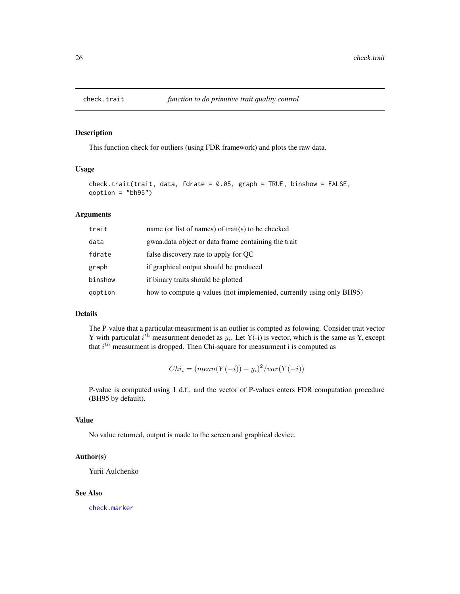<span id="page-25-1"></span><span id="page-25-0"></span>

This function check for outliers (using FDR framework) and plots the raw data.

# Usage

```
check.trait(trait, data, fdrate = 0.05, graph = TRUE, binshow = FALSE,
qoption = "bh95")
```
# Arguments

| trait   | name (or list of names) of trait(s) to be checked                    |
|---------|----------------------------------------------------------------------|
| data    | gwaa.data object or data frame containing the trait                  |
| fdrate  | false discovery rate to apply for OC                                 |
| graph   | if graphical output should be produced                               |
| binshow | if binary traits should be plotted                                   |
| goption | how to compute q-values (not implemented, currently using only BH95) |

#### Details

The P-value that a particulat measurment is an outlier is compted as folowing. Consider trait vector Y with particulat  $i^{th}$  measurment denodet as  $y_i$ . Let Y(-i) is vector, which is the same as Y, except that  $i^{th}$  measurment is dropped. Then Chi-square for measurment i is computed as

 $Chi_i = (mean(Y(-i)) - y_i)^2 / var(Y(-i))$ 

P-value is computed using 1 d.f., and the vector of P-values enters FDR computation procedure (BH95 by default).

# Value

No value returned, output is made to the screen and graphical device.

#### Author(s)

Yurii Aulchenko

#### See Also

[check.marker](#page-21-1)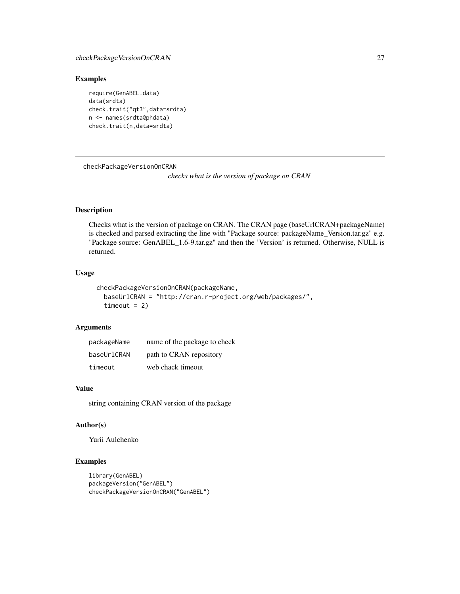# <span id="page-26-0"></span>checkPackageVersionOnCRAN 27

# Examples

```
require(GenABEL.data)
data(srdta)
check.trait("qt3",data=srdta)
n <- names(srdta@phdata)
check.trait(n,data=srdta)
```
checkPackageVersionOnCRAN

*checks what is the version of package on CRAN*

# Description

Checks what is the version of package on CRAN. The CRAN page (baseUrlCRAN+packageName) is checked and parsed extracting the line with "Package source: packageName\_Version.tar.gz" e.g. "Package source: GenABEL\_1.6-9.tar.gz" and then the 'Version' is returned. Otherwise, NULL is returned.

#### Usage

```
checkPackageVersionOnCRAN(packageName,
 baseUrlCRAN = "http://cran.r-project.org/web/packages/",
 timeout = 2)
```
# Arguments

| packageName | name of the package to check |
|-------------|------------------------------|
| baseUrlCRAN | path to CRAN repository      |
| timeout     | web chack timeout            |

#### Value

string containing CRAN version of the package

# Author(s)

Yurii Aulchenko

```
library(GenABEL)
packageVersion("GenABEL")
checkPackageVersionOnCRAN("GenABEL")
```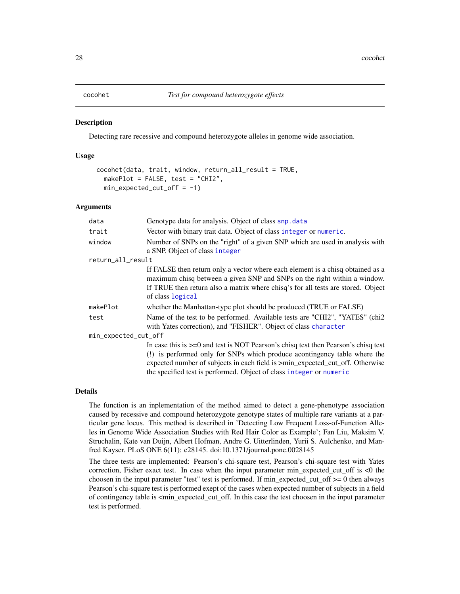<span id="page-27-0"></span>

Detecting rare recessive and compound heterozygote alleles in genome wide association.

#### Usage

```
cocohet(data, trait, window, return_all_result = TRUE,
  makePlot = FALSE, test = "CHI2",
  min\_expected\_cut\_off = -1)
```
#### Arguments

| data                 | Genotype data for analysis. Object of class snp. data                                                                                                                                                                                                                                                                               |  |
|----------------------|-------------------------------------------------------------------------------------------------------------------------------------------------------------------------------------------------------------------------------------------------------------------------------------------------------------------------------------|--|
| trait                | Vector with binary trait data. Object of class integer or numeric.                                                                                                                                                                                                                                                                  |  |
| window               | Number of SNPs on the "right" of a given SNP which are used in analysis with<br>a SNP. Object of class integer                                                                                                                                                                                                                      |  |
| return_all_result    |                                                                                                                                                                                                                                                                                                                                     |  |
|                      | If FALSE then return only a vector where each element is a chisq obtained as a<br>maximum chisq between a given SNP and SNPs on the right within a window.<br>If TRUE then return also a matrix where chisq's for all tests are stored. Object<br>of class logical                                                                  |  |
| makePlot             | whether the Manhattan-type plot should be produced (TRUE or FALSE)                                                                                                                                                                                                                                                                  |  |
| test                 | Name of the test to be performed. Available tests are "CHI2", "YATES" (chi2<br>with Yates correction), and "FISHER". Object of class character                                                                                                                                                                                      |  |
| min_expected_cut_off |                                                                                                                                                                                                                                                                                                                                     |  |
|                      | In case this is $\geq$ =0 and test is NOT Pearson's chisq test then Pearson's chisq test<br>(!) is performed only for SNPs which produce acontingency table where the<br>expected number of subjects in each field is $\geq$ min_expected_cut_off. Otherwise<br>the specified test is performed. Object of class integer or numeric |  |

#### Details

The function is an inplementation of the method aimed to detect a gene-phenotype association caused by recessive and compound heterozygote genotype states of multiple rare variants at a particular gene locus. This method is described in 'Detecting Low Frequent Loss-of-Function Alleles in Genome Wide Association Studies with Red Hair Color as Example'; Fan Liu, Maksim V. Struchalin, Kate van Duijn, Albert Hofman, Andre G. Uitterlinden, Yurii S. Aulchenko, and Manfred Kayser. PLoS ONE 6(11): e28145. doi:10.1371/journal.pone.0028145

The three tests are implemented: Pearson's chi-square test, Pearson's chi-square test with Yates correction, Fisher exact test. In case when the input parameter min\_expected\_cut\_off is <0 the choosen in the input parameter "test" test is performed. If  $min\_expected\_cut\_off >= 0$  then always Pearson's chi-square test is performed exept of the cases when expected number of subjects in a field of contingency table is <min\_expected\_cut\_off. In this case the test choosen in the input parameter test is performed.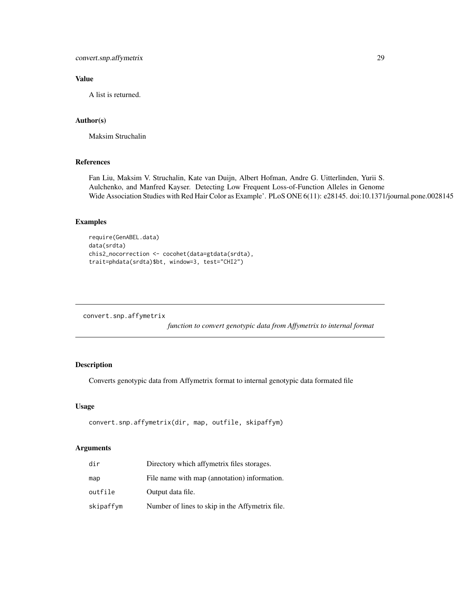#### <span id="page-28-0"></span>Value

A list is returned.

#### Author(s)

Maksim Struchalin

# References

Fan Liu, Maksim V. Struchalin, Kate van Duijn, Albert Hofman, Andre G. Uitterlinden, Yurii S. Aulchenko, and Manfred Kayser. Detecting Low Frequent Loss-of-Function Alleles in Genome Wide Association Studies with Red Hair Color as Example'. PLoS ONE 6(11): e28145. doi:10.1371/journal.pone.0028145

# Examples

```
require(GenABEL.data)
data(srdta)
chis2_nocorrection <- cocohet(data=gtdata(srdta),
trait=phdata(srdta)$bt, window=3, test="CHI2")
```
convert.snp.affymetrix

*function to convert genotypic data from Affymetrix to internal format*

# Description

Converts genotypic data from Affymetrix format to internal genotypic data formated file

#### Usage

```
convert.snp.affymetrix(dir, map, outfile, skipaffym)
```
#### Arguments

| dir       | Directory which affymetrix files storages.      |
|-----------|-------------------------------------------------|
| map       | File name with map (annotation) information.    |
| outfile   | Output data file.                               |
| skipaffym | Number of lines to skip in the Affymetrix file. |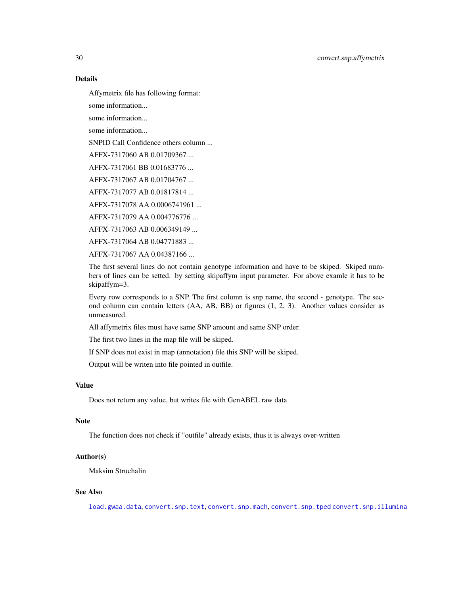## Details

Affymetrix file has following format:

some information...

some information...

some information...

SNPID Call Confidence others column ...

AFFX-7317060 AB 0.01709367 ...

AFFX-7317061 BB 0.01683776 ...

AFFX-7317067 AB 0.01704767 ...

AFFX-7317077 AB 0.01817814 ...

AFFX-7317078 AA 0.0006741961 ...

AFFX-7317079 AA 0.004776776 ...

AFFX-7317063 AB 0.006349149 ...

AFFX-7317064 AB 0.04771883 ...

AFFX-7317067 AA 0.04387166 ...

The first several lines do not contain genotype information and have to be skiped. Skiped numbers of lines can be setted. by setting skipaffym input parameter. For above examle it has to be skipaffym=3.

Every row corresponds to a SNP. The first column is snp name, the second - genotype. The second column can contain letters (AA, AB, BB) or figures (1, 2, 3). Another values consider as unmeasured.

All affymetrix files must have same SNP amount and same SNP order.

The first two lines in the map file will be skiped.

If SNP does not exist in map (annotation) file this SNP will be skiped.

Output will be writen into file pointed in outfile.

#### Value

Does not return any value, but writes file with GenABEL raw data

#### Note

The function does not check if "outfile" already exists, thus it is always over-written

#### Author(s)

Maksim Struchalin

# See Also

[load.gwaa.data](#page-76-1), [convert.snp.text](#page-35-1), [convert.snp.mach](#page-31-1), [convert.snp.tped](#page-36-1) [convert.snp.illumina](#page-30-1)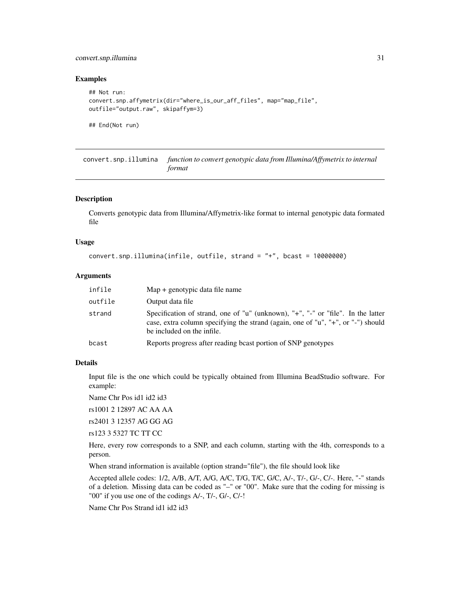# <span id="page-30-0"></span>convert.snp.illumina 31

#### Examples

```
## Not run:
convert.snp.affymetrix(dir="where_is_our_aff_files", map="map_file",
outfile="output.raw", skipaffym=3)
```
## End(Not run)

<span id="page-30-1"></span>convert.snp.illumina *function to convert genotypic data from Illumina/Affymetrix to internal format*

#### Description

Converts genotypic data from Illumina/Affymetrix-like format to internal genotypic data formated file

#### Usage

```
convert.snp.illumina(infile, outfile, strand = "+", bcast = 10000000)
```
# Arguments

| infile  | $Map + genotypic data file name$                                                                                                                                                                   |
|---------|----------------------------------------------------------------------------------------------------------------------------------------------------------------------------------------------------|
| outfile | Output data file                                                                                                                                                                                   |
| strand  | Specification of strand, one of "u" (unknown), "+", "-" or "file". In the latter<br>case, extra column specifying the strand (again, one of "u", "+", or "-") should<br>be included on the infile. |
| bcast   | Reports progress after reading beast portion of SNP genotypes                                                                                                                                      |

# Details

Input file is the one which could be typically obtained from Illumina BeadStudio software. For example:

Name Chr Pos id1 id2 id3

rs1001 2 12897 AC AA AA

rs2401 3 12357 AG GG AG

rs123 3 5327 TC TT CC

Here, every row corresponds to a SNP, and each column, starting with the 4th, corresponds to a person.

When strand information is available (option strand="file"), the file should look like

Accepted allele codes: 1/2, A/B, A/T, A/G, A/C, T/G, T/C, G/C, A/-, T/-, G/-, C/-. Here, "-" stands of a deletion. Missing data can be coded as "–" or "00". Make sure that the coding for missing is "00" if you use one of the codings A/-, T/-, G/-, C/-!

Name Chr Pos Strand id1 id2 id3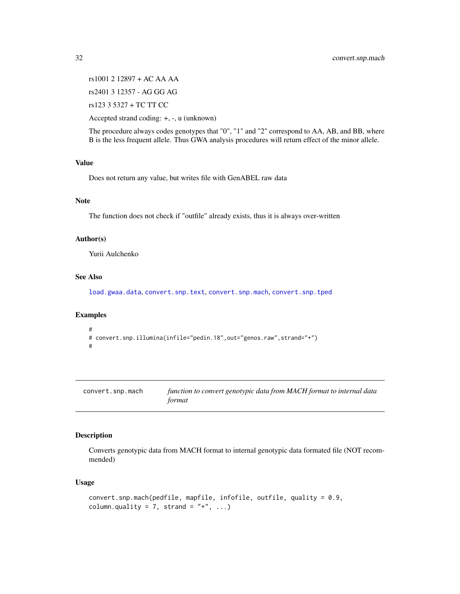rs1001 2 12897 + AC AA AA rs2401 3 12357 - AG GG AG rs123 3 5327 + TC TT CC

Accepted strand coding: +, -, u (unknown)

The procedure always codes genotypes that "0", "1" and "2" correspond to AA, AB, and BB, where B is the less frequent allele. Thus GWA analysis procedures will return effect of the minor allele.

# Value

Does not return any value, but writes file with GenABEL raw data

#### Note

The function does not check if "outfile" already exists, thus it is always over-written

#### Author(s)

Yurii Aulchenko

# See Also

[load.gwaa.data](#page-76-1), [convert.snp.text](#page-35-1), [convert.snp.mach](#page-31-1), [convert.snp.tped](#page-36-1)

#### Examples

```
#
# convert.snp.illumina(infile="pedin.18",out="genos.raw",strand="+")
#
```
<span id="page-31-1"></span>

| convert.snp.mach | function to convert genotypic data from MACH format to internal data |
|------------------|----------------------------------------------------------------------|
|                  | format                                                               |

#### Description

Converts genotypic data from MACH format to internal genotypic data formated file (NOT recommended)

#### Usage

```
convert.snp.mach(pedfile, mapfile, infofile, outfile, quality = 0.9,
column.quality = 7, strand = " +", ...
```
<span id="page-31-0"></span>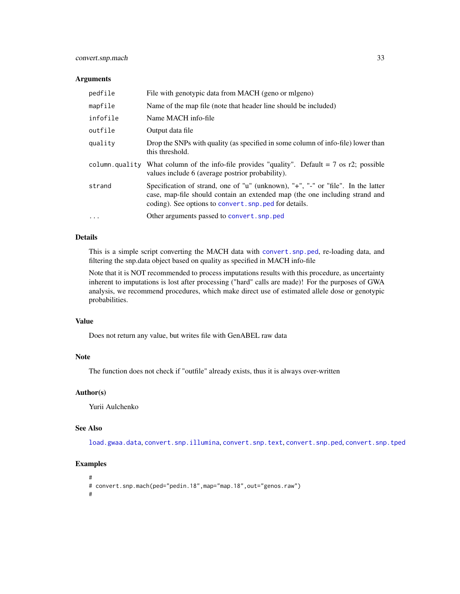# convert.snp.mach 33

#### Arguments

| pedfile        | File with genotypic data from MACH (geno or migeno)                                                                                                                                                                       |
|----------------|---------------------------------------------------------------------------------------------------------------------------------------------------------------------------------------------------------------------------|
| mapfile        | Name of the map file (note that header line should be included)                                                                                                                                                           |
| infofile       | Name MACH info-file                                                                                                                                                                                                       |
| outfile        | Output data file                                                                                                                                                                                                          |
| quality        | Drop the SNPs with quality (as specified in some column of info-file) lower than<br>this threshold.                                                                                                                       |
| column.quality | What column of the info-file provides "quality". Default $= 7$ os r2; possible<br>values include 6 (average postrior probability).                                                                                        |
| strand         | Specification of strand, one of "u" (unknown), "+", "-" or "file". In the latter<br>case, map-file should contain an extended map (the one including strand and<br>coding). See options to convert. snp. ped for details. |
| $\cdots$       | Other arguments passed to convert. snp. ped                                                                                                                                                                               |

# Details

This is a simple script converting the MACH data with [convert.snp.ped](#page-33-1), re-loading data, and filtering the snp.data object based on quality as specified in MACH info-file

Note that it is NOT recommended to process imputations results with this procedure, as uncertainty inherent to imputations is lost after processing ("hard" calls are made)! For the purposes of GWA analysis, we recommend procedures, which make direct use of estimated allele dose or genotypic probabilities.

#### Value

Does not return any value, but writes file with GenABEL raw data

#### Note

The function does not check if "outfile" already exists, thus it is always over-written

#### Author(s)

Yurii Aulchenko

#### See Also

[load.gwaa.data](#page-76-1), [convert.snp.illumina](#page-30-1), [convert.snp.text](#page-35-1), [convert.snp.ped](#page-33-1), [convert.snp.tped](#page-36-1)

```
#
# convert.snp.mach(ped="pedin.18",map="map.18",out="genos.raw")
#
```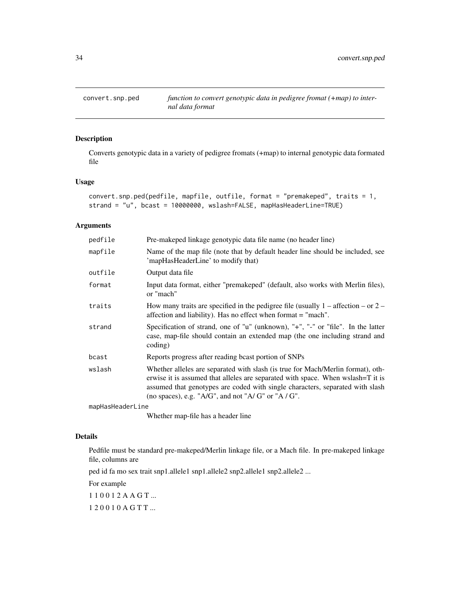<span id="page-33-1"></span><span id="page-33-0"></span>

Converts genotypic data in a variety of pedigree fromats (+map) to internal genotypic data formated file

# Usage

```
convert.snp.ped(pedfile, mapfile, outfile, format = "premakeped", traits = 1,
strand = "u", bcast = 10000000, wslash=FALSE, mapHasHeaderLine=TRUE)
```
#### Arguments

| pedfile          | Pre-makeped linkage genotypic data file name (no header line)                                                                                                                                                                                                                                           |
|------------------|---------------------------------------------------------------------------------------------------------------------------------------------------------------------------------------------------------------------------------------------------------------------------------------------------------|
| mapfile          | Name of the map file (note that by default header line should be included, see<br>'mapHasHeaderLine' to modify that)                                                                                                                                                                                    |
| outfile          | Output data file                                                                                                                                                                                                                                                                                        |
| format           | Input data format, either "premakeped" (default, also works with Merlin files),<br>or "mach"                                                                                                                                                                                                            |
| traits           | How many traits are specified in the pedigree file (usually $1 -$ affection $-$ or $2 -$<br>affection and liability). Has no effect when format = "mach".                                                                                                                                               |
| strand           | Specification of strand, one of "u" (unknown), " $+$ ", " $-$ " or "file". In the latter<br>case, map-file should contain an extended map (the one including strand and<br>coding)                                                                                                                      |
| bcast            | Reports progress after reading beast portion of SNPs                                                                                                                                                                                                                                                    |
| wslash           | Whether alleles are separated with slash (is true for Mach/Merlin format), oth-<br>erwise it is assumed that alleles are separated with space. When wslash=T it is<br>assumed that genotypes are coded with single characters, separated with slash<br>(no spaces), e.g. "A/G", and not "A/G" or "A/G". |
| mapHasHeaderLine |                                                                                                                                                                                                                                                                                                         |

Whether map-file has a header line

#### Details

Pedfile must be standard pre-makeped/Merlin linkage file, or a Mach file. In pre-makeped linkage file, columns are

ped id fa mo sex trait snp1.allele1 snp1.allele2 snp2.allele1 snp2.allele2 ...

For example

1 1 0 0 1 2 A A G T ...

1 2 0 0 1 0 A G T T ...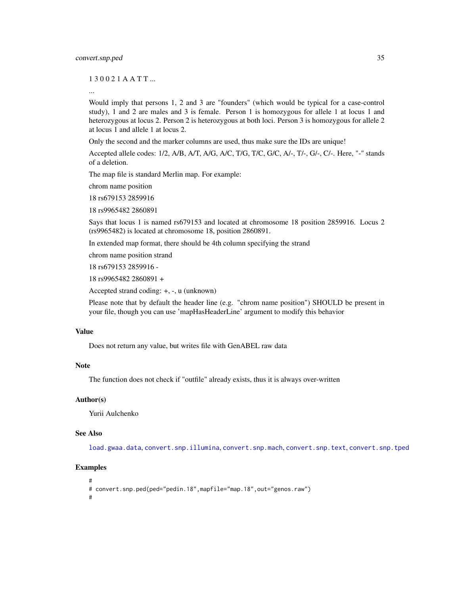1 3 0 0 2 1 A A T T ...

...

Would imply that persons 1, 2 and 3 are "founders" (which would be typical for a case-control study), 1 and 2 are males and 3 is female. Person 1 is homozygous for allele 1 at locus 1 and heterozygous at locus 2. Person 2 is heterozygous at both loci. Person 3 is homozygous for allele 2 at locus 1 and allele 1 at locus 2.

Only the second and the marker columns are used, thus make sure the IDs are unique!

Accepted allele codes: 1/2, A/B, A/T, A/G, A/C, T/G, T/C, G/C, A/-, T/-, G/-, C/-. Here, "-" stands of a deletion.

The map file is standard Merlin map. For example:

chrom name position

18 rs679153 2859916

18 rs9965482 2860891

Says that locus 1 is named rs679153 and located at chromosome 18 position 2859916. Locus 2 (rs9965482) is located at chromosome 18, position 2860891.

In extended map format, there should be 4th column specifying the strand

chrom name position strand

18 rs679153 2859916 -

18 rs9965482 2860891 +

Accepted strand coding: +, -, u (unknown)

Please note that by default the header line (e.g. "chrom name position") SHOULD be present in your file, though you can use 'mapHasHeaderLine' argument to modify this behavior

#### Value

Does not return any value, but writes file with GenABEL raw data

#### **Note**

The function does not check if "outfile" already exists, thus it is always over-written

#### Author(s)

Yurii Aulchenko

# See Also

[load.gwaa.data](#page-76-1), [convert.snp.illumina](#page-30-1), [convert.snp.mach](#page-31-1), [convert.snp.text](#page-35-1), [convert.snp.tped](#page-36-1)

#### Examples

#

```
# convert.snp.ped(ped="pedin.18",mapfile="map.18",out="genos.raw")
```
#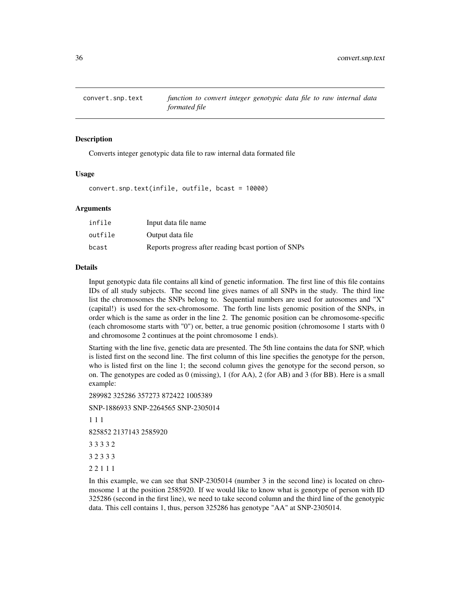<span id="page-35-1"></span><span id="page-35-0"></span>

Converts integer genotypic data file to raw internal data formated file

#### Usage

convert.snp.text(infile, outfile, bcast = 10000)

#### Arguments

| infile  | Input data file name                                 |
|---------|------------------------------------------------------|
| outfile | Output data file                                     |
| bcast   | Reports progress after reading beast portion of SNPs |

#### Details

Input genotypic data file contains all kind of genetic information. The first line of this file contains IDs of all study subjects. The second line gives names of all SNPs in the study. The third line list the chromosomes the SNPs belong to. Sequential numbers are used for autosomes and "X" (capital!) is used for the sex-chromosome. The forth line lists genomic position of the SNPs, in order which is the same as order in the line 2. The genomic position can be chromosome-specific (each chromosome starts with "0") or, better, a true genomic position (chromosome 1 starts with 0 and chromosome 2 continues at the point chromosome 1 ends).

Starting with the line five, genetic data are presented. The 5th line contains the data for SNP, which is listed first on the second line. The first column of this line specifies the genotype for the person, who is listed first on the line 1; the second column gives the genotype for the second person, so on. The genotypes are coded as 0 (missing), 1 (for AA), 2 (for AB) and 3 (for BB). Here is a small example:

289982 325286 357273 872422 1005389

SNP-1886933 SNP-2264565 SNP-2305014

1 1 1

825852 2137143 2585920

3 3 3 3 2

3 2 3 3 3

2 2 1 1 1

In this example, we can see that SNP-2305014 (number 3 in the second line) is located on chromosome 1 at the position 2585920. If we would like to know what is genotype of person with ID 325286 (second in the first line), we need to take second column and the third line of the genotypic data. This cell contains 1, thus, person 325286 has genotype "AA" at SNP-2305014.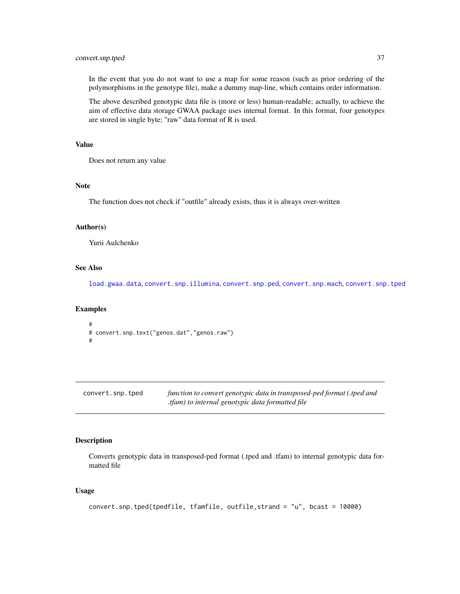# convert.snp.tped 37

In the event that you do not want to use a map for some reason (such as prior ordering of the polymorphisms in the genotype file), make a dummy map-line, which contains order information.

The above described genotypic data file is (more or less) human-readable; actually, to achieve the aim of effective data storage GWAA package uses internal format. In this format, four genotypes are stored in single byte; "raw" data format of R is used.

# Value

Does not return any value

#### Note

The function does not check if "outfile" already exists, thus it is always over-written

## Author(s)

Yurii Aulchenko

# See Also

[load.gwaa.data](#page-76-0), [convert.snp.illumina](#page-30-0), [convert.snp.ped](#page-33-0), [convert.snp.mach](#page-31-0), [convert.snp.tped](#page-36-0)

### Examples

```
#
# convert.snp.text("genos.dat","genos.raw")
#
```
<span id="page-36-0"></span>

| convert.snp.tped | function to convert genotypic data in transposed-ped format (.tped and |
|------------------|------------------------------------------------------------------------|
|                  | tfam) to internal genotypic data formatted file.                       |

# Description

Converts genotypic data in transposed-ped format (.tped and .tfam) to internal genotypic data formatted file

#### Usage

```
convert.snp.tped(tpedfile, tfamfile, outfile,strand = "u", bcast = 10000)
```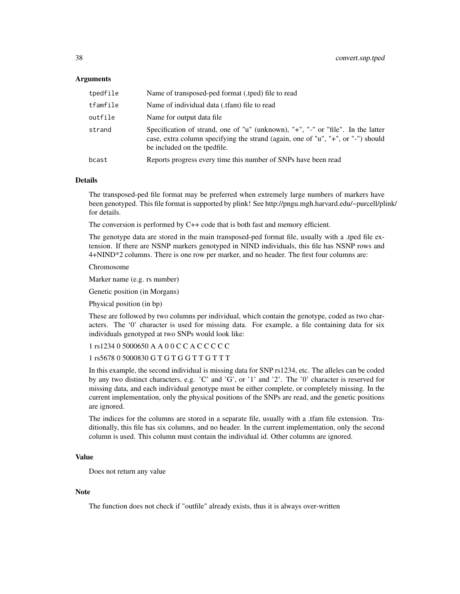#### Arguments

| tpedfile | Name of transposed-ped format (.tped) file to read                                                                                                                                                   |
|----------|------------------------------------------------------------------------------------------------------------------------------------------------------------------------------------------------------|
| tfamfile | Name of individual data (.tfam) file to read                                                                                                                                                         |
| outfile  | Name for output data file.                                                                                                                                                                           |
| strand   | Specification of strand, one of "u" (unknown), "+", "-" or "file". In the latter<br>case, extra column specifying the strand (again, one of "u", "+", or "-") should<br>be included on the tpedfile. |
| bcast    | Reports progress every time this number of SNPs have been read                                                                                                                                       |

#### Details

The transposed-ped file format may be preferred when extremely large numbers of markers have been genotyped. This file format is supported by plink! See http://pngu.mgh.harvard.edu/~purcell/plink/ for details.

The conversion is performed by C++ code that is both fast and memory efficient.

The genotype data are stored in the main transposed-ped format file, usually with a .tped file extension. If there are NSNP markers genotyped in NIND individuals, this file has NSNP rows and 4+NIND\*2 columns. There is one row per marker, and no header. The first four columns are:

#### Chromosome

Marker name (e.g. rs number)

Genetic position (in Morgans)

Physical position (in bp)

These are followed by two columns per individual, which contain the genotype, coded as two characters. The '0' character is used for missing data. For example, a file containing data for six individuals genotyped at two SNPs would look like:

# 1 rs1234 0 5000650 A A 0 0 C C A C C C C C

# 1 rs5678 0 5000830 G T G T G G T T G T T T

In this example, the second individual is missing data for SNP rs1234, etc. The alleles can be coded by any two distinct characters, e.g. 'C' and 'G', or '1' and '2'. The '0' character is reserved for missing data, and each individual genotype must be either complete, or completely missing. In the current implementation, only the physical positions of the SNPs are read, and the genetic positions are ignored.

The indices for the columns are stored in a separate file, usually with a .tfam file extension. Traditionally, this file has six columns, and no header. In the current implementation, only the second column is used. This column must contain the individual id. Other columns are ignored.

#### Value

Does not return any value

## Note

The function does not check if "outfile" already exists, thus it is always over-written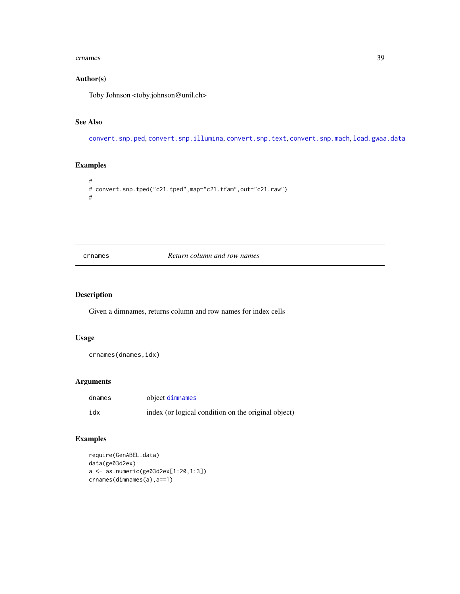#### crnames 39

## Author(s)

Toby Johnson <toby.johnson@unil.ch>

# See Also

[convert.snp.ped](#page-33-0), [convert.snp.illumina](#page-30-0), [convert.snp.text](#page-35-0), [convert.snp.mach](#page-31-0), [load.gwaa.data](#page-76-0)

# Examples

```
#
# convert.snp.tped("c21.tped",map="c21.tfam",out="c21.raw")
#
```
crnames *Return column and row names*

### Description

Given a dimnames, returns column and row names for index cells

### Usage

crnames(dnames,idx)

## Arguments

| dnames | object dimnames                                     |
|--------|-----------------------------------------------------|
| idx    | index (or logical condition on the original object) |

# Examples

```
require(GenABEL.data)
data(ge03d2ex)
a <- as.numeric(ge03d2ex[1:20,1:3])
crnames(dimnames(a),a==1)
```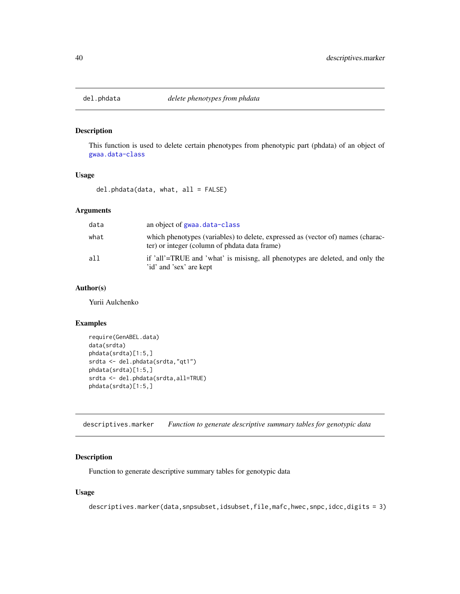### Description

This function is used to delete certain phenotypes from phenotypic part (phdata) of an object of [gwaa.data-class](#page-66-0)

## Usage

del.phdata(data, what, all = FALSE)

# Arguments

| data | an object of gwaa.data-class                                                                                                     |
|------|----------------------------------------------------------------------------------------------------------------------------------|
| what | which phenotypes (variables) to delete, expressed as (vector of) names (charac-<br>ter) or integer (column of phdata data frame) |
| a11  | if 'all'=TRUE and 'what' is misisng, all phenotypes are deleted, and only the<br>'id' and 'sex' are kept                         |

# Author(s)

Yurii Aulchenko

### Examples

```
require(GenABEL.data)
data(srdta)
phdata(srdta)[1:5,]
srdta <- del.phdata(srdta,"qt1")
phdata(srdta)[1:5,]
srdta <- del.phdata(srdta,all=TRUE)
phdata(srdta)[1:5,]
```
<span id="page-39-0"></span>descriptives.marker *Function to generate descriptive summary tables for genotypic data*

## Description

Function to generate descriptive summary tables for genotypic data

## Usage

descriptives.marker(data,snpsubset,idsubset,file,mafc,hwec,snpc,idcc,digits = 3)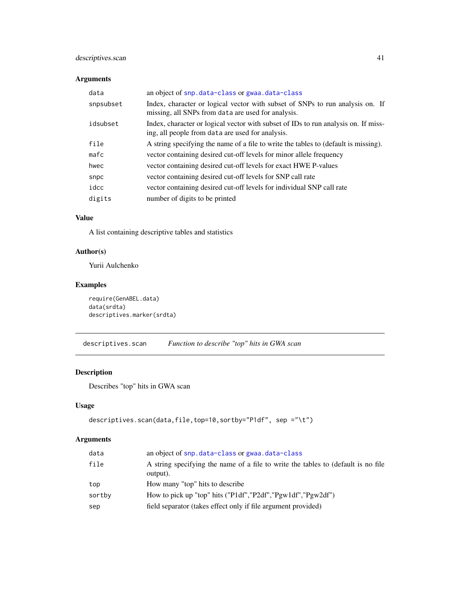# descriptives.scan 41

# Arguments

| data      | an object of snp.data-class or gwaa.data-class                                                                                         |
|-----------|----------------------------------------------------------------------------------------------------------------------------------------|
| snpsubset | Index, character or logical vector with subset of SNPs to run analysis on. If<br>missing, all SNPs from data are used for analysis.    |
| idsubset  | Index, character or logical vector with subset of IDs to run analysis on. If miss-<br>ing, all people from data are used for analysis. |
| file      | A string specifying the name of a file to write the tables to (default is missing).                                                    |
| $m$ afc   | vector containing desired cut-off levels for minor allele frequency                                                                    |
| hwec      | vector containing desired cut-off levels for exact HWE P-values                                                                        |
| snpc      | vector containing desired cut-off levels for SNP call rate                                                                             |
| idcc      | vector containing desired cut-off levels for individual SNP call rate                                                                  |
| digits    | number of digits to be printed                                                                                                         |

#### Value

A list containing descriptive tables and statistics

# Author(s)

Yurii Aulchenko

# Examples

```
require(GenABEL.data)
data(srdta)
descriptives.marker(srdta)
```
<span id="page-40-0"></span>descriptives.scan *Function to describe "top" hits in GWA scan*

# Description

Describes "top" hits in GWA scan

# Usage

```
descriptives.scan(data,file,top=10,sortby="P1df", sep ="\t")
```
# Arguments

| data   | an object of snp.data-class or gwaa.data-class                                                |
|--------|-----------------------------------------------------------------------------------------------|
| file   | A string specifying the name of a file to write the tables to (default is no file<br>output). |
| top    | How many "top" hits to describe                                                               |
| sortby | How to pick up "top" hits ("P1df", "P2df", "Pgw1df", "Pgw2df")                                |
| sep    | field separator (takes effect only if file argument provided)                                 |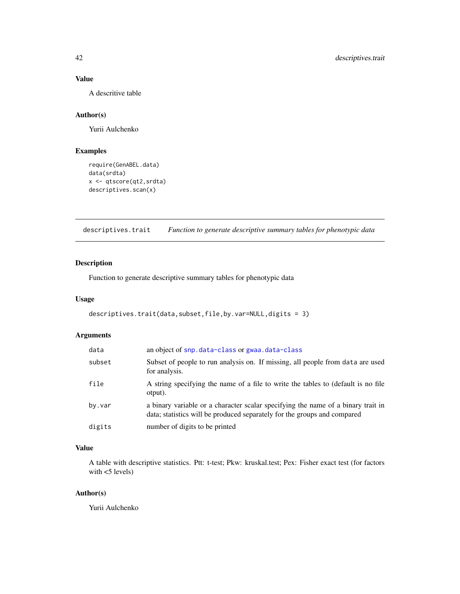# Value

A descritive table

## Author(s)

Yurii Aulchenko

# Examples

```
require(GenABEL.data)
data(srdta)
x <- qtscore(qt2,srdta)
descriptives.scan(x)
```
<span id="page-41-0"></span>descriptives.trait *Function to generate descriptive summary tables for phenotypic data*

# Description

Function to generate descriptive summary tables for phenotypic data

#### Usage

```
descriptives.trait(data,subset,file,by.var=NULL,digits = 3)
```
## Arguments

| data   | an object of snp.data-class or gwaa.data-class                                                                                                               |
|--------|--------------------------------------------------------------------------------------------------------------------------------------------------------------|
| subset | Subset of people to run analysis on. If missing, all people from data are used<br>for analysis.                                                              |
| file   | A string specifying the name of a file to write the tables to (default is no file<br>otput).                                                                 |
| by.var | a binary variable or a character scalar specifying the name of a binary trait in<br>data; statistics will be produced separately for the groups and compared |
| digits | number of digits to be printed                                                                                                                               |

# Value

A table with descriptive statistics. Ptt: t-test; Pkw: kruskal.test; Pex: Fisher exact test (for factors with <5 levels)

## Author(s)

Yurii Aulchenko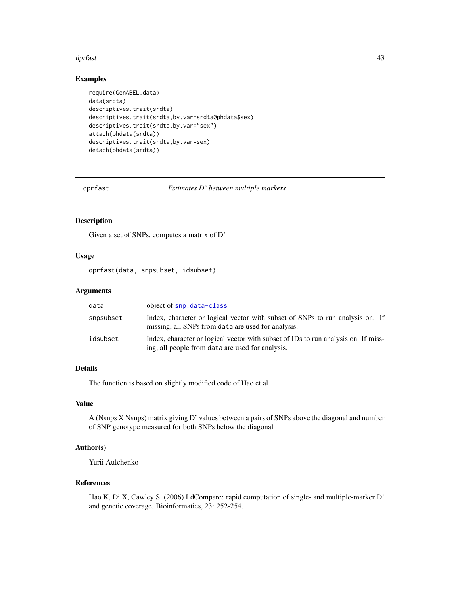#### dprfast that the contract of the contract of the contract of the contract of the contract of the contract of the contract of the contract of the contract of the contract of the contract of the contract of the contract of t

## Examples

```
require(GenABEL.data)
data(srdta)
descriptives.trait(srdta)
descriptives.trait(srdta,by.var=srdta@phdata$sex)
descriptives.trait(srdta,by.var="sex")
attach(phdata(srdta))
descriptives.trait(srdta,by.var=sex)
detach(phdata(srdta))
```
<span id="page-42-0"></span>

dprfast *Estimates D' between multiple markers*

#### Description

Given a set of SNPs, computes a matrix of D'

# Usage

dprfast(data, snpsubset, idsubset)

#### Arguments

| data      | object of snp.data-class                                                                                                               |
|-----------|----------------------------------------------------------------------------------------------------------------------------------------|
| snpsubset | Index, character or logical vector with subset of SNPs to run analysis on. If<br>missing, all SNPs from data are used for analysis.    |
| idsubset  | Index, character or logical vector with subset of IDs to run analysis on. If miss-<br>ing, all people from data are used for analysis. |

## Details

The function is based on slightly modified code of Hao et al.

## Value

A (Nsnps X Nsnps) matrix giving D' values between a pairs of SNPs above the diagonal and number of SNP genotype measured for both SNPs below the diagonal

## Author(s)

Yurii Aulchenko

# References

Hao K, Di X, Cawley S. (2006) LdCompare: rapid computation of single- and multiple-marker D' and genetic coverage. Bioinformatics, 23: 252-254.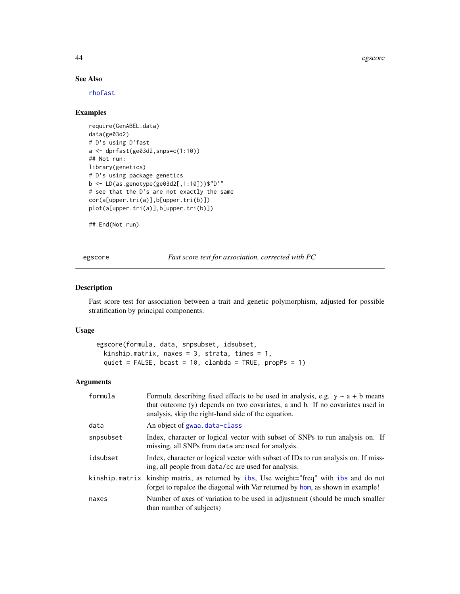44 egscore

## See Also

[rhofast](#page-110-0)

# Examples

```
require(GenABEL.data)
data(ge03d2)
# D's using D'fast
a <- dprfast(ge03d2,snps=c(1:10))
## Not run:
library(genetics)
# D's using package genetics
b <- LD(as.genotype(ge03d2[,1:10]))$"D'"
# see that the D's are not exactly the same
cor(a[upper.tri(a)],b[upper.tri(b)])
plot(a[upper.tri(a)],b[upper.tri(b)])
```

```
## End(Not run)
```
<span id="page-43-0"></span>egscore *Fast score test for association, corrected with PC*

### Description

Fast score test for association between a trait and genetic polymorphism, adjusted for possible stratification by principal components.

# Usage

```
egscore(formula, data, snpsubset, idsubset,
 kinship.matrix, naxes = 3, strata, times = 1,
 quiet = FALSE, bcast = 10, clambda = TRUE, propPs = 1)
```
## Arguments

| formula   | Formula describing fixed effects to be used in analysis, e.g. $y \sim a + b$ means<br>that outcome (y) depends on two covariates, a and b. If no covariates used in<br>analysis, skip the right-hand side of the equation. |
|-----------|----------------------------------------------------------------------------------------------------------------------------------------------------------------------------------------------------------------------------|
| data      | An object of gwaa.data-class                                                                                                                                                                                               |
| snpsubset | Index, character or logical vector with subset of SNPs to run analysis on. If<br>missing, all SNPs from data are used for analysis.                                                                                        |
| idsubset  | Index, character or logical vector with subset of IDs to run analysis on. If miss-<br>ing, all people from data/cc are used for analysis.                                                                                  |
|           | kinship matrix kinship matrix, as returned by ibs, Use weight="freq" with ibs and do not<br>forget to repalce the diagonal with Var returned by hom, as shown in example!                                                  |
| naxes     | Number of axes of variation to be used in adjustment (should be much smaller<br>than number of subjects)                                                                                                                   |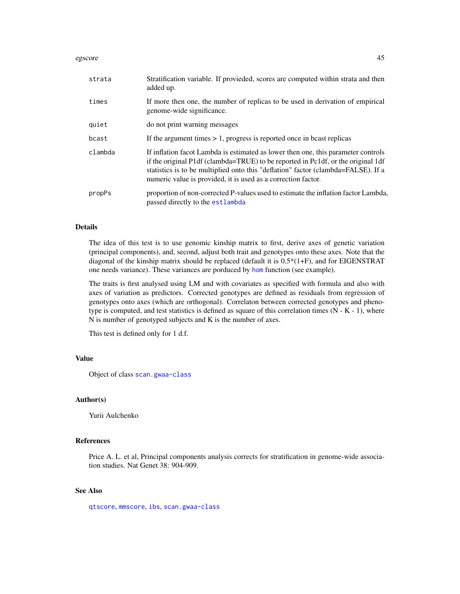#### egscore and the set of the set of the set of the set of the set of the set of the set of the set of the set of the set of the set of the set of the set of the set of the set of the set of the set of the set of the set of t

| strata  | Stratification variable. If provieded, scores are computed within strata and then<br>added up.                                                                                                                                                                                                                              |
|---------|-----------------------------------------------------------------------------------------------------------------------------------------------------------------------------------------------------------------------------------------------------------------------------------------------------------------------------|
| times   | If more then one, the number of replicas to be used in derivation of empirical<br>genome-wide significance.                                                                                                                                                                                                                 |
| quiet   | do not print warning messages                                                                                                                                                                                                                                                                                               |
| bcast   | If the argument times $> 1$ , progress is reported once in beast replicas                                                                                                                                                                                                                                                   |
| clambda | If inflation facot Lambda is estimated as lower then one, this parameter controls<br>if the original P1df (clambda=TRUE) to be reported in Pc1df, or the original 1df<br>statistics is to be multiplied onto this "deflation" factor (clambda=FALSE). If a<br>numeric value is provided, it is used as a correction factor. |
| propPs  | proportion of non-corrected P-values used to estimate the inflation factor Lambda,<br>passed directly to the estlambda                                                                                                                                                                                                      |

# Details

The idea of this test is to use genomic kinship matrix to first, derive axes of genetic variation (principal components), and, second, adjust both trait and genotypes onto these axes. Note that the diagonal of the kinship matrix should be replaced (default it is  $0.5*(1+F)$ , and for EIGENSTRAT one needs variance). These variances are porduced by [hom](#page-67-0) function (see example).

The traits is first analysed using LM and with covariates as specified with formula and also with axes of variation as predictors. Corrected genotypes are defined as residuals from regression of genotypes onto axes (which are orthogonal). Correlaton between corrected genotypes and phenotype is computed, and test statistics is defined as square of this correlation times  $(N - K - 1)$ , where N is number of genotyped subjects and K is the number of axes.

This test is defined only for 1 d.f.

## Value

Object of class [scan.gwaa-class](#page-116-0)

#### Author(s)

Yurii Aulchenko

#### References

Price A. L. et al, Principal components analysis corrects for stratification in genome-wide association studies. Nat Genet 38: 904-909.

#### See Also

[qtscore](#page-101-0), [mmscore](#page-85-0), [ibs](#page-71-0), [scan.gwaa-class](#page-116-0)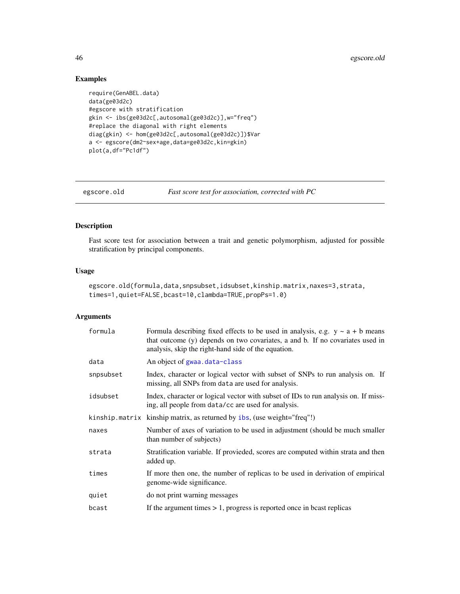# Examples

```
require(GenABEL.data)
data(ge03d2c)
#egscore with stratification
gkin <- ibs(ge03d2c[,autosomal(ge03d2c)],w="freq")
#replace the diagonal with right elements
diag(gkin) <- hom(ge03d2c[,autosomal(ge03d2c)])$Var
a <- egscore(dm2~sex+age,data=ge03d2c,kin=gkin)
plot(a,df="Pc1df")
```
egscore.old *Fast score test for association, corrected with PC*

### Description

Fast score test for association between a trait and genetic polymorphism, adjusted for possible stratification by principal components.

#### Usage

```
egscore.old(formula,data,snpsubset,idsubset,kinship.matrix,naxes=3,strata,
times=1,quiet=FALSE,bcast=10,clambda=TRUE,propPs=1.0)
```
#### Arguments

| formula   | Formula describing fixed effects to be used in analysis, e.g. $y \sim a + b$ means<br>that outcome (y) depends on two covariates, a and b. If no covariates used in<br>analysis, skip the right-hand side of the equation. |
|-----------|----------------------------------------------------------------------------------------------------------------------------------------------------------------------------------------------------------------------------|
| data      | An object of gwaa.data-class                                                                                                                                                                                               |
| snpsubset | Index, character or logical vector with subset of SNPs to run analysis on. If<br>missing, all SNPs from data are used for analysis.                                                                                        |
| idsubset  | Index, character or logical vector with subset of IDs to run analysis on. If miss-<br>ing, all people from data/cc are used for analysis.                                                                                  |
|           | kinship.matrix kinship matrix, as returned by ibs, (use weight="freq"!)                                                                                                                                                    |
| naxes     | Number of axes of variation to be used in adjustment (should be much smaller<br>than number of subjects)                                                                                                                   |
| strata    | Stratification variable. If provieded, scores are computed within strata and then<br>added up.                                                                                                                             |
| times     | If more then one, the number of replicas to be used in derivation of empirical<br>genome-wide significance.                                                                                                                |
| quiet     | do not print warning messages                                                                                                                                                                                              |
| bcast     | If the argument times $> 1$ , progress is reported once in beast replicas                                                                                                                                                  |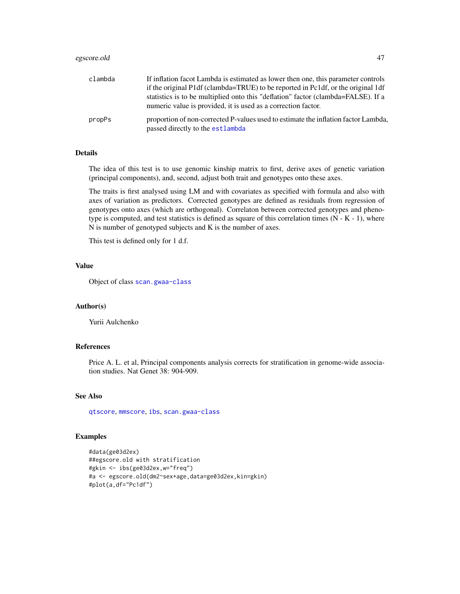## egscore.old 47

| clambda | If inflation facot Lambda is estimated as lower then one, this parameter controls                                                                  |
|---------|----------------------------------------------------------------------------------------------------------------------------------------------------|
|         | if the original P1df (clambda=TRUE) to be reported in Pc1df, or the original 1df                                                                   |
|         | statistics is to be multiplied onto this "deflation" factor (clambda=FALSE). If a<br>numeric value is provided, it is used as a correction factor. |
| propPs  | proportion of non-corrected P-values used to estimate the inflation factor Lambda,<br>passed directly to the estlambda                             |

# Details

The idea of this test is to use genomic kinship matrix to first, derive axes of genetic variation (principal components), and, second, adjust both trait and genotypes onto these axes.

The traits is first analysed using LM and with covariates as specified with formula and also with axes of variation as predictors. Corrected genotypes are defined as residuals from regression of genotypes onto axes (which are orthogonal). Correlaton between corrected genotypes and phenotype is computed, and test statistics is defined as square of this correlation times (N - K - 1), where N is number of genotyped subjects and K is the number of axes.

This test is defined only for 1 d.f.

## Value

Object of class [scan.gwaa-class](#page-116-0)

#### Author(s)

Yurii Aulchenko

# References

Price A. L. et al, Principal components analysis corrects for stratification in genome-wide association studies. Nat Genet 38: 904-909.

## See Also

[qtscore](#page-101-0), [mmscore](#page-85-0), [ibs](#page-71-0), [scan.gwaa-class](#page-116-0)

#### Examples

```
#data(ge03d2ex)
##egscore.old with stratification
#gkin <- ibs(ge03d2ex,w="freq")
#a <- egscore.old(dm2~sex+age,data=ge03d2ex,kin=gkin)
#plot(a,df="Pc1df")
```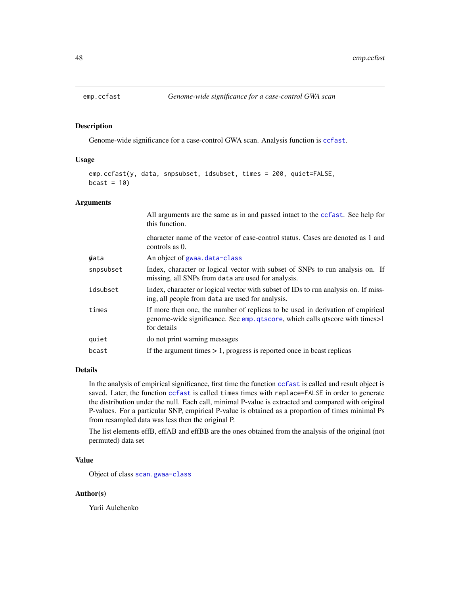<span id="page-47-0"></span>

#### Description

Genome-wide significance for a case-control GWA scan. Analysis function is [ccfast](#page-20-0).

#### Usage

```
emp.ccfast(y, data, snpsubset, idsubset, times = 200, quiet=FALSE,
bcast = 10)
```
# Arguments

|           | All arguments are the same as in and passed intact to the ccfast. See help for<br>this function.                                                                              |
|-----------|-------------------------------------------------------------------------------------------------------------------------------------------------------------------------------|
|           | character name of the vector of case-control status. Cases are denoted as 1 and<br>controls as $0$ .                                                                          |
| data      | An object of gwaa.data-class                                                                                                                                                  |
| snpsubset | Index, character or logical vector with subset of SNPs to run analysis on. If<br>missing, all SNPs from data are used for analysis.                                           |
| idsubset  | Index, character or logical vector with subset of IDs to run analysis on. If miss-<br>ing, all people from data are used for analysis.                                        |
| times     | If more then one, the number of replicas to be used in derivation of empirical<br>genome-wide significance. See emp. qtscore, which calls qtscore with times>1<br>for details |
| quiet     | do not print warning messages                                                                                                                                                 |
| bcast     | If the argument times $> 1$ , progress is reported once in beast replicas                                                                                                     |
|           |                                                                                                                                                                               |

#### Details

In the analysis of empirical significance, first time the function [ccfast](#page-20-0) is called and result object is saved. Later, the function [ccfast](#page-20-0) is called times times with replace=FALSE in order to generate the distribution under the null. Each call, minimal P-value is extracted and compared with original P-values. For a particular SNP, empirical P-value is obtained as a proportion of times minimal Ps from resampled data was less then the original P.

The list elements effB, effAB and effBB are the ones obtained from the analysis of the original (not permuted) data set

# Value

Object of class [scan.gwaa-class](#page-116-0)

#### Author(s)

Yurii Aulchenko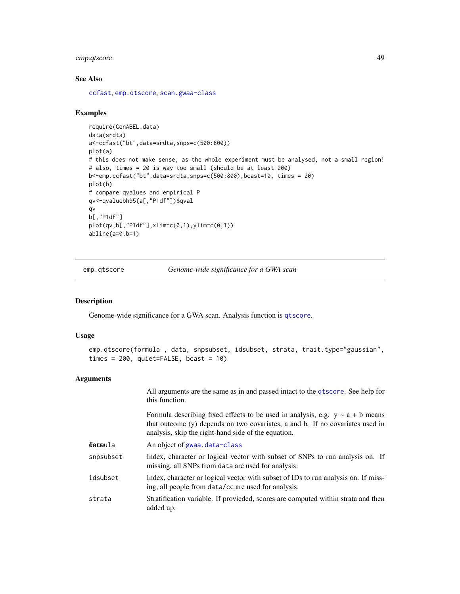# emp.qtscore 49

## See Also

[ccfast](#page-20-0), [emp.qtscore](#page-48-0), [scan.gwaa-class](#page-116-0)

#### Examples

```
require(GenABEL.data)
data(srdta)
a<-ccfast("bt",data=srdta,snps=c(500:800))
plot(a)
# this does not make sense, as the whole experiment must be analysed, not a small region!
# also, times = 20 is way too small (should be at least 200)
b<-emp.ccfast("bt",data=srdta,snps=c(500:800),bcast=10, times = 20)
plot(b)
# compare qvalues and empirical P
qv<-qvaluebh95(a[,"P1df"])$qval
qv
b[,"P1df"]
plot(qv,b[,"P1df"],xlim=c(0,1),ylim=c(0,1))
abline(a=0,b=1)
```
<span id="page-48-0"></span>emp.qtscore *Genome-wide significance for a GWA scan*

## Description

Genome-wide significance for a GWA scan. Analysis function is [qtscore](#page-101-0).

## Usage

```
emp.qtscore(formula , data, snpsubset, idsubset, strata, trait.type="gaussian",
times = 200, quiet=FALSE, bcast = 10)
```
#### Arguments

|           | All arguments are the same as in and passed intact to the qtscore. See help for<br>this function.                                                                                                                          |
|-----------|----------------------------------------------------------------------------------------------------------------------------------------------------------------------------------------------------------------------------|
|           | Formula describing fixed effects to be used in analysis, e.g. $y \sim a + b$ means<br>that outcome (y) depends on two covariates, a and b. If no covariates used in<br>analysis, skip the right-hand side of the equation. |
| ɗet⊞ula   | An object of gwaa.data-class                                                                                                                                                                                               |
| snpsubset | Index, character or logical vector with subset of SNPs to run analysis on. If<br>missing, all SNPs from data are used for analysis.                                                                                        |
| idsubset  | Index, character or logical vector with subset of IDs to run analysis on. If miss-<br>ing, all people from data/cc are used for analysis.                                                                                  |
| strata    | Stratification variable. If provieded, scores are computed within strata and then<br>added up.                                                                                                                             |
|           |                                                                                                                                                                                                                            |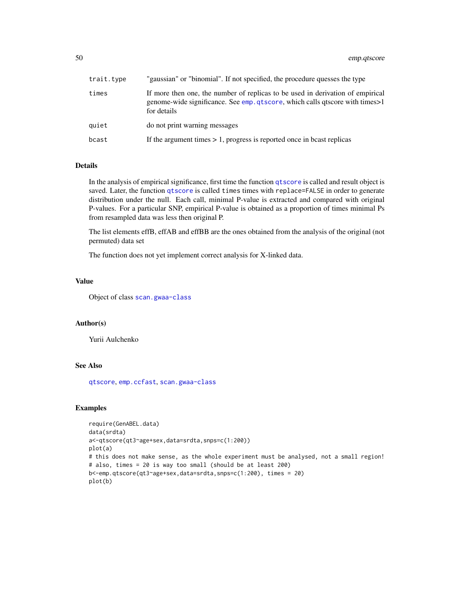50 emp.qtscore

| trait.type | 'gaussian" or "binomial". If not specified, the procedure quesses the type                                                                                                    |
|------------|-------------------------------------------------------------------------------------------------------------------------------------------------------------------------------|
| times      | If more then one, the number of replicas to be used in derivation of empirical<br>genome-wide significance. See emp. qtscore, which calls qtscore with times>1<br>for details |
| quiet      | do not print warning messages                                                                                                                                                 |
| bcast      | If the argument times $> 1$ , progress is reported once in beast replicas                                                                                                     |

# Details

In the analysis of empirical significance, first time the function [qtscore](#page-101-0) is called and result object is saved. Later, the function [qtscore](#page-101-0) is called times times with replace=FALSE in order to generate distribution under the null. Each call, minimal P-value is extracted and compared with original P-values. For a particular SNP, empirical P-value is obtained as a proportion of times minimal Ps from resampled data was less then original P.

The list elements effB, effAB and effBB are the ones obtained from the analysis of the original (not permuted) data set

The function does not yet implement correct analysis for X-linked data.

# Value

Object of class [scan.gwaa-class](#page-116-0)

# Author(s)

Yurii Aulchenko

## See Also

[qtscore](#page-101-0), [emp.ccfast](#page-47-0), [scan.gwaa-class](#page-116-0)

## Examples

```
require(GenABEL.data)
data(srdta)
a<-qtscore(qt3~age+sex,data=srdta,snps=c(1:200))
plot(a)
# this does not make sense, as the whole experiment must be analysed, not a small region!
# also, times = 20 is way too small (should be at least 200)
b<-emp.qtscore(qt3~age+sex,data=srdta,snps=c(1:200), times = 20)
plot(b)
```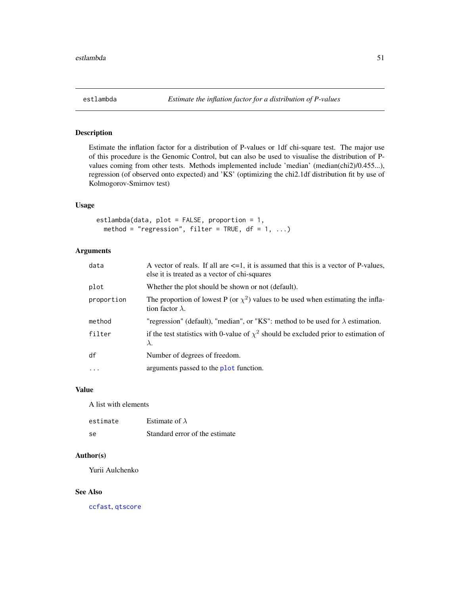<span id="page-50-0"></span>

# Description

Estimate the inflation factor for a distribution of P-values or 1df chi-square test. The major use of this procedure is the Genomic Control, but can also be used to visualise the distribution of Pvalues coming from other tests. Methods implemented include 'median' (median(chi2)/0.455...), regression (of observed onto expected) and 'KS' (optimizing the chi2.1df distribution fit by use of Kolmogorov-Smirnov test)

#### Usage

```
estlambda(data, plot = FALSE, proportion = 1,
 method = "regression", filter = TRUE, df = 1, ...)
```
### Arguments

| data       | A vector of reals. If all are $\leq 1$ , it is assumed that this is a vector of P-values,<br>else it is treated as a vector of chi-squares |
|------------|--------------------------------------------------------------------------------------------------------------------------------------------|
| plot       | Whether the plot should be shown or not (default).                                                                                         |
| proportion | The proportion of lowest P (or $\chi^2$ ) values to be used when estimating the infla-<br>tion factor $\lambda$ .                          |
| method     | "regression" (default), "median", or "KS": method to be used for $\lambda$ estimation.                                                     |
| filter     | if the test statistics with 0-value of $\chi^2$ should be excluded prior to estimation of<br>$\lambda$ .                                   |
| df         | Number of degrees of freedom.                                                                                                              |
| $\cdots$   | arguments passed to the plot function.                                                                                                     |

#### Value

A list with elements

| estimate | Estimate of $\lambda$          |
|----------|--------------------------------|
| -Se      | Standard error of the estimate |

## Author(s)

Yurii Aulchenko

## See Also

[ccfast](#page-20-0), [qtscore](#page-101-0)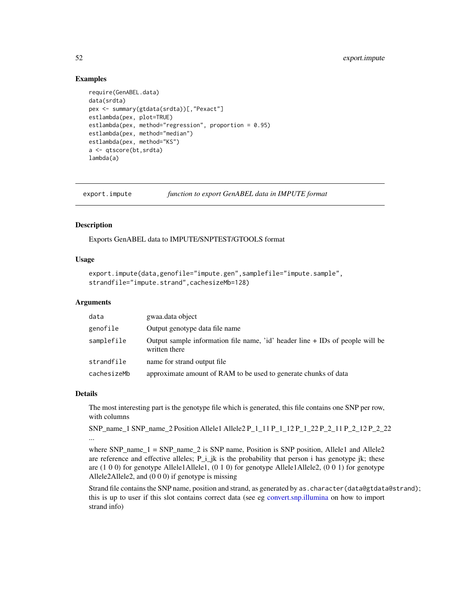## Examples

```
require(GenABEL.data)
data(srdta)
pex <- summary(gtdata(srdta))[,"Pexact"]
estlambda(pex, plot=TRUE)
estlambda(pex, method="regression", proportion = 0.95)
estlambda(pex, method="median")
estlambda(pex, method="KS")
a <- qtscore(bt,srdta)
lambda(a)
```
<span id="page-51-0"></span>export.impute *function to export GenABEL data in IMPUTE format*

### **Description**

Exports GenABEL data to IMPUTE/SNPTEST/GTOOLS format

## Usage

```
export.impute(data,genofile="impute.gen",samplefile="impute.sample",
strandfile="impute.strand",cachesizeMb=128)
```
### Arguments

| data        | gwaa.data object                                                                                 |  |
|-------------|--------------------------------------------------------------------------------------------------|--|
| genofile    | Output genotype data file name                                                                   |  |
| samplefile  | Output sample information file name, 'id' header line $+$ IDs of people will be<br>written there |  |
| strandfile  | name for strand output file                                                                      |  |
| cachesizeMb | approximate amount of RAM to be used to generate chunks of data                                  |  |

#### Details

The most interesting part is the genotype file which is generated, this file contains one SNP per row, with columns

```
SNP_name_1 SNP_name_2 Position Allele1 Allele2 P_1_11 P_1_12 P_1_22 P_2_11 P_2_12 P_2_22
...
```
where SNP\_name\_1 = SNP\_name\_2 is SNP name, Position is SNP position, Allele1 and Allele2 are reference and effective alleles;  $P_i$  i\_jk is the probability that person i has genotype jk; these are (1 0 0) for genotype Allele1Allele1, (0 1 0) for genotype Allele1Allele2, (0 0 1) for genotype Allele2Allele2, and (0 0 0) if genotype is missing

Strand file contains the SNP name, position and strand, as generated by as. character(data@gtdata@strand); this is up to user if this slot contains correct data (see eg [convert.snp.illumina](#page-30-0) on how to import strand info)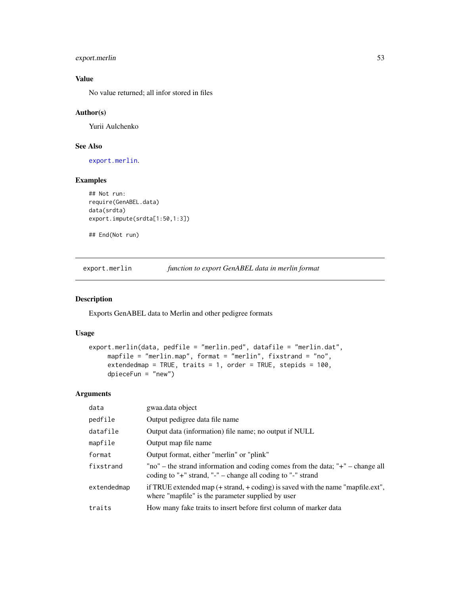# export.merlin 53

# Value

No value returned; all infor stored in files

#### Author(s)

Yurii Aulchenko

### See Also

[export.merlin](#page-52-0).

### Examples

```
## Not run:
require(GenABEL.data)
data(srdta)
export.impute(srdta[1:50,1:3])
```
## End(Not run)

<span id="page-52-0"></span>export.merlin *function to export GenABEL data in merlin format*

## Description

Exports GenABEL data to Merlin and other pedigree formats

### Usage

```
export.merlin(data, pedfile = "merlin.ped", datafile = "merlin.dat",
    mapfile = "merlin.map", format = "merlin", fixstrand = "no",
     extendedmap = TRUE, traits = 1, order = TRUE, stepids = 100,
     dpieceFun = "new")
```
## Arguments

| data        | gwaa.data object                                                                                                                                              |
|-------------|---------------------------------------------------------------------------------------------------------------------------------------------------------------|
| pedfile     | Output pedigree data file name                                                                                                                                |
| datafile    | Output data (information) file name; no output if NULL                                                                                                        |
| mapfile     | Output map file name                                                                                                                                          |
| format      | Output format, either "merlin" or "plink"                                                                                                                     |
| fixstrand   | "no" – the strand information and coding comes from the data; " $+$ " – change all<br>coding to " $+$ " strand, " $-$ " – change all coding to " $-$ " strand |
| extendedmap | if TRUE extended map $($ + strand, + coding) is saved with the name "mapfile.ext",<br>where "mapfile" is the parameter supplied by user                       |
| traits      | How many fake traits to insert before first column of marker data                                                                                             |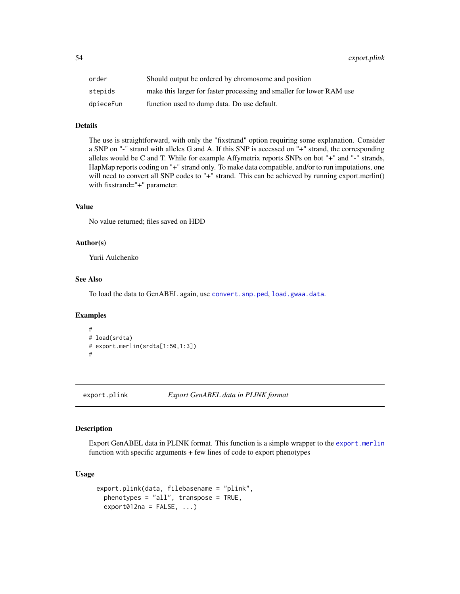54 export.plink

| order     | Should output be ordered by chromosome and position                  |
|-----------|----------------------------------------------------------------------|
| stepids   | make this larger for faster processing and smaller for lower RAM use |
| dpieceFun | function used to dump data. Do use default.                          |

# Details

The use is straightforward, with only the "fixstrand" option requiring some explanation. Consider a SNP on "-" strand with alleles G and A. If this SNP is accessed on "+" strand, the corresponding alleles would be C and T. While for example Affymetrix reports SNPs on bot "+" and "-" strands, HapMap reports coding on "+" strand only. To make data compatible, and/or to run imputations, one will need to convert all SNP codes to "+" strand. This can be achieved by running export.merlin() with fixstrand="+" parameter.

## Value

No value returned; files saved on HDD

#### Author(s)

Yurii Aulchenko

#### See Also

To load the data to GenABEL again, use [convert.snp.ped](#page-33-0), [load.gwaa.data](#page-76-0).

#### Examples

```
#
# load(srdta)
# export.merlin(srdta[1:50,1:3])
#
```
<span id="page-53-0"></span>export.plink *Export GenABEL data in PLINK format*

## Description

Export GenABEL data in PLINK format. This function is a simple wrapper to the [export.merlin](#page-52-0) function with specific arguments + few lines of code to export phenotypes

## Usage

```
export.plink(data, filebasename = "plink",
 phenotypes = "all", transpose = TRUE,
 export012na = FALSE, ...)
```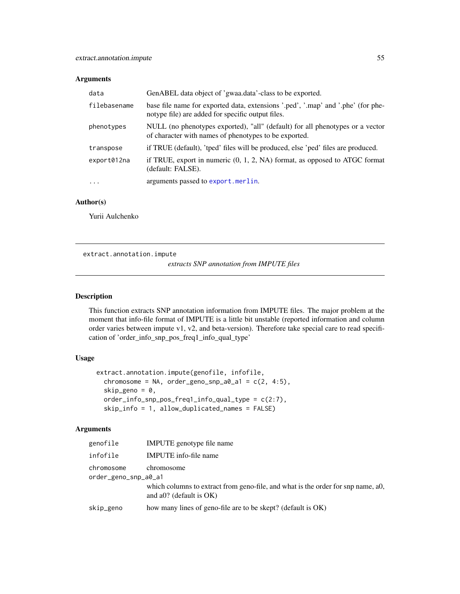## Arguments

| data         | GenABEL data object of 'gwaa.data'-class to be exported.                                                                               |
|--------------|----------------------------------------------------------------------------------------------------------------------------------------|
| filebasename | base file name for exported data, extensions '.ped', '.map' and '.phe' (for phe-<br>notype file) are added for specific output files.  |
| phenotypes   | NULL (no phenotypes exported), "all" (default) for all phenotypes or a vector<br>of character with names of phenotypes to be exported. |
| transpose    | if TRUE (default), 'tped' files will be produced, else 'ped' files are produced.                                                       |
| export012na  | if TRUE, export in numeric $(0, 1, 2, NA)$ format, as opposed to ATGC format<br>(default: FALSE).                                      |
| $\cdots$     | arguments passed to export.merlin.                                                                                                     |

## Author(s)

Yurii Aulchenko

extract.annotation.impute

*extracts SNP annotation from IMPUTE files*

### Description

This function extracts SNP annotation information from IMPUTE files. The major problem at the moment that info-file format of IMPUTE is a little bit unstable (reported information and column order varies between impute v1, v2, and beta-version). Therefore take special care to read specification of 'order\_info\_snp\_pos\_freq1\_info\_qual\_type'

# Usage

```
extract.annotation.impute(genofile, infofile,
  chromosome = NA, order_geno_snp_a0_a1 = c(2, 4:5),
  skip_geno = 0,
  order\_info\_snp\_pos\_freq1\_info\_qual\_type = c(2:7),
  skip_info = 1, allow_duplicated_names = FALSE)
```
## Arguments

| genofile                           | IMPUTE genotype file name                                                                                      |
|------------------------------------|----------------------------------------------------------------------------------------------------------------|
| infofile                           | <b>IMPUTE</b> info-file name                                                                                   |
| chromosome<br>order_geno_snp_a0_a1 | chromosome                                                                                                     |
|                                    | which columns to extract from geno-file, and what is the order for snp name, ao,<br>and a0? (default is $OK$ ) |
| skip_geno                          | how many lines of geno-file are to be skept? (default is OK)                                                   |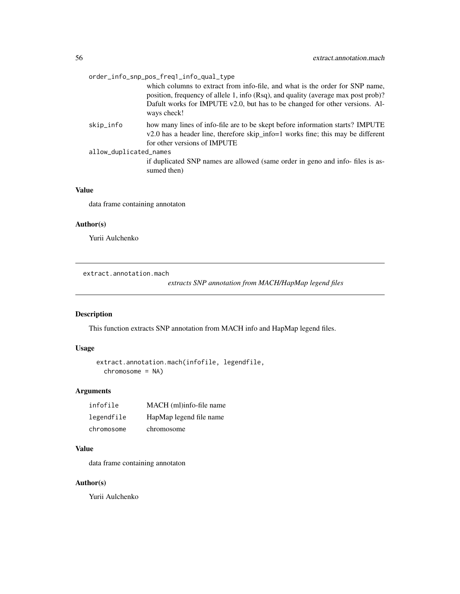|                        | order_info_snp_pos_freq1_info_qual_type                                                                                                                                                                                                                         |
|------------------------|-----------------------------------------------------------------------------------------------------------------------------------------------------------------------------------------------------------------------------------------------------------------|
|                        | which columns to extract from info-file, and what is the order for SNP name,<br>position, frequency of allele 1, info (Rsq), and quality (average max post prob)?<br>Dafult works for IMPUTE v2.0, but has to be changed for other versions. Al-<br>ways check! |
| skip_info              | how many lines of info-file are to be skept before information starts? IMPUTE<br>v2.0 has a header line, therefore skip_info=1 works fine; this may be different<br>for other versions of IMPUTE                                                                |
| allow_duplicated_names |                                                                                                                                                                                                                                                                 |
|                        | if duplicated SNP names are allowed (same order in geno and info-files is as-<br>sumed then)                                                                                                                                                                    |
|                        |                                                                                                                                                                                                                                                                 |

# Value

data frame containing annotaton

### Author(s)

Yurii Aulchenko

extract.annotation.mach

*extracts SNP annotation from MACH/HapMap legend files*

# Description

This function extracts SNP annotation from MACH info and HapMap legend files.

## Usage

```
extract.annotation.mach(infofile, legendfile,
 chromosome = NA)
```
# Arguments

| infofile   | MACH (ml)info-file name |
|------------|-------------------------|
| legendfile | HapMap legend file name |
| chromosome | chromosome              |

# Value

data frame containing annotaton

## Author(s)

Yurii Aulchenko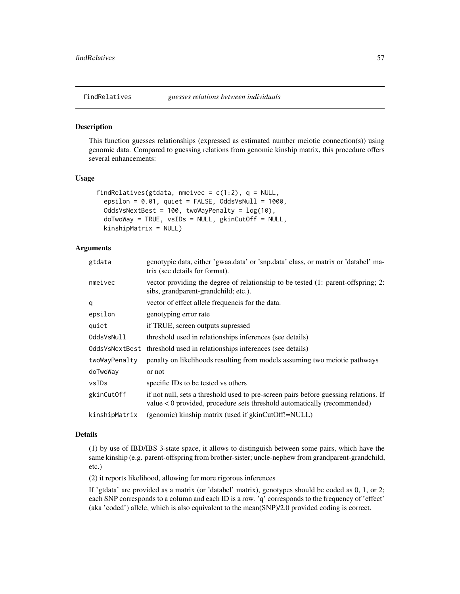<span id="page-56-0"></span>

#### Description

This function guesses relationships (expressed as estimated number meiotic connection(s)) using genomic data. Compared to guessing relations from genomic kinship matrix, this procedure offers several enhancements:

#### Usage

```
findRelatives(gtdata, nmeivec = c(1:2), q = NULL,
 epsilon = 0.01, quiet = FALSE, OddsVsNull = 1000,
 OddsVsNextBest = 100, twoWayPenalty = log(10),
 doTwoWay = TRUE, vsIDs = NULL, gkinCutOff = NULL,
 kinshipMatrix = NULL)
```
# Arguments

| genotypic data, either 'gwaa.data' or 'snp.data' class, or matrix or 'databel' ma-<br>trix (see details for format).                                             |
|------------------------------------------------------------------------------------------------------------------------------------------------------------------|
| vector providing the degree of relationship to be tested (1: parent-offspring; 2:<br>sibs, grandparent-grandchild; etc.).                                        |
| vector of effect allele frequencis for the data.                                                                                                                 |
| genotyping error rate                                                                                                                                            |
| if TRUE, screen outputs supressed                                                                                                                                |
| threshold used in relationships inferences (see details)                                                                                                         |
| threshold used in relationships inferences (see details)                                                                                                         |
| penalty on likelihoods resulting from models assuming two meiotic pathways                                                                                       |
| or not                                                                                                                                                           |
| specific IDs to be tested vs others                                                                                                                              |
| if not null, sets a threshold used to pre-screen pairs before guessing relations. If<br>value < 0 provided, procedure sets threshold automatically (recommended) |
| (genomic) kinship matrix (used if gkinCutOff!=NULL)                                                                                                              |
|                                                                                                                                                                  |

### Details

(1) by use of IBD/IBS 3-state space, it allows to distinguish between some pairs, which have the same kinship (e.g. parent-offspring from brother-sister; uncle-nephew from grandparent-grandchild, etc.)

(2) it reports likelihood, allowing for more rigorous inferences

If 'gtdata' are provided as a matrix (or 'databel' matrix), genotypes should be coded as 0, 1, or 2; each SNP corresponds to a column and each ID is a row. 'q' corresponds to the frequency of 'effect' (aka 'coded') allele, which is also equivalent to the mean(SNP)/2.0 provided coding is correct.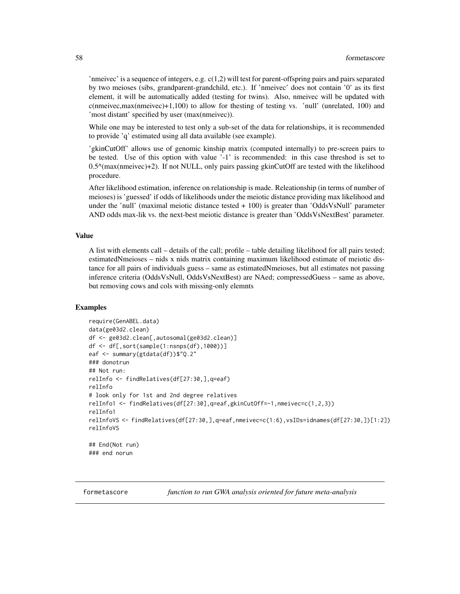'nmeivec' is a sequence of integers, e.g.  $c(1,2)$  will test for parent-offspring pairs and pairs separated by two meioses (sibs, grandparent-grandchild, etc.). If 'nmeivec' does not contain '0' as its first element, it will be automatically added (testing for twins). Also, nmeivec will be updated with  $c$ (nmeivec,max(nmeivec)+1,100) to allow for the sting of testing vs. 'null' (unrelated, 100) and 'most distant' specified by user (max(nmeivec)).

While one may be interested to test only a sub-set of the data for relationships, it is recommended to provide 'q' estimated using all data available (see example).

'gkinCutOff' allows use of genomic kinship matrix (computed internally) to pre-screen pairs to be tested. Use of this option with value '-1' is recommended: in this case threshod is set to  $0.5^{\circ}$ (max(nmeivec)+2). If not NULL, only pairs passing gkinCutOff are tested with the likelihood procedure.

After likelihood estimation, inference on relationship is made. Releationship (in terms of number of meioses) is 'guessed' if odds of likelihoods under the meiotic distance providing max likelihood and under the 'null' (maximal meiotic distance tested + 100) is greater than 'OddsVsNull' parameter AND odds max-lik vs. the next-best meiotic distance is greater than 'OddsVsNextBest' parameter.

#### Value

A list with elements call – details of the call; profile – table detailing likelihood for all pairs tested; estimatedNmeioses – nids x nids matrix containing maximum likelihood estimate of meiotic distance for all pairs of individuals guess – same as estimatedNmeioses, but all estimates not passing inference criteria (OddsVsNull, OddsVsNextBest) are NAed; compressedGuess – same as above, but removing cows and cols with missing-only elemnts

## Examples

```
require(GenABEL.data)
data(ge03d2.clean)
df <- ge03d2.clean[,autosomal(ge03d2.clean)]
df <- df[,sort(sample(1:nsnps(df),1000))]
eaf <- summary(gtdata(df))$"Q.2"
### donotrun
## Not run:
relInfo <- findRelatives(df[27:30,],q=eaf)
relInfo
# look only for 1st and 2nd degree relatives
relInfo1 <- findRelatives(df[27:30],q=eaf,gkinCutOff=-1,nmeivec=c(1,2,3))
relInfo1
relInfoVS <- findRelatives(df[27:30,],q=eaf,nmeivec=c(1:6),vsIDs=idnames(df[27:30,])[1:2])
relInfoVS
## End(Not run)
### end norun
```
<span id="page-57-0"></span>

formetascore *function to run GWA analysis oriented for future meta-analysis*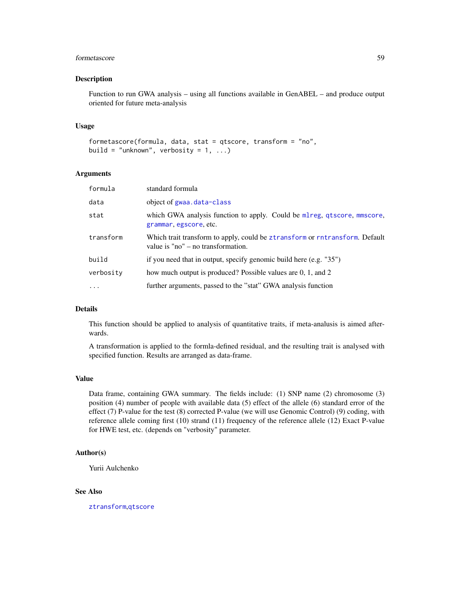#### formetascore  $59$

#### Description

Function to run GWA analysis – using all functions available in GenABEL – and produce output oriented for future meta-analysis

#### Usage

```
formetascore(formula, data, stat = qtscore, transform = "no",
build = "unknown", verbosity = 1, ...)
```
#### Arguments

| formula   | standard formula                                                                                                      |
|-----------|-----------------------------------------------------------------------------------------------------------------------|
| data      | object of gwaa.data-class                                                                                             |
| stat      | which GWA analysis function to apply. Could be mlreg, qtscore, mmscore,<br>grammar, egscore, etc.                     |
| transform | Which trait transform to apply, could be ztransform or rntransform. Default<br>value is " $no$ " – no transformation. |
| build     | if you need that in output, specify genomic build here (e.g. "35")                                                    |
| verbosity | how much output is produced? Possible values are 0, 1, and 2                                                          |
| .         | further arguments, passed to the "stat" GWA analysis function                                                         |
|           |                                                                                                                       |

# Details

This function should be applied to analysis of quantitative traits, if meta-analusis is aimed afterwards.

A transformation is applied to the formla-defined residual, and the resulting trait is analysed with specified function. Results are arranged as data-frame.

#### Value

Data frame, containing GWA summary. The fields include: (1) SNP name (2) chromosome (3) position (4) number of people with available data (5) effect of the allele (6) standard error of the effect (7) P-value for the test (8) corrected P-value (we will use Genomic Control) (9) coding, with reference allele coming first (10) strand (11) frequency of the reference allele (12) Exact P-value for HWE test, etc. (depends on "verbosity" parameter.

### Author(s)

Yurii Aulchenko

## See Also

[ztransform](#page-140-0),[qtscore](#page-101-0)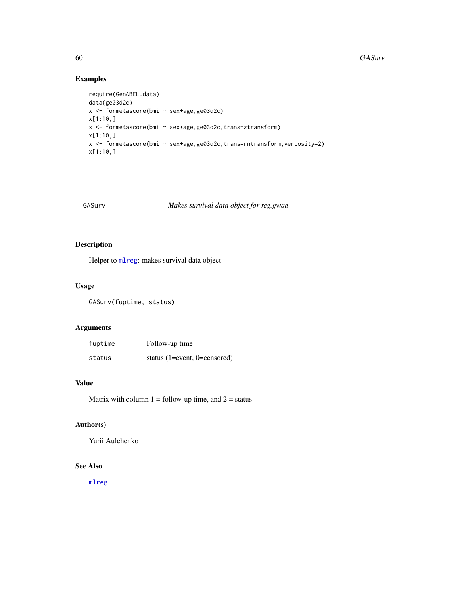# Examples

```
require(GenABEL.data)
data(ge03d2c)
x <- formetascore(bmi ~ sex+age,ge03d2c)
x[1:10,]
x <- formetascore(bmi ~ sex+age,ge03d2c,trans=ztransform)
x[1:10,]
x <- formetascore(bmi ~ sex+age,ge03d2c,trans=rntransform,verbosity=2)
x[1:10,]
```
# GASurv *Makes survival data object for reg.gwaa*

# Description

Helper to [mlreg](#page-82-0): makes survival data object

## Usage

GASurv(fuptime, status)

## Arguments

| fuptime | Follow-up time               |
|---------|------------------------------|
| status  | status (1=event, 0=censored) |

## Value

Matrix with column  $1 =$  follow-up time, and  $2 =$  status

# Author(s)

Yurii Aulchenko

# See Also

[mlreg](#page-82-0)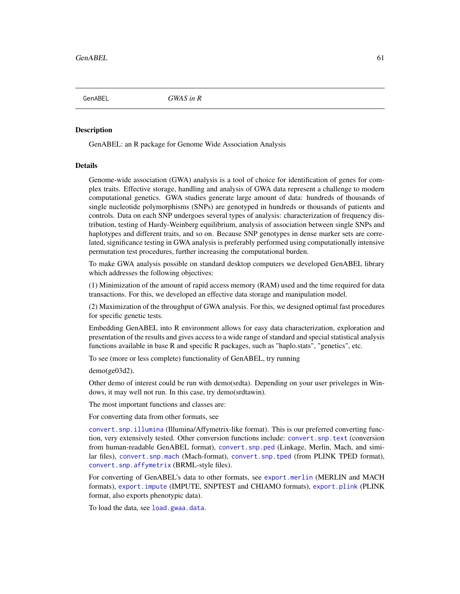GenABEL *GWAS in R*

#### Description

GenABEL: an R package for Genome Wide Association Analysis

#### Details

Genome-wide association (GWA) analysis is a tool of choice for identification of genes for complex traits. Effective storage, handling and analysis of GWA data represent a challenge to modern computational genetics. GWA studies generate large amount of data: hundreds of thousands of single nucleotide polymorphisms (SNPs) are genotyped in hundreds or thousands of patients and controls. Data on each SNP undergoes several types of analysis: characterization of frequency distribution, testing of Hardy-Weinberg equilibrium, analysis of association between single SNPs and haplotypes and different traits, and so on. Because SNP genotypes in dense marker sets are correlated, significance testing in GWA analysis is preferably performed using computationally intensive permutation test procedures, further increasing the computational burden.

To make GWA analysis possible on standard desktop computers we developed GenABEL library which addresses the following objectives:

(1) Minimization of the amount of rapid access memory (RAM) used and the time required for data transactions. For this, we developed an effective data storage and manipulation model.

(2) Maximization of the throughput of GWA analysis. For this, we designed optimal fast procedures for specific genetic tests.

Embedding GenABEL into R environment allows for easy data characterization, exploration and presentation of the results and gives access to a wide range of standard and special statistical analysis functions available in base R and specific R packages, such as "haplo.stats", "genetics", etc.

To see (more or less complete) functionality of GenABEL, try running

demo(ge03d2).

Other demo of interest could be run with demo(srdta). Depending on your user priveleges in Windows, it may well not run. In this case, try demo(srdtawin).

The most important functions and classes are:

For converting data from other formats, see

[convert.snp.illumina](#page-30-0) (Illumina/Affymetrix-like format). This is our preferred converting function, very extensively tested. Other conversion functions include: [convert.snp.text](#page-35-0) (conversion from human-readable GenABEL format), [convert.snp.ped](#page-33-0) (Linkage, Merlin, Mach, and similar files), [convert.snp.mach](#page-31-0) (Mach-format), [convert.snp.tped](#page-36-0) (from PLINK TPED format), [convert.snp.affymetrix](#page-28-0) (BRML-style files).

For converting of GenABEL's data to other formats, see [export.merlin](#page-52-0) (MERLIN and MACH formats), [export.impute](#page-51-0) (IMPUTE, SNPTEST and CHIAMO formats), [export.plink](#page-53-0) (PLINK format, also exports phenotypic data).

To load the data, see [load.gwaa.data](#page-76-0).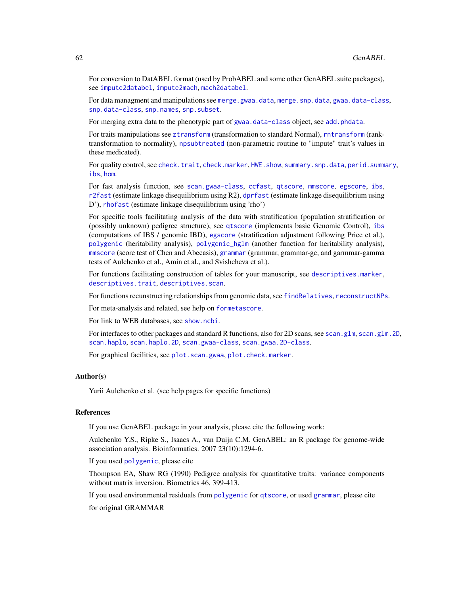For conversion to DatABEL format (used by ProbABEL and some other GenABEL suite packages), see [impute2databel](#page-75-0), [impute2mach](#page-76-1), [mach2databel](#page-78-0).

For data managment and manipulations see [merge.gwaa.data](#page-79-0), [merge.snp.data](#page-80-0), [gwaa.data-class](#page-66-0), [snp.data-class](#page-125-0), [snp.names](#page-128-0), [snp.subset](#page-130-0).

For merging extra data to the phenotypic part of [gwaa.data-class](#page-66-0) object, see [add.phdata](#page-3-0).

For traits manipulations see [ztransform](#page-140-0) (transformation to standard Normal), [rntransform](#page-111-0) (ranktransformation to normality), [npsubtreated](#page-87-0) (non-parametric routine to "impute" trait's values in these medicated).

For quality control, see [check.trait](#page-25-0), [check.marker](#page-21-0), [HWE.show](#page-70-0), [summary.snp.data](#page-135-0), [perid.summary](#page-89-0), [ibs](#page-71-0), [hom](#page-67-0).

For fast analysis function, see [scan.gwaa-class](#page-116-0), [ccfast](#page-20-0), [qtscore](#page-101-0), [mmscore](#page-85-0), [egscore](#page-43-0), [ibs](#page-71-0), [r2fast](#page-104-0) (estimate linkage disequilibrium using R2), [dprfast](#page-42-0) (estimate linkage disequilibrium using D'), [rhofast](#page-110-0) (estimate linkage disequilibrium using 'rho')

For specific tools facilitating analysis of the data with stratification (population stratification or (possibly unknown) pedigree structure), see [qtscore](#page-101-0) (implements basic Genomic Control), [ibs](#page-71-0) (computations of IBS / genomic IBD), [egscore](#page-43-0) (stratification adjustment following Price et al.), [polygenic](#page-95-0) (heritability analysis), [polygenic\\_hglm](#page-99-0) (another function for heritability analysis), [mmscore](#page-85-0) (score test of Chen and Abecasis), [grammar](#page-64-0) (grammar, grammar-gc, and garmmar-gamma tests of Aulchenko et al., Amin et al., and Svishcheva et al.).

For functions facilitating construction of tables for your manuscript, see [descriptives.marker](#page-39-0), [descriptives.trait](#page-41-0), [descriptives.scan](#page-40-0).

For functions recunstructing relationships from genomic data, see [findRelatives](#page-56-0), [reconstructNPs](#page-107-0).

For meta-analysis and related, see help on [formetascore](#page-57-0).

For link to WEB databases, see [show.ncbi](#page-122-0).

For interfaces to other packages and standard R functions, also for 2D scans, see [scan.glm](#page-114-0), [scan.glm.2D](#page-115-0), [scan.haplo](#page-119-0), [scan.haplo.2D](#page-121-0), [scan.gwaa-class](#page-116-0), [scan.gwaa.2D-class](#page-118-0).

For graphical facilities, see [plot.scan.gwaa](#page-93-0), [plot.check.marker](#page-92-0).

#### Author(s)

Yurii Aulchenko et al. (see help pages for specific functions)

## References

If you use GenABEL package in your analysis, please cite the following work:

Aulchenko Y.S., Ripke S., Isaacs A., van Duijn C.M. GenABEL: an R package for genome-wide association analysis. Bioinformatics. 2007 23(10):1294-6.

If you used [polygenic](#page-95-0), please cite

Thompson EA, Shaw RG (1990) Pedigree analysis for quantitative traits: variance components without matrix inversion. Biometrics 46, 399-413.

If you used environmental residuals from [polygenic](#page-95-0) for [qtscore](#page-101-0), or used [grammar](#page-64-0), please cite for original GRAMMAR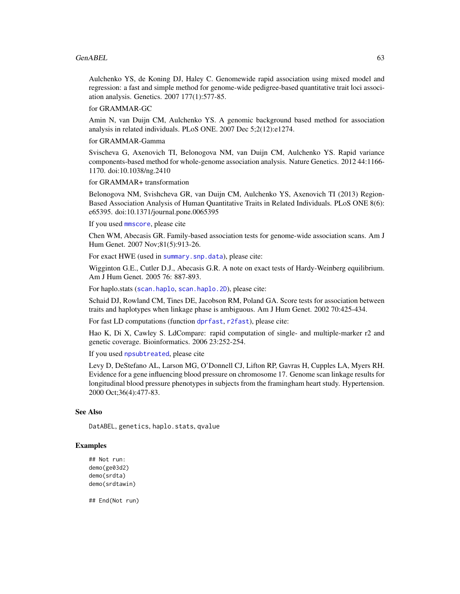#### $GenABEL$  63

Aulchenko YS, de Koning DJ, Haley C. Genomewide rapid association using mixed model and regression: a fast and simple method for genome-wide pedigree-based quantitative trait loci association analysis. Genetics. 2007 177(1):577-85.

for GRAMMAR-GC

Amin N, van Duijn CM, Aulchenko YS. A genomic background based method for association analysis in related individuals. PLoS ONE. 2007 Dec 5;2(12):e1274.

for GRAMMAR-Gamma

Svischeva G, Axenovich TI, Belonogova NM, van Duijn CM, Aulchenko YS. Rapid variance components-based method for whole-genome association analysis. Nature Genetics. 2012 44:1166- 1170. doi:10.1038/ng.2410

for GRAMMAR+ transformation

Belonogova NM, Svishcheva GR, van Duijn CM, Aulchenko YS, Axenovich TI (2013) Region-Based Association Analysis of Human Quantitative Traits in Related Individuals. PLoS ONE 8(6): e65395. doi:10.1371/journal.pone.0065395

If you used [mmscore](#page-85-0), please cite

Chen WM, Abecasis GR. Family-based association tests for genome-wide association scans. Am J Hum Genet. 2007 Nov;81(5):913-26.

For exact HWE (used in [summary.snp.data](#page-135-0)), please cite:

Wigginton G.E., Cutler D.J., Abecasis G.R. A note on exact tests of Hardy-Weinberg equilibrium. Am J Hum Genet. 2005 76: 887-893.

For haplo.stats ([scan.haplo](#page-119-0), [scan.haplo.2D](#page-121-0)), please cite:

Schaid DJ, Rowland CM, Tines DE, Jacobson RM, Poland GA. Score tests for association between traits and haplotypes when linkage phase is ambiguous. Am J Hum Genet. 2002 70:425-434.

For fast LD computations (function [dprfast](#page-42-0), [r2fast](#page-104-0)), please cite:

Hao K, Di X, Cawley S. LdCompare: rapid computation of single- and multiple-marker r2 and genetic coverage. Bioinformatics. 2006 23:252-254.

If you used [npsubtreated](#page-87-0), please cite

Levy D, DeStefano AL, Larson MG, O'Donnell CJ, Lifton RP, Gavras H, Cupples LA, Myers RH. Evidence for a gene influencing blood pressure on chromosome 17. Genome scan linkage results for longitudinal blood pressure phenotypes in subjects from the framingham heart study. Hypertension. 2000 Oct;36(4):477-83.

#### See Also

DatABEL, genetics, haplo.stats, qvalue

## Examples

```
## Not run:
demo(ge03d2)
demo(srdta)
demo(srdtawin)
```
## End(Not run)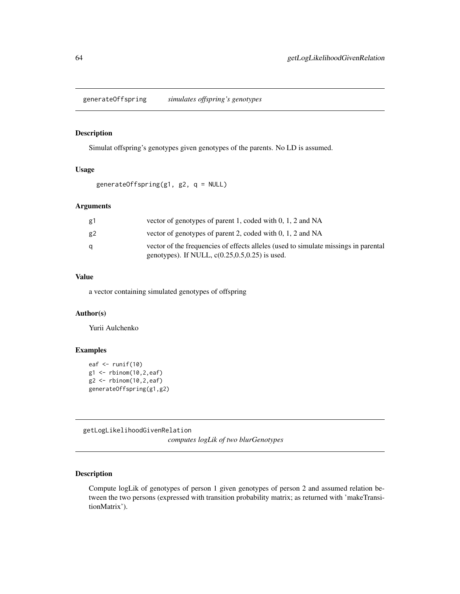generateOffspring *simulates offspring's genotypes*

## Description

Simulat offspring's genotypes given genotypes of the parents. No LD is assumed.

# Usage

generateOffspring(g1, g2, q = NULL)

# Arguments

| g1 | vector of genotypes of parent 1, coded with 0, 1, 2 and NA                                                                                |
|----|-------------------------------------------------------------------------------------------------------------------------------------------|
| g2 | vector of genotypes of parent 2, coded with 0, 1, 2 and NA                                                                                |
| a  | vector of the frequencies of effects alleles (used to simulate missings in parental<br>genotypes). If NULL, $c(0.25, 0.5, 0.25)$ is used. |

# Value

a vector containing simulated genotypes of offspring

# Author(s)

Yurii Aulchenko

## Examples

```
eaf \leftarrow runif(10)
g1 <- rbinom(10,2,eaf)
g2 <- rbinom(10,2,eaf)
generateOffspring(g1,g2)
```
getLogLikelihoodGivenRelation

*computes logLik of two blurGenotypes*

# Description

Compute logLik of genotypes of person 1 given genotypes of person 2 and assumed relation between the two persons (expressed with transition probability matrix; as returned with 'makeTransitionMatrix').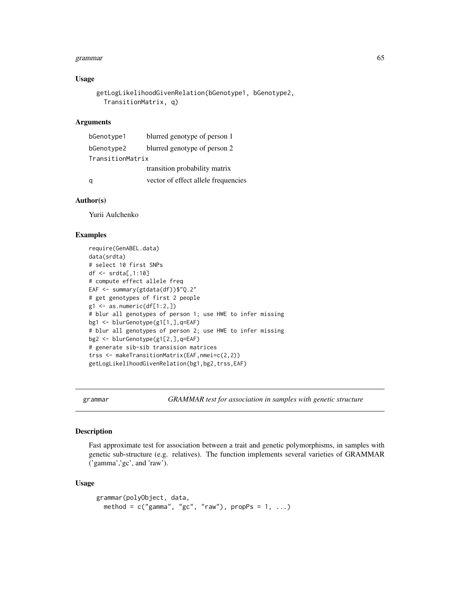#### grammar 65

#### Usage

```
getLogLikelihoodGivenRelation(bGenotype1, bGenotype2,
  TransitionMatrix, q)
```
#### **Arguments**

| bGenotype1       | blurred genotype of person 1        |
|------------------|-------------------------------------|
| bGenotype2       | blurred genotype of person 2        |
| TransitionMatrix |                                     |
|                  | transition probability matrix       |
|                  | vector of effect allele frequencies |

### Author(s)

Yurii Aulchenko

# Examples

```
require(GenABEL.data)
data(srdta)
# select 10 first SNPs
df <- srdta[,1:10]
# compute effect allele freq
EAF <- summary(gtdata(df))$"Q.2"
# get genotypes of first 2 people
g1 \leftarrow as.numeric(df[1:2,])# blur all genotypes of person 1; use HWE to infer missing
bg1 <- blurGenotype(g1[1,],q=EAF)
# blur all genotypes of person 2; use HWE to infer missing
bg2 <- blurGenotype(g1[2,],q=EAF)
# generate sib-sib transision matrices
trss <- makeTransitionMatrix(EAF,nmei=c(2,2))
getLogLikelihoodGivenRelation(bg1,bg2,trss,EAF)
```
<span id="page-64-0"></span>grammar *GRAMMAR test for association in samples with genetic structure*

#### Description

Fast approximate test for association between a trait and genetic polymorphisms, in samples with genetic sub-structure (e.g. relatives). The function implements several varieties of GRAMMAR ('gamma','gc', and 'raw').

## Usage

```
grammar(polyObject, data,
 method = c("gamma", "gc", "raw"), propPs = 1, ...)
```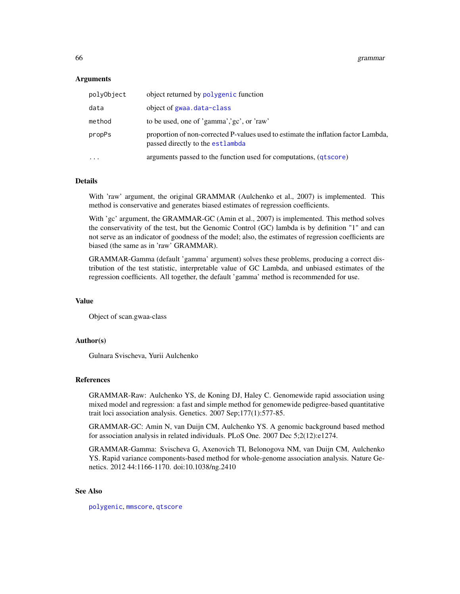#### Arguments

| polvObject | object returned by polygenic function                                                                                  |
|------------|------------------------------------------------------------------------------------------------------------------------|
| data       | object of gwaa.data-class                                                                                              |
| method     | to be used, one of 'gamma','gc', or 'raw'                                                                              |
| propPs     | proportion of non-corrected P-values used to estimate the inflation factor Lambda,<br>passed directly to the estlambda |
| $\ddots$   | arguments passed to the function used for computations, (qtscore)                                                      |

## Details

With 'raw' argument, the original GRAMMAR (Aulchenko et al., 2007) is implemented. This method is conservative and generates biased estimates of regression coefficients.

With 'gc' argument, the GRAMMAR-GC (Amin et al., 2007) is implemented. This method solves the conservativity of the test, but the Genomic Control (GC) lambda is by definition "1" and can not serve as an indicator of goodness of the model; also, the estimates of regression coefficients are biased (the same as in 'raw' GRAMMAR).

GRAMMAR-Gamma (default 'gamma' argument) solves these problems, producing a correct distribution of the test statistic, interpretable value of GC Lambda, and unbiased estimates of the regression coefficients. All together, the default 'gamma' method is recommended for use.

# Value

Object of scan.gwaa-class

### Author(s)

Gulnara Svischeva, Yurii Aulchenko

#### References

GRAMMAR-Raw: Aulchenko YS, de Koning DJ, Haley C. Genomewide rapid association using mixed model and regression: a fast and simple method for genomewide pedigree-based quantitative trait loci association analysis. Genetics. 2007 Sep;177(1):577-85.

GRAMMAR-GC: Amin N, van Duijn CM, Aulchenko YS. A genomic background based method for association analysis in related individuals. PLoS One. 2007 Dec 5;2(12):e1274.

GRAMMAR-Gamma: Svischeva G, Axenovich TI, Belonogova NM, van Duijn CM, Aulchenko YS. Rapid variance components-based method for whole-genome association analysis. Nature Genetics. 2012 44:1166-1170. doi:10.1038/ng.2410

#### See Also

[polygenic](#page-95-0), [mmscore](#page-85-0), [qtscore](#page-101-0)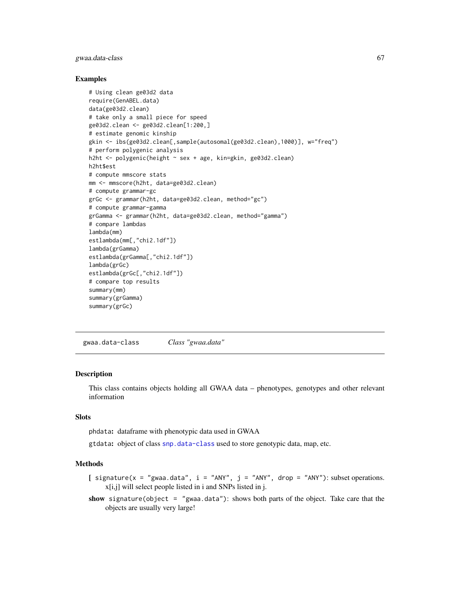### gwaa.data-class 67

### Examples

```
# Using clean ge03d2 data
require(GenABEL.data)
data(ge03d2.clean)
# take only a small piece for speed
ge03d2.clean <- ge03d2.clean[1:200,]
# estimate genomic kinship
gkin <- ibs(ge03d2.clean[,sample(autosomal(ge03d2.clean),1000)], w="freq")
# perform polygenic analysis
h2ht <- polygenic(height ~ sex + age, kin=gkin, ge03d2.clean)
h2ht$est
# compute mmscore stats
mm <- mmscore(h2ht, data=ge03d2.clean)
# compute grammar-gc
grGc <- grammar(h2ht, data=ge03d2.clean, method="gc")
# compute grammar-gamma
grGamma <- grammar(h2ht, data=ge03d2.clean, method="gamma")
# compare lambdas
lambda(mm)
estlambda(mm[,"chi2.1df"])
lambda(grGamma)
estlambda(grGamma[,"chi2.1df"])
lambda(grGc)
estlambda(grGc[,"chi2.1df"])
# compare top results
summary(mm)
summary(grGamma)
summary(grGc)
```
<span id="page-66-0"></span>gwaa.data-class *Class "gwaa.data"*

#### Description

This class contains objects holding all GWAA data – phenotypes, genotypes and other relevant information

## Slots

phdata: dataframe with phenotypic data used in GWAA

gtdata: object of class [snp.data-class](#page-125-0) used to store genotypic data, map, etc.

## Methods

[ signature( $x = "g$ waa.data", i = "ANY", j = "ANY", drop = "ANY"): subset operations. x[i,j] will select people listed in i and SNPs listed in j.

show signature(object = "gwaa.data"): shows both parts of the object. Take care that the objects are usually very large!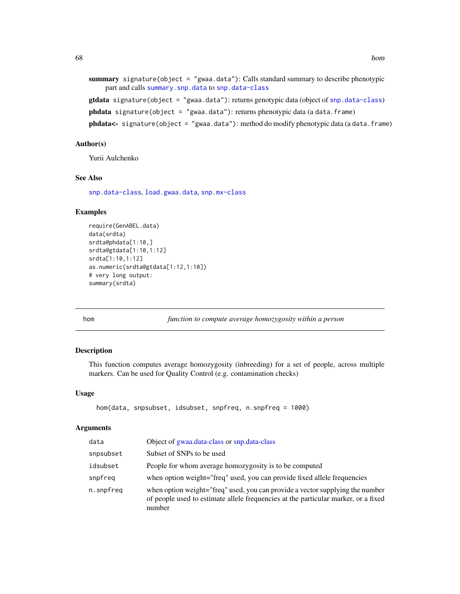```
summary signature(object = "gwaa.data"): Calls standard summary to describe phenotypic
    part and calls summary.snp.data to snp.data-class
gtdata signature(object = "gwaa.data"): returns genotypic data (object of snp.data-class)
phdata signature(object = "gwaa.data"): returns phenotypic data (a data.frame)
```
phdata<- signature(object = "gwaa.data"): method do modify phenotypic data (a data.frame)

#### Author(s)

Yurii Aulchenko

## See Also

[snp.data-class](#page-125-0), [load.gwaa.data](#page-76-0), [snp.mx-class](#page-127-0)

## Examples

```
require(GenABEL.data)
data(srdta)
srdta@phdata[1:10,]
srdta@gtdata[1:10,1:12]
srdta[1:10,1:12]
as.numeric(srdta@gtdata[1:12,1:10])
# very long output:
summary(srdta)
```
<span id="page-67-0"></span>hom *function to compute average homozygosity within a person*

#### Description

This function computes average homozygosity (inbreeding) for a set of people, across multiple markers. Can be used for Quality Control (e.g. contamination checks)

#### Usage

```
hom(data, snpsubset, idsubset, snpfreq, n.snpfreq = 1000)
```
## Arguments

| data      | Object of gwaa.data-class or snp.data-class                                                                                                                                   |
|-----------|-------------------------------------------------------------------------------------------------------------------------------------------------------------------------------|
| snpsubset | Subset of SNPs to be used                                                                                                                                                     |
| idsubset  | People for whom average homozygosity is to be computed                                                                                                                        |
| snpfreq   | when option weight="freq" used, you can provide fixed allele frequencies                                                                                                      |
| n.snpfreq | when option weight="freq" used, you can provide a vector supplying the number<br>of people used to estimate allele frequencies at the particular marker, or a fixed<br>number |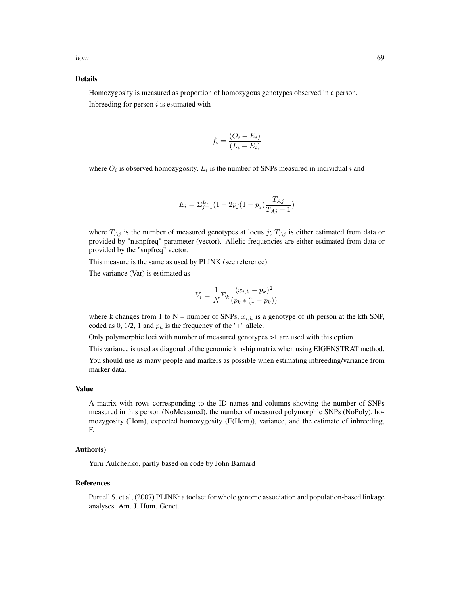#### Details

Homozygosity is measured as proportion of homozygous genotypes observed in a person. Inbreeding for person  $i$  is estimated with

$$
f_i = \frac{(O_i - E_i)}{(L_i - E_i)}
$$

where  $O_i$  is observed homozygosity,  $L_i$  is the number of SNPs measured in individual i and

$$
E_i = \sum_{j=1}^{L_i} (1 - 2p_j(1 - p_j) \frac{T_{Aj}}{T_{Aj} - 1})
$$

where  $T_{Aj}$  is the number of measured genotypes at locus j;  $T_{Aj}$  is either estimated from data or provided by "n.snpfreq" parameter (vector). Allelic frequencies are either estimated from data or provided by the "snpfreq" vector.

This measure is the same as used by PLINK (see reference).

The variance (Var) is estimated as

$$
V_i = \frac{1}{N} \sum_{k} \frac{(x_{i,k} - p_k)^2}{(p_k * (1 - p_k))}
$$

where k changes from 1 to N = number of SNPs,  $x_{i,k}$  is a genotype of ith person at the kth SNP, coded as 0, 1/2, 1 and  $p_k$  is the frequency of the "+" allele.

Only polymorphic loci with number of measured genotypes >1 are used with this option.

This variance is used as diagonal of the genomic kinship matrix when using EIGENSTRAT method.

You should use as many people and markers as possible when estimating inbreeding/variance from marker data.

#### Value

A matrix with rows corresponding to the ID names and columns showing the number of SNPs measured in this person (NoMeasured), the number of measured polymorphic SNPs (NoPoly), homozygosity (Hom), expected homozygosity (E(Hom)), variance, and the estimate of inbreeding, F.

## Author(s)

Yurii Aulchenko, partly based on code by John Barnard

## References

Purcell S. et al, (2007) PLINK: a toolset for whole genome association and population-based linkage analyses. Am. J. Hum. Genet.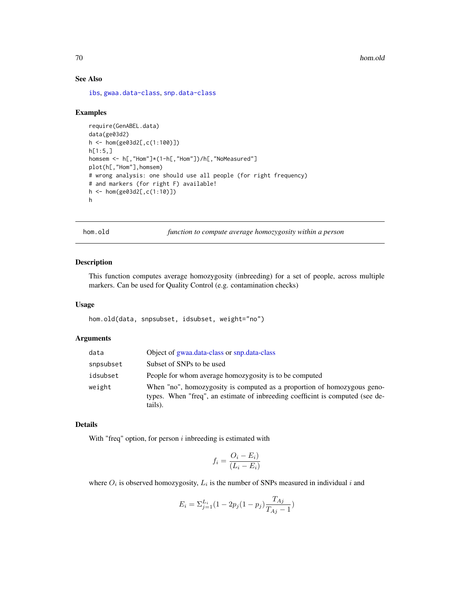# See Also

[ibs](#page-71-0), [gwaa.data-class](#page-66-0), [snp.data-class](#page-125-0)

#### Examples

```
require(GenABEL.data)
data(ge03d2)
h <- hom(ge03d2[,c(1:100)])
h[1:5,]homsem <- h[,"Hom"]*(1-h[,"Hom"])/h[,"NoMeasured"]
plot(h[,"Hom"],homsem)
# wrong analysis: one should use all people (for right frequency)
# and markers (for right F) available!
h <- hom(ge03d2[,c(1:10)])
h
```
hom.old *function to compute average homozygosity within a person*

## Description

This function computes average homozygosity (inbreeding) for a set of people, across multiple markers. Can be used for Quality Control (e.g. contamination checks)

#### Usage

hom.old(data, snpsubset, idsubset, weight="no")

# Arguments

| data      | Object of gwaa.data-class or snp.data-class                                                                                                                         |
|-----------|---------------------------------------------------------------------------------------------------------------------------------------------------------------------|
| snpsubset | Subset of SNPs to be used                                                                                                                                           |
| idsubset  | People for whom average homozygosity is to be computed                                                                                                              |
| weight    | When "no", homozygosity is computed as a proportion of homozygous geno-<br>types. When "freq", an estimate of inbreeding coefficint is computed (see de-<br>tails). |

# Details

With "freq" option, for person  $i$  inbreeding is estimated with

$$
f_i = \frac{O_i - E_i)}{(L_i - E_i)}
$$

where  $O_i$  is observed homozygosity,  $L_i$  is the number of SNPs measured in individual i and

$$
E_i = \sum_{j=1}^{L_i} (1 - 2p_j(1 - p_j) \frac{T_{Aj}}{T_{Aj} - 1})
$$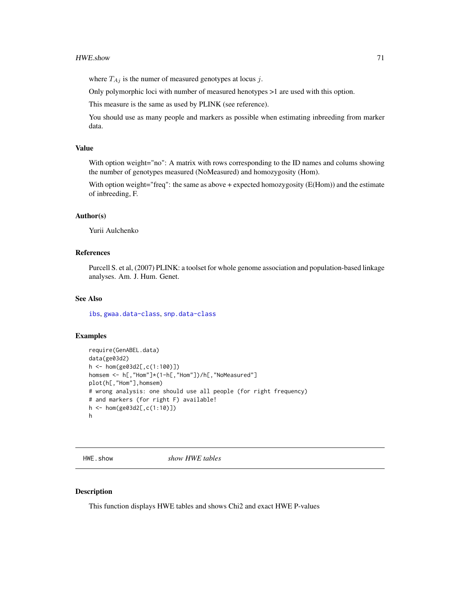where  $T_{Ai}$  is the numer of measured genotypes at locus j.

Only polymorphic loci with number of measured henotypes >1 are used with this option.

This measure is the same as used by PLINK (see reference).

You should use as many people and markers as possible when estimating inbreeding from marker data.

## Value

With option weight="no": A matrix with rows corresponding to the ID names and colums showing the number of genotypes measured (NoMeasured) and homozygosity (Hom).

With option weight="freq": the same as above + expected homozygosity (E(Hom)) and the estimate of inbreeding, F.

#### Author(s)

Yurii Aulchenko

### References

Purcell S. et al, (2007) PLINK: a toolset for whole genome association and population-based linkage analyses. Am. J. Hum. Genet.

#### See Also

[ibs](#page-71-0), [gwaa.data-class](#page-66-0), [snp.data-class](#page-125-0)

#### Examples

```
require(GenABEL.data)
data(ge03d2)
h <- hom(ge03d2[,c(1:100)])
homsem <- h[,"Hom"]*(1-h[,"Hom"])/h[,"NoMeasured"]
plot(h[,"Hom"],homsem)
# wrong analysis: one should use all people (for right frequency)
# and markers (for right F) available!
h <- hom(ge03d2[,c(1:10)])
h
```
<span id="page-70-0"></span>HWE.show *show HWE tables*

## Description

This function displays HWE tables and shows Chi2 and exact HWE P-values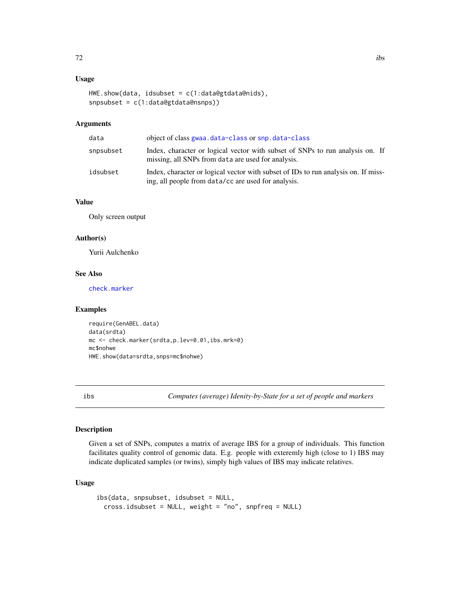# Usage

```
HWE.show(data, idsubset et = c(1:data@gtdata@nids),snpsubset = c(1:data@gtdata@nsnps))
```
# Arguments

| data      | object of class gwaa.data-class or snp.data-class                                                                                         |
|-----------|-------------------------------------------------------------------------------------------------------------------------------------------|
| snpsubset | Index, character or logical vector with subset of SNPs to run analysis on. If<br>missing, all SNPs from data are used for analysis.       |
| idsubset  | Index, character or logical vector with subset of IDs to run analysis on. If miss-<br>ing, all people from data/cc are used for analysis. |

# Value

Only screen output

#### Author(s)

Yurii Aulchenko

## See Also

[check.marker](#page-21-0)

## Examples

```
require(GenABEL.data)
data(srdta)
mc <- check.marker(srdta,p.lev=0.01,ibs.mrk=0)
mc$nohwe
HWE.show(data=srdta,snps=mc$nohwe)
```
<span id="page-71-0"></span>ibs *Computes (average) Idenity-by-State for a set of people and markers*

## Description

Given a set of SNPs, computes a matrix of average IBS for a group of individuals. This function facilitates quality control of genomic data. E.g. people with exteremly high (close to 1) IBS may indicate duplicated samples (or twins), simply high values of IBS may indicate relatives.

## Usage

```
ibs(data, snpsubset, idsubset = NULL,
 cross.idsubset = NULL, weight = "no", snpfreq = NULL)
```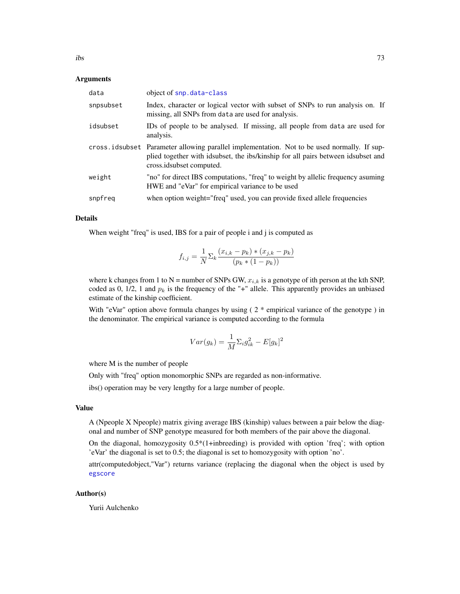### Arguments

| data      | object of snp.data-class                                                                                                                                                                                    |
|-----------|-------------------------------------------------------------------------------------------------------------------------------------------------------------------------------------------------------------|
| snpsubset | Index, character or logical vector with subset of SNPs to run analysis on. If<br>missing, all SNPs from data are used for analysis.                                                                         |
| idsubset  | IDs of people to be analysed. If missing, all people from data are used for<br>analysis.                                                                                                                    |
|           | cross idsubset Parameter allowing parallel implementation. Not to be used normally. If sup-<br>plied together with idsubset, the ibs/kinship for all pairs between idsubset and<br>cross.idsubset computed. |
| weight    | "no" for direct IBS computations, "freq" to weight by allelic frequency asuming<br>HWE and "eVar" for empirical variance to be used                                                                         |
| snpfreq   | when option weight="freq" used, you can provide fixed allele frequencies                                                                                                                                    |

### Details

When weight "freq" is used, IBS for a pair of people i and j is computed as

$$
f_{i,j} = \frac{1}{N} \sum_{k} \frac{(x_{i,k} - p_k) * (x_{j,k} - p_k)}{(p_k * (1 - p_k))}
$$

where k changes from 1 to N = number of SNPs GW,  $x_{i,k}$  is a genotype of ith person at the kth SNP, coded as 0, 1/2, 1 and  $p_k$  is the frequency of the "+" allele. This apparently provides an unbiased estimate of the kinship coefficient.

With "eVar" option above formula changes by using  $(2 *$  empirical variance of the genotype) in the denominator. The empirical variance is computed according to the formula

$$
Var(g_k) = \frac{1}{M} \Sigma_i g_{ik}^2 - E[g_k]^2
$$

where M is the number of people

Only with "freq" option monomorphic SNPs are regarded as non-informative.

ibs() operation may be very lengthy for a large number of people.

# Value

A (Npeople X Npeople) matrix giving average IBS (kinship) values between a pair below the diagonal and number of SNP genotype measured for both members of the pair above the diagonal.

On the diagonal, homozygosity  $0.5*(1+inhreeding)$  is provided with option 'freq'; with option 'eVar' the diagonal is set to 0.5; the diagonal is set to homozygosity with option 'no'.

attr(computedobject,"Var") returns variance (replacing the diagonal when the object is used by [egscore](#page-43-0)

### Author(s)

Yurii Aulchenko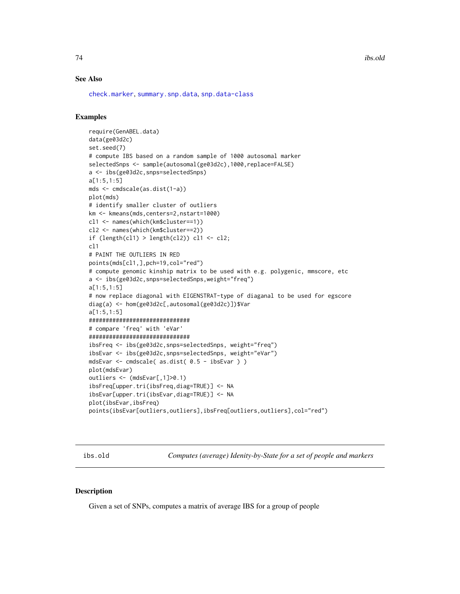74 ibs.old

### See Also

[check.marker](#page-21-0), [summary.snp.data](#page-135-0), [snp.data-class](#page-125-0)

### Examples

```
require(GenABEL.data)
data(ge03d2c)
set.seed(7)
# compute IBS based on a random sample of 1000 autosomal marker
selectedSnps <- sample(autosomal(ge03d2c),1000,replace=FALSE)
a <- ibs(ge03d2c,snps=selectedSnps)
a[1:5,1:5]
mds <- cmdscale(as.dist(1-a))
plot(mds)
# identify smaller cluster of outliers
km <- kmeans(mds,centers=2,nstart=1000)
cl1 <- names(which(km$cluster==1))
cl2 <- names(which(km$cluster==2))
if (length(cl1) > length(cl2)) cl1 <- cl2;
cl1
# PAINT THE OUTLIERS IN RED
points(mds[cl1,],pch=19,col="red")
# compute genomic kinship matrix to be used with e.g. polygenic, mmscore, etc
a <- ibs(ge03d2c,snps=selectedSnps,weight="freq")
a[1:5,1:5]
# now replace diagonal with EIGENSTRAT-type of diaganal to be used for egscore
diag(a) <- hom(ge03d2c[,autosomal(ge03d2c)])$Var
a[1:5,1:5]
##############################
# compare 'freq' with 'eVar'
##############################
ibsFreq <- ibs(ge03d2c,snps=selectedSnps, weight="freq")
ibsEvar <- ibs(ge03d2c,snps=selectedSnps, weight="eVar")
mdsEvar <- cmdscale( as.dist( 0.5 - ibsEvar ) )
plot(mdsEvar)
outliers <- (mdsEvar[,1]>0.1)
ibsFreq[upper.tri(ibsFreq,diag=TRUE)] <- NA
ibsEvar[upper.tri(ibsEvar,diag=TRUE)] <- NA
plot(ibsEvar,ibsFreq)
points(ibsEvar[outliers,outliers],ibsFreq[outliers,outliers],col="red")
```
ibs.old *Computes (average) Idenity-by-State for a set of people and markers*

#### Description

Given a set of SNPs, computes a matrix of average IBS for a group of people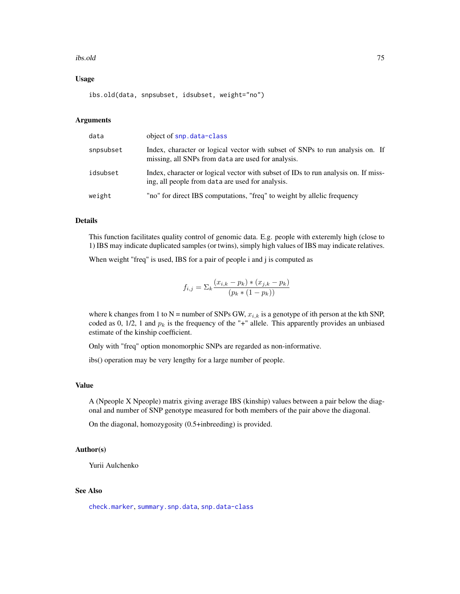#### ibs.old 75

### Usage

ibs.old(data, snpsubset, idsubset, weight="no")

### Arguments

| data      | object of snp. data-class                                                                                                              |
|-----------|----------------------------------------------------------------------------------------------------------------------------------------|
| snpsubset | Index, character or logical vector with subset of SNPs to run analysis on. If<br>missing, all SNPs from data are used for analysis.    |
| idsubset  | Index, character or logical vector with subset of IDs to run analysis on. If miss-<br>ing, all people from data are used for analysis. |
| weight    | "no" for direct IBS computations, "freq" to weight by allelic frequency                                                                |

# Details

This function facilitates quality control of genomic data. E.g. people with exteremly high (close to 1) IBS may indicate duplicated samples (or twins), simply high values of IBS may indicate relatives.

When weight "freq" is used, IBS for a pair of people i and j is computed as

$$
f_{i,j} = \sum_{k} \frac{(x_{i,k} - p_k) * (x_{j,k} - p_k)}{(p_k * (1 - p_k))}
$$

where k changes from 1 to N = number of SNPs GW,  $x_{i,k}$  is a genotype of ith person at the kth SNP, coded as 0, 1/2, 1 and  $p_k$  is the frequency of the "+" allele. This apparently provides an unbiased estimate of the kinship coefficient.

Only with "freq" option monomorphic SNPs are regarded as non-informative.

ibs() operation may be very lengthy for a large number of people.

# Value

A (Npeople X Npeople) matrix giving average IBS (kinship) values between a pair below the diagonal and number of SNP genotype measured for both members of the pair above the diagonal.

On the diagonal, homozygosity (0.5+inbreeding) is provided.

### Author(s)

Yurii Aulchenko

# See Also

[check.marker](#page-21-0), [summary.snp.data](#page-135-0), [snp.data-class](#page-125-0)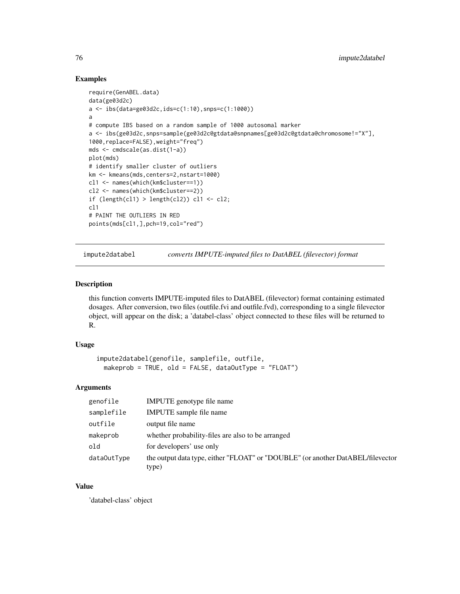# Examples

```
require(GenABEL.data)
data(ge03d2c)
a \leftarrow ibs(data=ge03d2c,ids=c(1:10),sps=c(1:1000))a
# compute IBS based on a random sample of 1000 autosomal marker
a <- ibs(ge03d2c,snps=sample(ge03d2c@gtdata@snpnames[ge03d2c@gtdata@chromosome!="X"],
1000,replace=FALSE),weight="freq")
mds <- cmdscale(as.dist(1-a))
plot(mds)
# identify smaller cluster of outliers
km <- kmeans(mds,centers=2,nstart=1000)
cl1 <- names(which(km$cluster==1))
cl2 <- names(which(km$cluster==2))
if (length(cl1) > length(cl2)) cl1 <- cl2;
cl1
# PAINT THE OUTLIERS IN RED
points(mds[cl1,],pch=19,col="red")
```
impute2databel *converts IMPUTE-imputed files to DatABEL (filevector) format*

### Description

this function converts IMPUTE-imputed files to DatABEL (filevector) format containing estimated dosages. After conversion, two files (outfile.fvi and outfile.fvd), corresponding to a single filevector object, will appear on the disk; a 'databel-class' object connected to these files will be returned to R.

### Usage

```
impute2databel(genofile, samplefile, outfile,
 makeprob = TRUE, old = FALSE, dataOutType = "FLOAT")
```
### Arguments

| genofile    | IMPUTE genotype file name                                                                |
|-------------|------------------------------------------------------------------------------------------|
| samplefile  | IMPUTE sample file name                                                                  |
| outfile     | output file name                                                                         |
| makeprob    | whether probability-files are also to be arranged                                        |
| old         | for developers' use only                                                                 |
| dataOutType | the output data type, either "FLOAT" or "DOUBLE" (or another DatABEL/filevector<br>type) |

### Value

'databel-class' object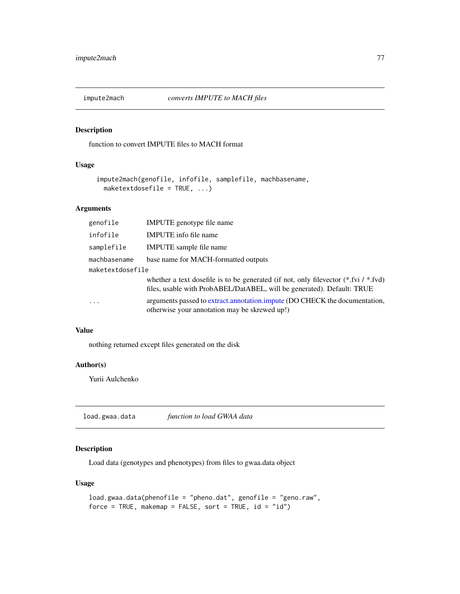# Description

function to convert IMPUTE files to MACH format

# Usage

```
impute2mach(genofile, infofile, samplefile, machbasename,
 maketextdosefile = TRUE, ...)
```
# Arguments

| genofile         | <b>IMPUTE</b> genotype file name                                                                                                                                  |
|------------------|-------------------------------------------------------------------------------------------------------------------------------------------------------------------|
| infofile         | <b>IMPUTE</b> info file name                                                                                                                                      |
| samplefile       | <b>IMPUTE</b> sample file name                                                                                                                                    |
| machbasename     | base name for MACH-formatted outputs                                                                                                                              |
| maketextdosefile |                                                                                                                                                                   |
|                  | whether a text dosefile is to be generated (if not, only filevector $(*.$ fvi $/*$ fvd)<br>files, usable with ProbABEL/DatABEL, will be generated). Default: TRUE |
|                  | arguments passed to extract.annotation.impute (DO CHECK the documentation,<br>otherwise your annotation may be skrewed up!)                                       |

# Value

nothing returned except files generated on the disk

# Author(s)

Yurii Aulchenko

load.gwaa.data *function to load GWAA data*

# Description

Load data (genotypes and phenotypes) from files to gwaa.data object

# Usage

```
load.gwaa.data(phenofile = "pheno.dat", genofile = "geno.raw",
force = TRUE, makemap = FALSE, sort = TRUE, id = "id")
```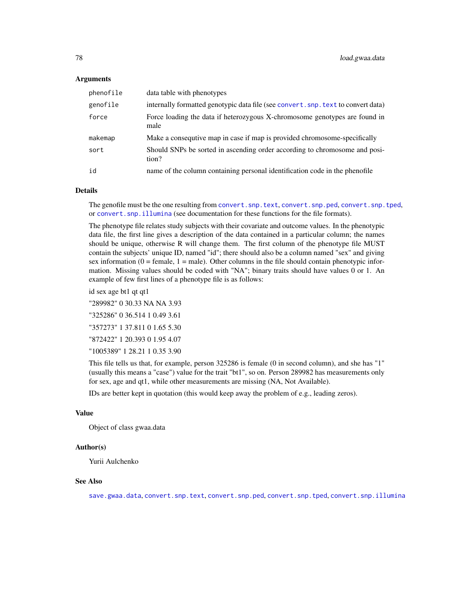### Arguments

| phenofile | data table with phenotypes                                                          |
|-----------|-------------------------------------------------------------------------------------|
| genofile  | internally formatted genotypic data file (see convert. snp. text to convert data)   |
| force     | Force loading the data if heterozygous X-chromosome genotypes are found in<br>male  |
| makemap   | Make a consequtive map in case if map is provided chromosome-specifically           |
| sort      | Should SNPs be sorted in ascending order according to chromosome and posi-<br>tion? |
| id        | name of the column containing personal identification code in the phenofile         |

# Details

The genofile must be the one resulting from convert. snp.text, convert. snp.ped, convert. snp.tped, or [convert.snp.illumina](#page-30-0) (see documentation for these functions for the file formats).

The phenotype file relates study subjects with their covariate and outcome values. In the phenotypic data file, the first line gives a description of the data contained in a particular column; the names should be unique, otherwise R will change them. The first column of the phenotype file MUST contain the subjects' unique ID, named "id"; there should also be a column named "sex" and giving sex information  $(0 = \text{female}, 1 = \text{male})$ . Other columns in the file should contain phenotypic information. Missing values should be coded with "NA"; binary traits should have values 0 or 1. An example of few first lines of a phenotype file is as follows:

id sex age bt1 qt qt1

"289982" 0 30.33 NA NA 3.93 "325286" 0 36.514 1 0.49 3.61 "357273" 1 37.811 0 1.65 5.30 "872422" 1 20.393 0 1.95 4.07 "1005389" 1 28.21 1 0.35 3.90

This file tells us that, for example, person 325286 is female (0 in second column), and she has "1" (usually this means a "case") value for the trait "bt1", so on. Person 289982 has measurements only for sex, age and qt1, while other measurements are missing (NA, Not Available).

IDs are better kept in quotation (this would keep away the problem of e.g., leading zeros).

# Value

Object of class gwaa.data

### Author(s)

Yurii Aulchenko

#### See Also

[save.gwaa.data](#page-113-0), [convert.snp.text](#page-35-0), [convert.snp.ped](#page-33-0), [convert.snp.tped](#page-36-0), [convert.snp.illumina](#page-30-0)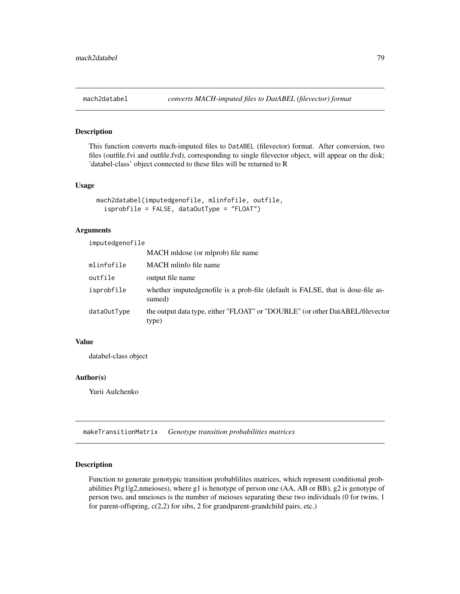# Description

This function converts mach-imputed files to DatABEL (filevector) format. After conversion, two files (outfile.fvi and outfile.fvd), corresponding to single filevector object, will appear on the disk; 'databel-class' object connected to these files will be returned to R

### Usage

```
mach2databel(imputedgenofile, mlinfofile, outfile,
  isprobfile = FALSE, dataOutType = "FLOAT")
```
# Arguments

imputedgenofile

|             | MACH mldose (or mlprob) file name                                                          |
|-------------|--------------------------------------------------------------------------------------------|
| mlinfofile  | MACH mlinfo file name                                                                      |
| outfile     | output file name                                                                           |
| isprobfile  | whether imputed genofile is a prob-file (default is FALSE, that is dose-file as-<br>sumed) |
| data0utType | the output data type, either "FLOAT" or "DOUBLE" (or other DatABEL/filevector<br>type)     |

# Value

databel-class object

#### Author(s)

Yurii Aulchenko

makeTransitionMatrix *Genotype transition probabilities matrices*

### Description

Function to generate genotypic transition probablilites matrices, which represent conditional probabilities P(g1|g2,nmeioses), where g1 is henotype of person one (AA, AB or BB), g2 is genotype of person two, and nmeioses is the number of meioses separating these two individuals (0 for twins, 1 for parent-offspring, c(2,2) for sibs, 2 for grandparent-grandchild pairs, etc.)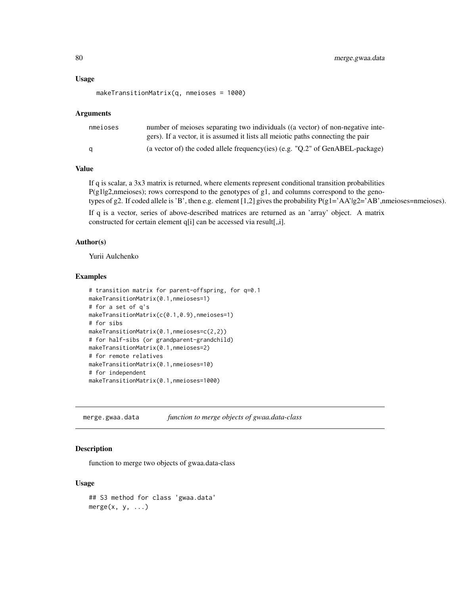#### Usage

```
makeTransitionMatrix(q, nmeioses = 1000)
```
#### Arguments

| nmeioses | number of meioses separating two individuals ((a vector) of non-negative inte-    |
|----------|-----------------------------------------------------------------------------------|
|          | gers). If a vector, it is assumed it lists all meiotic paths connecting the pair  |
| a        | (a vector of) the coded allele frequency (ies) $(e.g., "Q.2"$ of GenABEL-package) |

# Value

If q is scalar, a 3x3 matrix is returned, where elements represent conditional transition probabilities P(g1|g2,nmeioses); rows correspond to the genotypes of g1, and columns correspond to the genotypes of g2. If coded allele is 'B', then e.g. element [1,2] gives the probability  $P(g1 = 'AA' | g2 = 'AB'$ , nmeioses=nmeioses).

If q is a vector, series of above-described matrices are returned as an 'array' object. A matrix constructed for certain element q[i] can be accessed via result[,,i].

### Author(s)

Yurii Aulchenko

#### Examples

```
# transition matrix for parent-offspring, for q=0.1
makeTransitionMatrix(0.1,nmeioses=1)
# for a set of q's
makeTransitionMatrix(c(0.1,0.9),nmeioses=1)
# for sibs
makeTransitionMatrix(0.1,nmeioses=c(2,2))
# for half-sibs (or grandparent-grandchild)
makeTransitionMatrix(0.1,nmeioses=2)
# for remote relatives
makeTransitionMatrix(0.1,nmeioses=10)
# for independent
makeTransitionMatrix(0.1,nmeioses=1000)
```
<span id="page-79-0"></span>merge.gwaa.data *function to merge objects of gwaa.data-class*

### Description

function to merge two objects of gwaa.data-class

### Usage

```
## S3 method for class 'gwaa.data'
merge(x, y, \ldots)
```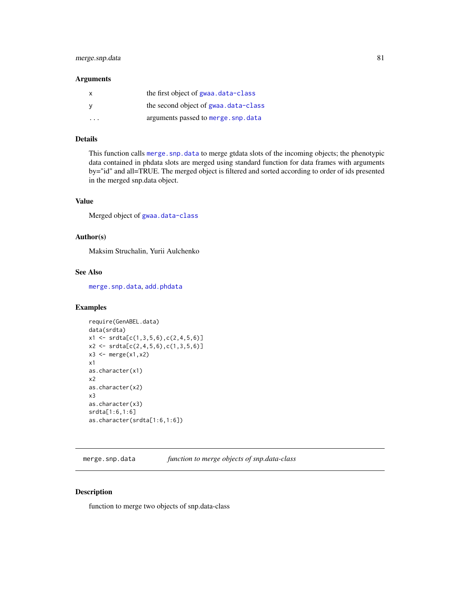# merge.snp.data 81

### Arguments

| x | the first object of gwaa.data-class   |
|---|---------------------------------------|
|   | the second object of gwaa, data-class |
| . | arguments passed to merge.snp.data    |

### Details

This function calls [merge.snp.data](#page-80-0) to merge gtdata slots of the incoming objects; the phenotypic data contained in phdata slots are merged using standard function for data frames with arguments by="id" and all=TRUE. The merged object is filtered and sorted according to order of ids presented in the merged snp.data object.

#### Value

Merged object of [gwaa.data-class](#page-66-0)

#### Author(s)

Maksim Struchalin, Yurii Aulchenko

### See Also

[merge.snp.data](#page-80-0), [add.phdata](#page-3-0)

# Examples

```
require(GenABEL.data)
data(srdta)
x1 \leftarrow \text{srdta}[c(1,3,5,6), c(2,4,5,6)]x2 \leq -\text{srdta}[c(2,4,5,6), c(1,3,5,6)]x3 \leftarrow merge(x1, x2)x1
as.character(x1)
x2
as.character(x2)
x3
as.character(x3)
srdta[1:6,1:6]
as.character(srdta[1:6,1:6])
```
<span id="page-80-0"></span>merge.snp.data *function to merge objects of snp.data-class*

# Description

function to merge two objects of snp.data-class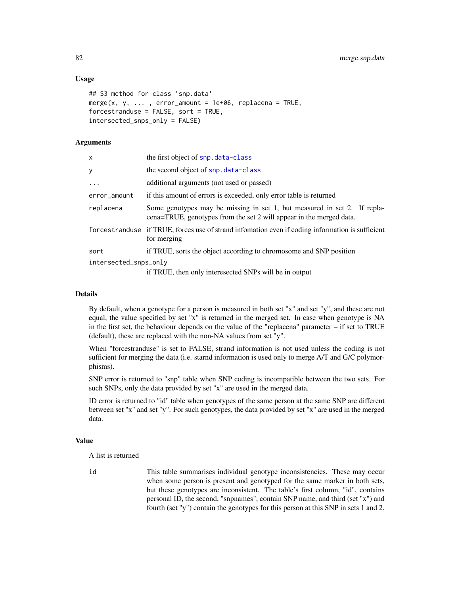### Usage

```
## S3 method for class 'snp.data'
merge(x, y, ..., error_amount = 1e+06, replacena = TRUE,
forcestranduse = FALSE, sort = TRUE,
intersected_snps_only = FALSE)
```
### Arguments

| x                     | the first object of snp. data-class                                                                                                             |
|-----------------------|-------------------------------------------------------------------------------------------------------------------------------------------------|
| y                     | the second object of snp. data-class                                                                                                            |
| $\ddots$              | additional arguments (not used or passed)                                                                                                       |
| error_amount          | if this amount of errors is exceeded, only error table is returned                                                                              |
| replacena             | Some genotypes may be missing in set 1, but measured in set 2. If repla-<br>cena=TRUE, genotypes from the set 2 will appear in the merged data. |
|                       | forcestranduse if TRUE, forces use of strand information even if coding information is sufficient<br>for merging                                |
| sort                  | if TRUE, sorts the object according to chromosome and SNP position                                                                              |
| intersected_snps_only | if TRUE, then only interesected SNPs will be in output                                                                                          |

# Details

By default, when a genotype for a person is measured in both set "x" and set "y", and these are not equal, the value specified by set "x" is returned in the merged set. In case when genotype is NA in the first set, the behaviour depends on the value of the "replacena" parameter – if set to TRUE (default), these are replaced with the non-NA values from set "y".

When "forcestranduse" is set to FALSE, strand information is not used unless the coding is not sufficient for merging the data (i.e. starnd information is used only to merge A/T and G/C polymorphisms).

SNP error is returned to "snp" table when SNP coding is incompatible between the two sets. For such SNPs, only the data provided by set "x" are used in the merged data.

ID error is returned to "id" table when genotypes of the same person at the same SNP are different between set "x" and set "y". For such genotypes, the data provided by set "x" are used in the merged data.

### Value

A list is returned

id This table summarises individual genotype inconsistencies. These may occur when some person is present and genotyped for the same marker in both sets, but these genotypes are inconsistent. The table's first column, "id", contains personal ID, the second, "snpnames", contain SNP name, and third (set "x") and fourth (set "y") contain the genotypes for this person at this SNP in sets 1 and 2.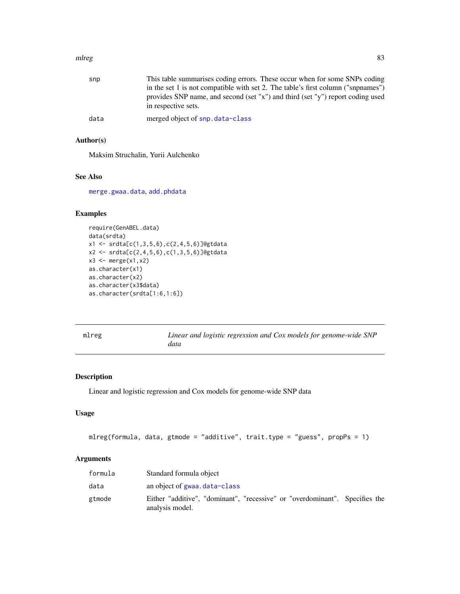#### mlreg the state of the state of the state of the state of the state of the state of the state of the state of the state of the state of the state of the state of the state of the state of the state of the state of the stat

| snp  | This table summarises coding errors. These occur when for some SNPs coding                            |
|------|-------------------------------------------------------------------------------------------------------|
|      | in the set 1 is not compatible with set 2. The table's first column ("snpnames")                      |
|      | provides SNP name, and second (set "x") and third (set "y") report coding used<br>in respective sets. |
| data | merged object of snp.data-class                                                                       |

# Author(s)

Maksim Struchalin, Yurii Aulchenko

# See Also

[merge.gwaa.data](#page-79-0), [add.phdata](#page-3-0)

### Examples

```
require(GenABEL.data)
data(srdta)
x1 <- srdta[c(1,3,5,6),c(2,4,5,6)]@gtdata
x2 <- srdta[c(2,4,5,6),c(1,3,5,6)]@gtdata
x3 \leftarrow merge(x1, x2)as.character(x1)
as.character(x2)
as.character(x3$data)
as.character(srdta[1:6,1:6])
```
<span id="page-82-0"></span>mlreg *Linear and logistic regression and Cox models for genome-wide SNP data*

### Description

Linear and logistic regression and Cox models for genome-wide SNP data

## Usage

```
mlreg(formula, data, gtmode = "additive", trait.type = "guess", propPs = 1)
```
### Arguments

| formula | Standard formula object                                                                        |
|---------|------------------------------------------------------------------------------------------------|
| data    | an object of gwaa, data-class                                                                  |
| gtmode  | Either "additive", "dominant", "recessive" or "overdominant". Specifies the<br>analysis model. |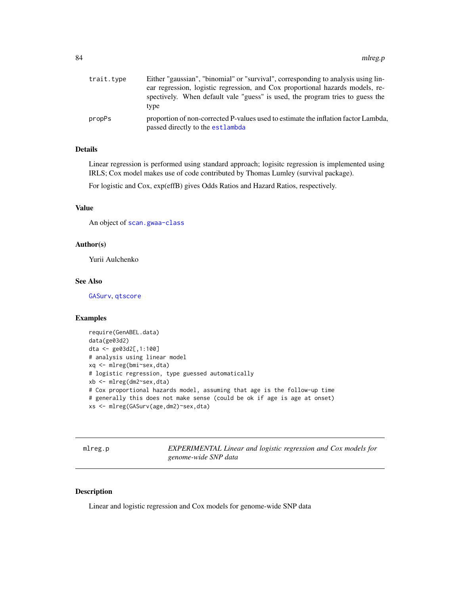| trait.type | Either "gaussian", "binomial" or "survival", corresponding to analysis using lin-                                      |
|------------|------------------------------------------------------------------------------------------------------------------------|
|            | ear regression, logistic regression, and Cox proportional hazards models, re-                                          |
|            | spectively. When default vale "guess" is used, the program tries to guess the                                          |
|            | type                                                                                                                   |
| propPs     | proportion of non-corrected P-values used to estimate the inflation factor Lambda,<br>passed directly to the estlambda |

# Details

Linear regression is performed using standard approach; logisitc regression is implemented using IRLS; Cox model makes use of code contributed by Thomas Lumley (survival package).

For logistic and Cox, exp(effB) gives Odds Ratios and Hazard Ratios, respectively.

#### Value

An object of [scan.gwaa-class](#page-116-0)

# Author(s)

Yurii Aulchenko

# See Also

[GASurv](#page-59-0), [qtscore](#page-101-0)

### Examples

```
require(GenABEL.data)
data(ge03d2)
dta <- ge03d2[,1:100]
# analysis using linear model
xq <- mlreg(bmi~sex,dta)
# logistic regression, type guessed automatically
xb <- mlreg(dm2~sex,dta)
# Cox proportional hazards model, assuming that age is the follow-up time
# generally this does not make sense (could be ok if age is age at onset)
xs <- mlreg(GASurv(age,dm2)~sex,dta)
```
mlreg.p *EXPERIMENTAL Linear and logistic regression and Cox models for genome-wide SNP data*

# Description

Linear and logistic regression and Cox models for genome-wide SNP data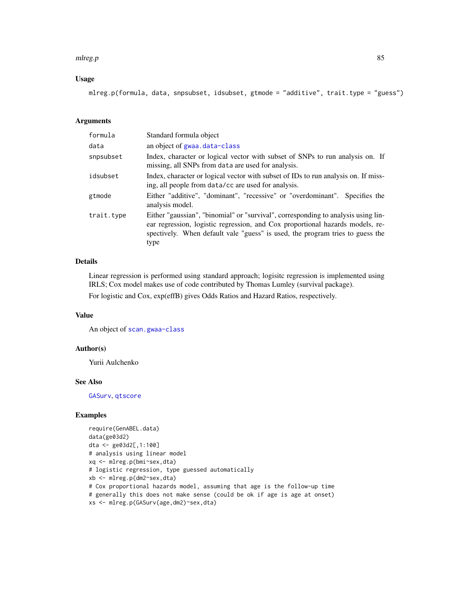#### mlreg.p 85

# Usage

mlreg.p(formula, data, snpsubset, idsubset, gtmode = "additive", trait.type = "guess")

# Arguments

| formula    | Standard formula object                                                                                                                                                                                                                                     |
|------------|-------------------------------------------------------------------------------------------------------------------------------------------------------------------------------------------------------------------------------------------------------------|
| data       | an object of gwaa.data-class                                                                                                                                                                                                                                |
| snpsubset  | Index, character or logical vector with subset of SNPs to run analysis on. If<br>missing, all SNPs from data are used for analysis.                                                                                                                         |
| idsubset   | Index, character or logical vector with subset of IDs to run analysis on. If miss-<br>ing, all people from data/cc are used for analysis.                                                                                                                   |
| gtmode     | Either "additive", "dominant", "recessive" or "overdominant". Specifies the<br>analysis model.                                                                                                                                                              |
| trait.type | Either "gaussian", "binomial" or "survival", corresponding to analysis using lin-<br>ear regression, logistic regression, and Cox proportional hazards models, re-<br>spectively. When default vale "guess" is used, the program tries to guess the<br>type |

# Details

Linear regression is performed using standard approach; logisitc regression is implemented using IRLS; Cox model makes use of code contributed by Thomas Lumley (survival package).

For logistic and Cox, exp(effB) gives Odds Ratios and Hazard Ratios, respectively.

### Value

An object of [scan.gwaa-class](#page-116-0)

#### Author(s)

Yurii Aulchenko

#### See Also

[GASurv](#page-59-0), [qtscore](#page-101-0)

#### Examples

```
require(GenABEL.data)
data(ge03d2)
dta <- ge03d2[,1:100]
# analysis using linear model
xq <- mlreg.p(bmi~sex,dta)
# logistic regression, type guessed automatically
xb <- mlreg.p(dm2~sex,dta)
# Cox proportional hazards model, assuming that age is the follow-up time
# generally this does not make sense (could be ok if age is age at onset)
xs <- mlreg.p(GASurv(age,dm2)~sex,dta)
```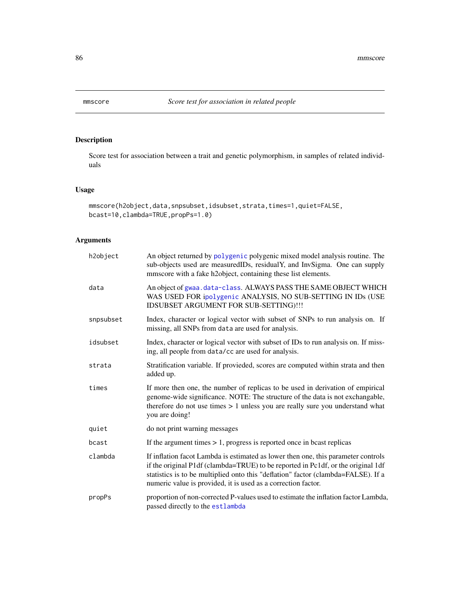<span id="page-85-0"></span>

# Description

Score test for association between a trait and genetic polymorphism, in samples of related individuals

### Usage

```
mmscore(h2object,data,snpsubset,idsubset,strata,times=1,quiet=FALSE,
bcast=10,clambda=TRUE,propPs=1.0)
```
# Arguments

| h2object  | An object returned by polygenic polygenic mixed model analysis routine. The<br>sub-objects used are measuredIDs, residualY, and InvSigma. One can supply<br>mmscore with a fake h2object, containing these list elements.                                                                                                   |
|-----------|-----------------------------------------------------------------------------------------------------------------------------------------------------------------------------------------------------------------------------------------------------------------------------------------------------------------------------|
| data      | An object of gwaa.data-class. ALWAYS PASS THE SAME OBJECT WHICH<br>WAS USED FOR ipolygenic ANALYSIS, NO SUB-SETTING IN IDs (USE<br>IDSUBSET ARGUMENT FOR SUB-SETTING) !!!                                                                                                                                                   |
| snpsubset | Index, character or logical vector with subset of SNPs to run analysis on. If<br>missing, all SNPs from data are used for analysis.                                                                                                                                                                                         |
| idsubset  | Index, character or logical vector with subset of IDs to run analysis on. If miss-<br>ing, all people from data/cc are used for analysis.                                                                                                                                                                                   |
| strata    | Stratification variable. If provieded, scores are computed within strata and then<br>added up.                                                                                                                                                                                                                              |
| times     | If more then one, the number of replicas to be used in derivation of empirical<br>genome-wide significance. NOTE: The structure of the data is not exchangable,<br>therefore do not use times $> 1$ unless you are really sure you understand what<br>you are doing!                                                        |
| quiet     | do not print warning messages                                                                                                                                                                                                                                                                                               |
| bcast     | If the argument times $> 1$ , progress is reported once in beast replicas                                                                                                                                                                                                                                                   |
| clambda   | If inflation facot Lambda is estimated as lower then one, this parameter controls<br>if the original P1df (clambda=TRUE) to be reported in Pc1df, or the original 1df<br>statistics is to be multiplied onto this "deflation" factor (clambda=FALSE). If a<br>numeric value is provided, it is used as a correction factor. |
| propPs    | proportion of non-corrected P-values used to estimate the inflation factor Lambda,<br>passed directly to the estlambda                                                                                                                                                                                                      |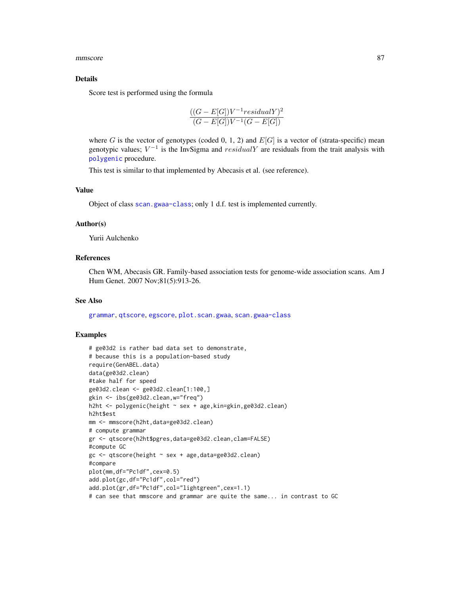mmscore and the state of the state of the state of the state of the state of the state of the state of the state of the state of the state of the state of the state of the state of the state of the state of the state of th

#### Details

Score test is performed using the formula

$$
\frac{((G-E[G])V^{-1}residualY)^2}{(G-E[G])V^{-1}(G-E[G])}
$$

where G is the vector of genotypes (coded 0, 1, 2) and  $E[G]$  is a vector of (strata-specific) mean genotypic values;  $V^{-1}$  is the InvSigma and  $residualY$  are residuals from the trait analysis with [polygenic](#page-95-0) procedure.

This test is similar to that implemented by Abecasis et al. (see reference).

### Value

Object of class [scan.gwaa-class](#page-116-0); only 1 d.f. test is implemented currently.

#### Author(s)

Yurii Aulchenko

# References

Chen WM, Abecasis GR. Family-based association tests for genome-wide association scans. Am J Hum Genet. 2007 Nov;81(5):913-26.

### See Also

[grammar](#page-64-0), [qtscore](#page-101-0), [egscore](#page-43-0), [plot.scan.gwaa](#page-93-0), [scan.gwaa-class](#page-116-0)

### Examples

```
# ge03d2 is rather bad data set to demonstrate,
# because this is a population-based study
require(GenABEL.data)
data(ge03d2.clean)
#take half for speed
ge03d2.clean <- ge03d2.clean[1:100,]
gkin <- ibs(ge03d2.clean,w="freq")
h2ht <- polygenic(height ~ sex + age,kin=gkin,ge03d2.clean)
h2ht$est
mm <- mmscore(h2ht,data=ge03d2.clean)
# compute grammar
gr <- qtscore(h2ht$pgres,data=ge03d2.clean,clam=FALSE)
#compute GC
gc <- qtscore(height ~ sex + age,data=ge03d2.clean)
#compare
plot(mm,df="Pc1df",cex=0.5)
add.plot(gc,df="Pc1df",col="red")
add.plot(gr,df="Pc1df",col="lightgreen",cex=1.1)
# can see that mmscore and grammar are quite the same... in contrast to GC
```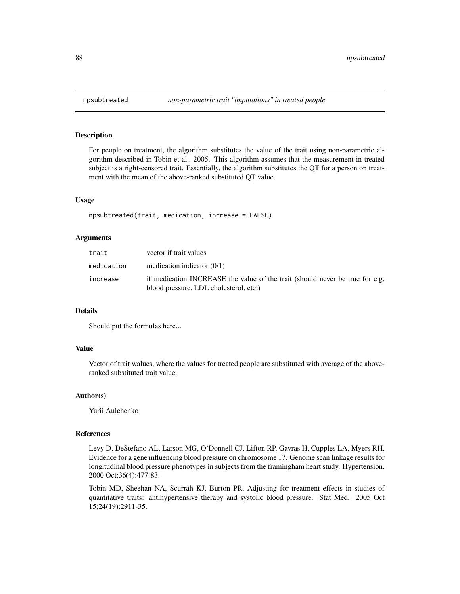# Description

For people on treatment, the algorithm substitutes the value of the trait using non-parametric algorithm described in Tobin et al., 2005. This algorithm assumes that the measurement in treated subject is a right-censored trait. Essentially, the algorithm substitutes the QT for a person on treatment with the mean of the above-ranked substituted QT value.

#### Usage

```
npsubtreated(trait, medication, increase = FALSE)
```
# Arguments

| trait      | vector if trait values                                                                                                 |
|------------|------------------------------------------------------------------------------------------------------------------------|
| medication | medication indicator $(0/1)$                                                                                           |
| increase   | if medication INCREASE the value of the trait (should never be true for e.g.<br>blood pressure, LDL cholesterol, etc.) |

#### Details

Should put the formulas here...

#### Value

Vector of trait walues, where the values for treated people are substituted with average of the aboveranked substituted trait value.

### Author(s)

Yurii Aulchenko

#### References

Levy D, DeStefano AL, Larson MG, O'Donnell CJ, Lifton RP, Gavras H, Cupples LA, Myers RH. Evidence for a gene influencing blood pressure on chromosome 17. Genome scan linkage results for longitudinal blood pressure phenotypes in subjects from the framingham heart study. Hypertension. 2000 Oct;36(4):477-83.

Tobin MD, Sheehan NA, Scurrah KJ, Burton PR. Adjusting for treatment effects in studies of quantitative traits: antihypertensive therapy and systolic blood pressure. Stat Med. 2005 Oct 15;24(19):2911-35.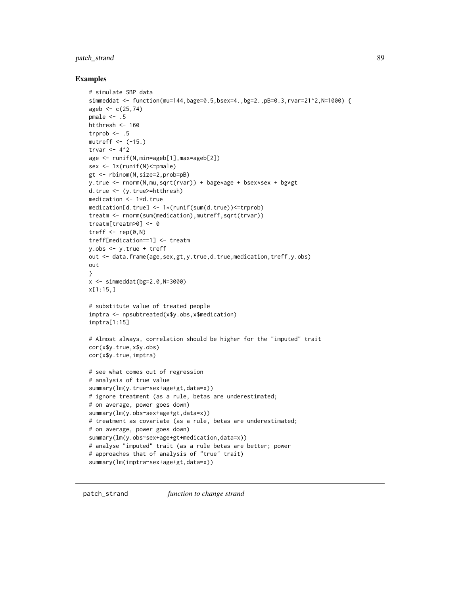# patch\_strand 89

#### Examples

```
# simulate SBP data
simmeddat <- function(mu=144,bage=0.5,bsex=4.,bg=2.,pB=0.3,rvar=21^2,N=1000) {
ageb \leq c(25, 74)pmale <-.5
htthresh <- 160
trprob \leq -5mutreff \leq - (-15.)
trvar <-4^2age <- runif(N,min=ageb[1],max=ageb[2])
sex <- 1*(runif(N)<=pmale)
gt <- rbinom(N,size=2,prob=pB)
y.true <- rnorm(N,mu,sqrt(rvar)) + bage*age + bsex*sex + bg*gt
d.true <- (y.true>=htthresh)
medication <- 1*d.true
medication[d.true] <- 1*(runif(sum(d.true))<=trprob)
treatm <- rnorm(sum(medication),mutreff,sqrt(trvar))
treatm[treatm>0] <- 0
treff \leq rep(0,N)
treff[medication==1] <- treatm
y.obs <- y.true + treff
out <- data.frame(age,sex,gt,y.true,d.true,medication,treff,y.obs)
out
}
x < - simmeddat(bg=2.0, N=3000)
x[1:15,]
# substitute value of treated people
imptra <- npsubtreated(x$y.obs,x$medication)
imptra[1:15]
# Almost always, correlation should be higher for the "imputed" trait
cor(x$y.true,x$y.obs)
cor(x$y.true,imptra)
# see what comes out of regression
# analysis of true value
summary(lm(y.true~sex+age+gt,data=x))
# ignore treatment (as a rule, betas are underestimated;
# on average, power goes down)
summary(lm(y.obs~sex+age+gt,data=x))
# treatment as covariate (as a rule, betas are underestimated;
# on average, power goes down)
summary(lm(y.obs~sex+age+gt+medication,data=x))
# analyse "imputed" trait (as a rule betas are better; power
# approaches that of analysis of "true" trait)
summary(lm(imptra~sex+age+gt,data=x))
```
patch\_strand *function to change strand*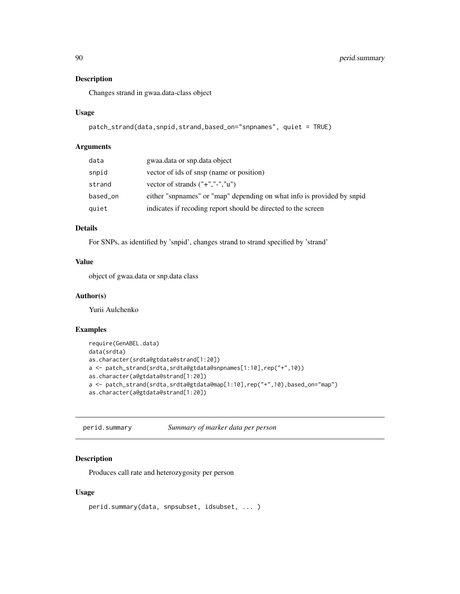# Description

Changes strand in gwaa.data-class object

### Usage

```
patch_strand(data,snpid,strand,based_on="snpnames", quiet = TRUE)
```
#### Arguments

| data     | gwaa.data or snp.data object                                           |
|----------|------------------------------------------------------------------------|
| snpid    | vector of ids of snsp (name or position)                               |
| strand   | vector of strands $("+", "-", "u")$                                    |
| based_on | either "snpnames" or "map" depending on what info is provided by snpid |
| quiet    | indicates if recoding report should be directed to the screen          |

# Details

For SNPs, as identified by 'snpid', changes strand to strand specified by 'strand'

# Value

object of gwaa.data or snp.data class

#### Author(s)

Yurii Aulchenko

# Examples

```
require(GenABEL.data)
data(srdta)
as.character(srdta@gtdata@strand[1:20])
a <- patch_strand(srdta,srdta@gtdata@snpnames[1:10],rep("+",10))
as.character(a@gtdata@strand[1:20])
a <- patch_strand(srdta,srdta@gtdata@map[1:10],rep("+",10),based_on="map")
as.character(a@gtdata@strand[1:20])
```
perid.summary *Summary of marker data per person*

# Description

Produces call rate and heterozygosity per person

#### Usage

```
perid.summary(data, snpsubset, idsubset, ... )
```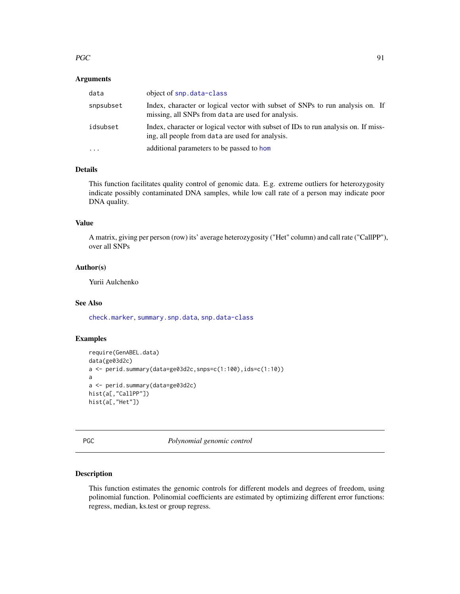#### $PGC$  91

### Arguments

| data      | object of snp. data-class                                                                                                              |
|-----------|----------------------------------------------------------------------------------------------------------------------------------------|
| snpsubset | Index, character or logical vector with subset of SNPs to run analysis on. If<br>missing, all SNPs from data are used for analysis.    |
| idsubset  | Index, character or logical vector with subset of IDs to run analysis on. If miss-<br>ing, all people from data are used for analysis. |
| $\cdots$  | additional parameters to be passed to hom                                                                                              |

# Details

This function facilitates quality control of genomic data. E.g. extreme outliers for heterozygosity indicate possibly contaminated DNA samples, while low call rate of a person may indicate poor DNA quality.

# Value

A matrix, giving per person (row) its' average heterozygosity ("Het" column) and call rate ("CallPP"), over all SNPs

# Author(s)

Yurii Aulchenko

#### See Also

[check.marker](#page-21-0), [summary.snp.data](#page-135-0), [snp.data-class](#page-125-0)

# Examples

```
require(GenABEL.data)
data(ge03d2c)
a <- perid.summary(data=ge03d2c,snps=c(1:100),ids=c(1:10))
a
a <- perid.summary(data=ge03d2c)
hist(a[,"CallPP"])
hist(a[,"Het"])
```
PGC *Polynomial genomic control*

# Description

This function estimates the genomic controls for different models and degrees of freedom, using polinomial function. Polinomial coefficients are estimated by optimizing different error functions: regress, median, ks.test or group regress.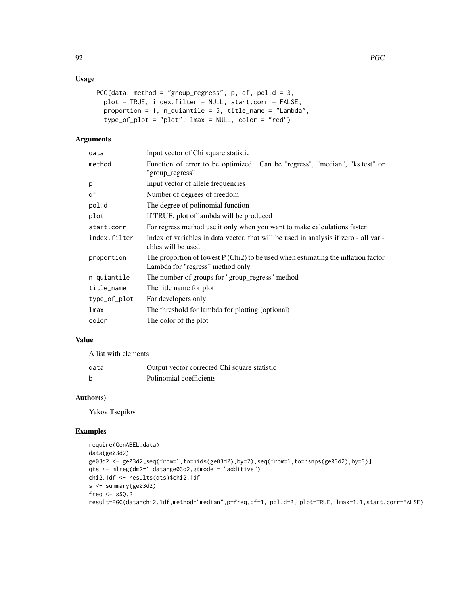# Usage

```
PGC(data, method = "group_regress", p, df, pol.d = 3,
  plot = TRUE, index.filter = NULL, start.corr = FALSE,
  proportion = 1, n_quiantile = 5, title_name = "Lambda",
  type_of_plot = "plot", lmax = NULL, color = "red")
```
# Arguments

| data         | Input vector of Chi square statistic                                                                                    |
|--------------|-------------------------------------------------------------------------------------------------------------------------|
| method       | Function of error to be optimized. Can be "regress", "median", "ks.test" or<br>"group_regress"                          |
| p            | Input vector of allele frequencies                                                                                      |
| df           | Number of degrees of freedom                                                                                            |
| pol.d        | The degree of polinomial function                                                                                       |
| plot         | If TRUE, plot of lambda will be produced                                                                                |
| start.corr   | For regress method use it only when you want to make calculations faster                                                |
| index.filter | Index of variables in data vector, that will be used in analysis if zero - all vari-<br>ables will be used              |
| proportion   | The proportion of lowest $P (Chi2)$ to be used when estimating the inflation factor<br>Lambda for "regress" method only |
| n_quiantile  | The number of groups for "group_regress" method                                                                         |
| title_name   | The title name for plot                                                                                                 |
| type_of_plot | For developers only                                                                                                     |
| lmax         | The threshold for lambda for plotting (optional)                                                                        |
| color        | The color of the plot                                                                                                   |
|              |                                                                                                                         |

# Value

A list with elements

| data | Output vector corrected Chi square statistic |
|------|----------------------------------------------|
|      | Polinomial coefficients                      |

### Author(s)

Yakov Tsepilov

### Examples

```
require(GenABEL.data)
data(ge03d2)
ge03d2 <- ge03d2[seq(from=1,to=nids(ge03d2),by=2),seq(from=1,to=nsnps(ge03d2),by=3)]
qts <- mlreg(dm2~1,data=ge03d2,gtmode = "additive")
chi2.1df <- results(qts)$chi2.1df
s <- summary(ge03d2)
freq <- s$Q.2
result=PGC(data=chi2.1df,method="median",p=freq,df=1, pol.d=2, plot=TRUE, lmax=1.1,start.corr=FALSE)
```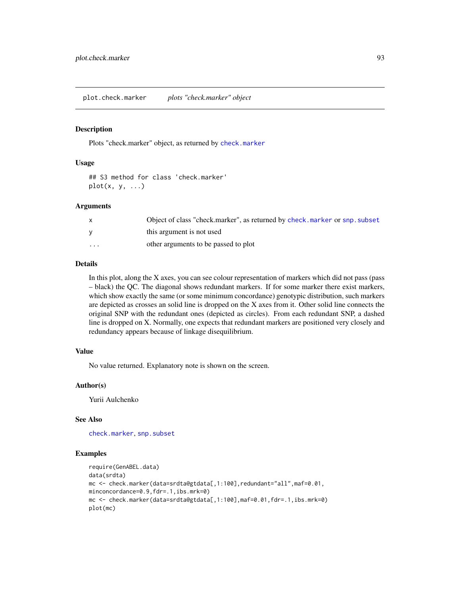#### Description

Plots "check.marker" object, as returned by [check.marker](#page-21-0)

#### Usage

## S3 method for class 'check.marker'  $plot(x, y, ...)$ 

### Arguments

|          | Object of class "check.marker", as returned by check.marker or snp. subset |
|----------|----------------------------------------------------------------------------|
| v        | this argument is not used                                                  |
| $\cdots$ | other arguments to be passed to plot                                       |

# Details

In this plot, along the X axes, you can see colour representation of markers which did not pass (pass – black) the QC. The diagonal shows redundant markers. If for some marker there exist markers, which show exactly the same (or some minimum concordance) genotypic distribution, such markers are depicted as crosses an solid line is dropped on the X axes from it. Other solid line connects the original SNP with the redundant ones (depicted as circles). From each redundant SNP, a dashed line is dropped on X. Normally, one expects that redundant markers are positioned very closely and redundancy appears because of linkage disequilibrium.

# Value

No value returned. Explanatory note is shown on the screen.

### Author(s)

Yurii Aulchenko

### See Also

[check.marker](#page-21-0), [snp.subset](#page-130-0)

#### Examples

```
require(GenABEL.data)
data(srdta)
mc <- check.marker(data=srdta@gtdata[,1:100],redundant="all",maf=0.01,
minconcordance=0.9,fdr=.1,ibs.mrk=0)
mc <- check.marker(data=srdta@gtdata[,1:100],maf=0.01,fdr=.1,ibs.mrk=0)
plot(mc)
```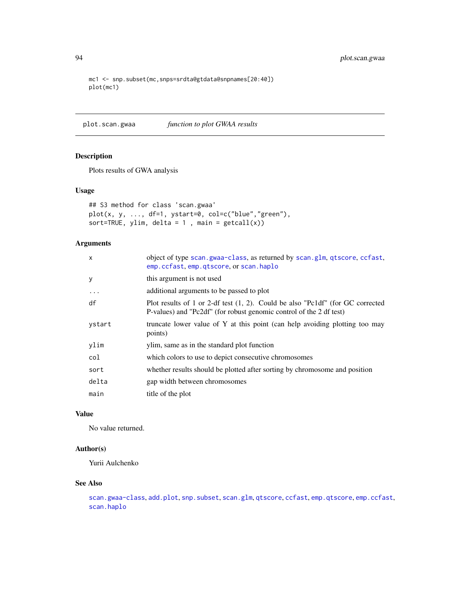```
mc1 <- snp.subset(mc,snps=srdta@gtdata@snpnames[20:40])
plot(mc1)
```
<span id="page-93-0"></span>plot.scan.gwaa *function to plot GWAA results*

# Description

Plots results of GWA analysis

### Usage

```
## S3 method for class 'scan.gwaa'
plot(x, y, ..., df=1, ystart=0, col=c("blue","green"),
sort=TRUE, ylim, delta = 1, main = getcall(x))
```
# Arguments

| x      | object of type scan.gwaa-class, as returned by scan.glm, qtscore, ccfast,<br>emp.ccfast, emp.qtscore, or scan.haplo                                      |
|--------|----------------------------------------------------------------------------------------------------------------------------------------------------------|
| У      | this argument is not used                                                                                                                                |
| .      | additional arguments to be passed to plot                                                                                                                |
| df     | Plot results of 1 or 2-df test $(1, 2)$ . Could be also "Pc1df" (for GC corrected<br>P-values) and "Pc2df" (for robust genomic control of the 2 df test) |
| ystart | truncate lower value of Y at this point (can help avoiding plotting too may<br>points)                                                                   |
| ylim   | ylim, same as in the standard plot function                                                                                                              |
| col    | which colors to use to depict consecutive chromosomes                                                                                                    |
| sort   | whether results should be plotted after sorting by chromosome and position                                                                               |
| delta  | gap width between chromosomes                                                                                                                            |
| main   | title of the plot                                                                                                                                        |

# Value

No value returned.

# Author(s)

Yurii Aulchenko

# See Also

```
scan.gwaa-classadd.plotsnp.subsetscan.glmqtscoreccfastemp.qtscoreemp.ccfast,
scan.haplo
```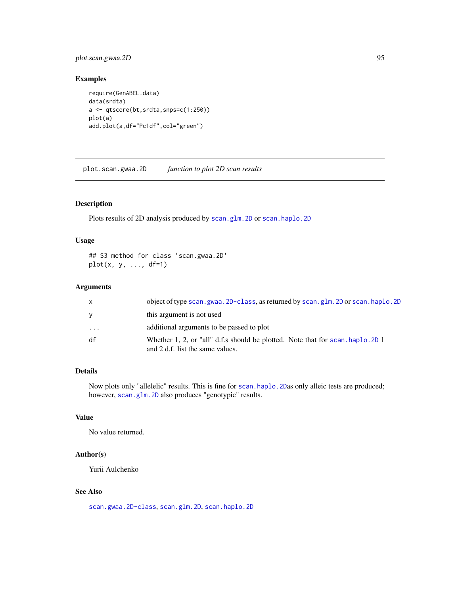# plot.scan.gwaa.2D 95

# Examples

```
require(GenABEL.data)
data(srdta)
a <- qtscore(bt,srdta,snps=c(1:250))
plot(a)
add.plot(a,df="Pc1df",col="green")
```
plot.scan.gwaa.2D *function to plot 2D scan results*

# Description

Plots results of 2D analysis produced by [scan.glm.2D](#page-115-0) or [scan.haplo.2D](#page-121-0)

### Usage

## S3 method for class 'scan.gwaa.2D'  $plot(x, y, \ldots, df=1)$ 

#### Arguments

| X          | object of type scan, gwaa, 2D-class, as returned by scan, glm, 2D or scan, haplo, 2D                                |
|------------|---------------------------------------------------------------------------------------------------------------------|
| V          | this argument is not used                                                                                           |
| $\ddots$ . | additional arguments to be passed to plot                                                                           |
| df         | Whether 1, 2, or "all" d.f.s should be plotted. Note that for scan, haplo, 2D 1<br>and 2 d.f. list the same values. |

# Details

Now plots only "allelelic" results. This is fine for [scan.haplo.2D](#page-121-0)as only alleic tests are produced; however, [scan.glm.2D](#page-115-0) also produces "genotypic" results.

# Value

No value returned.

# Author(s)

Yurii Aulchenko

# See Also

[scan.gwaa.2D-class](#page-118-0), [scan.glm.2D](#page-115-0), [scan.haplo.2D](#page-121-0)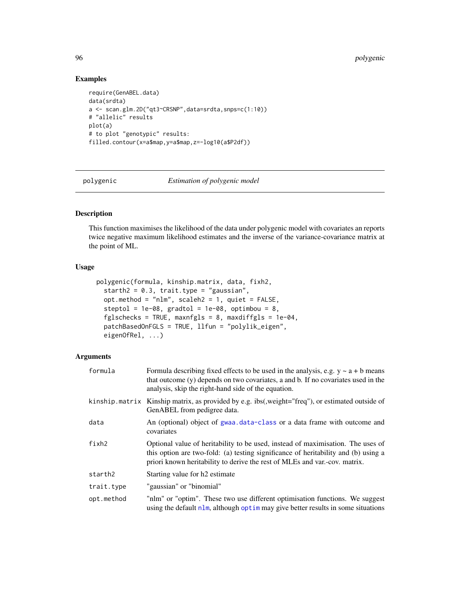# Examples

```
require(GenABEL.data)
data(srdta)
a <- scan.glm.2D("qt3~CRSNP",data=srdta,snps=c(1:10))
# "allelic" results
plot(a)
# to plot "genotypic" results:
filled.contour(x=a$map,y=a$map,z=-log10(a$P2df))
```
<span id="page-95-0"></span>polygenic *Estimation of polygenic model*

# Description

This function maximises the likelihood of the data under polygenic model with covariates an reports twice negative maximum likelihood estimates and the inverse of the variance-covariance matrix at the point of ML.

#### Usage

```
polygenic(formula, kinship.matrix, data, fixh2,
  starth2 = 0.3, trait.type = "gaussian",
  opt.method = "nlm", scaleh2 = 1, quiet = FALSE,
  steptol = 1e-08, gradtol = 1e-08, optimbou = 8,
  fglschecks = TRUE, maxnfgls = 8, maxdiffgls = 1e-04,
  patchBasedOnFGLS = TRUE, llfun = "polylik_eigen",
  eigenOfRel, ...)
```
### Arguments

| formula    | Formula describing fixed effects to be used in the analysis, e.g. $y \sim a + b$ means<br>that outcome (y) depends on two covariates, a and b. If no covariates used in the<br>analysis, skip the right-hand side of the equation.                  |
|------------|-----------------------------------------------------------------------------------------------------------------------------------------------------------------------------------------------------------------------------------------------------|
|            | kinship.matrix Kinship matrix, as provided by e.g. ibs(, weight="freq"), or estimated outside of<br>GenABEL from pedigree data.                                                                                                                     |
| data       | An (optional) object of gwaa.data-class or a data frame with outcome and<br>covariates                                                                                                                                                              |
| fixh2      | Optional value of heritability to be used, instead of maximisation. The uses of<br>this option are two-fold: (a) testing significance of heritability and (b) using a<br>priori known heritability to derive the rest of MLEs and var.-cov. matrix. |
| starth2    | Starting value for h <sub>2</sub> estimate                                                                                                                                                                                                          |
| trait.type | "gaussian" or "binomial"                                                                                                                                                                                                                            |
| opt.method | "nlm" or "optim". These two use different optimisation functions. We suggest<br>using the default $n \ln m$ , although optiminary give better results in some situations                                                                            |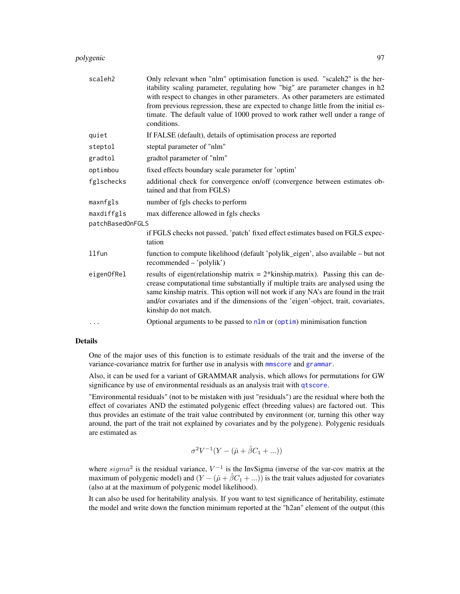#### polygenic 97

| scaleh2          | Only relevant when "nlm" optimisation function is used. "scaleh2" is the her-<br>itability scaling parameter, regulating how "big" are parameter changes in h2<br>with respect to changes in other parameters. As other parameters are estimated<br>from previous regression, these are expected to change little from the initial es-<br>timate. The default value of 1000 proved to work rather well under a range of<br>conditions. |
|------------------|----------------------------------------------------------------------------------------------------------------------------------------------------------------------------------------------------------------------------------------------------------------------------------------------------------------------------------------------------------------------------------------------------------------------------------------|
| quiet            | If FALSE (default), details of optimisation process are reported                                                                                                                                                                                                                                                                                                                                                                       |
| steptol          | steptal parameter of "nlm"                                                                                                                                                                                                                                                                                                                                                                                                             |
| gradtol          | gradtol parameter of "nlm"                                                                                                                                                                                                                                                                                                                                                                                                             |
| optimbou         | fixed effects boundary scale parameter for 'optim'                                                                                                                                                                                                                                                                                                                                                                                     |
| fglschecks       | additional check for convergence on/off (convergence between estimates ob-<br>tained and that from FGLS)                                                                                                                                                                                                                                                                                                                               |
| maxnfgls         | number of fgls checks to perform                                                                                                                                                                                                                                                                                                                                                                                                       |
| maxdiffgls       | max difference allowed in fgls checks                                                                                                                                                                                                                                                                                                                                                                                                  |
| patchBasedOnFGLS |                                                                                                                                                                                                                                                                                                                                                                                                                                        |
|                  | if FGLS checks not passed, 'patch' fixed effect estimates based on FGLS expec-<br>tation                                                                                                                                                                                                                                                                                                                                               |
| 11fun            | function to compute likelihood (default 'polylik_eigen', also available – but not<br>recommended - 'polylik')                                                                                                                                                                                                                                                                                                                          |
| eigenOfRel       | results of eigen(relationship matrix $= 2$ *kinship.matrix). Passing this can de-<br>crease computational time substantially if multiple traits are analysed using the<br>same kinship matrix. This option will not work if any NA's are found in the trait<br>and/or covariates and if the dimensions of the 'eigen'-object, trait, covariates,<br>kinship do not match.                                                              |
|                  | Optional arguments to be passed to $n \ln m$ or (optim) minimisation function                                                                                                                                                                                                                                                                                                                                                          |

#### Details

One of the major uses of this function is to estimate residuals of the trait and the inverse of the variance-covariance matrix for further use in analysis with [mmscore](#page-85-0) and [grammar](#page-64-0).

Also, it can be used for a variant of GRAMMAR analysis, which allows for permutations for GW significance by use of environmental residuals as an analysis trait with [qtscore](#page-101-0).

"Environmental residuals" (not to be mistaken with just "residuals") are the residual where both the effect of covariates AND the estimated polygenic effect (breeding values) are factored out. This thus provides an estimate of the trait value contributed by environment (or, turning this other way around, the part of the trait not explained by covariates and by the polygene). Polygenic residuals are estimated as

$$
\sigma^2 V^{-1}(Y - (\hat{\mu} + \hat{\beta}C_1 + ...))
$$

where  $sigma^2$  is the residual variance,  $V^{-1}$  is the InvSigma (inverse of the var-cov matrix at the maximum of polygenic model) and  $(Y - (\hat{\mu} + \hat{\beta}C_1 + ...)$  is the trait values adjusted for covariates (also at at the maximum of polygenic model likelihood).

It can also be used for heritability analysis. If you want to test significance of heritability, estimate the model and write down the function minimum reported at the "h2an" element of the output (this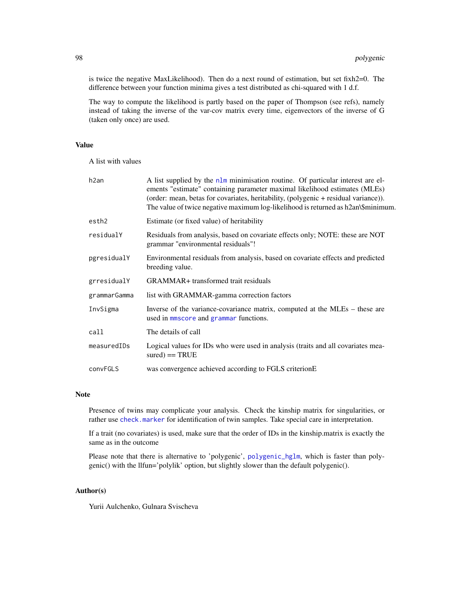is twice the negative MaxLikelihood). Then do a next round of estimation, but set fixh2=0. The difference between your function minima gives a test distributed as chi-squared with 1 d.f.

The way to compute the likelihood is partly based on the paper of Thompson (see refs), namely instead of taking the inverse of the var-cov matrix every time, eigenvectors of the inverse of G (taken only once) are used.

# Value

A list with values

| h2an         | A list supplied by the $n \ln m$ minimisation routine. Of particular interest are el-<br>ements "estimate" containing parameter maximal likelihood estimates (MLEs)<br>(order: mean, betas for covariates, heritability, (polygenic + residual variance)).<br>The value of twice negative maximum log-likelihood is returned as h2an\\$minimum. |
|--------------|-------------------------------------------------------------------------------------------------------------------------------------------------------------------------------------------------------------------------------------------------------------------------------------------------------------------------------------------------|
| esth2        | Estimate (or fixed value) of heritability                                                                                                                                                                                                                                                                                                       |
| residualY    | Residuals from analysis, based on covariate effects only; NOTE: these are NOT<br>grammar "environmental residuals"!                                                                                                                                                                                                                             |
| pgresidualY  | Environmental residuals from analysis, based on covariate effects and predicted<br>breeding value.                                                                                                                                                                                                                                              |
| grresidualY  | GRAMMAR+ transformed trait residuals                                                                                                                                                                                                                                                                                                            |
| grammarGamma | list with GRAMMAR-gamma correction factors                                                                                                                                                                                                                                                                                                      |
| InvSigma     | Inverse of the variance-covariance matrix, computed at the MLEs – these are<br>used in mmscore and grammar functions.                                                                                                                                                                                                                           |
| call         | The details of call                                                                                                                                                                                                                                                                                                                             |
| measuredIDs  | Logical values for IDs who were used in analysis (traits and all covariates mea-<br>$sured) == TRUE$                                                                                                                                                                                                                                            |
| convFGLS     | was convergence achieved according to FGLS criterion E                                                                                                                                                                                                                                                                                          |

## Note

Presence of twins may complicate your analysis. Check the kinship matrix for singularities, or rather use [check.marker](#page-21-0) for identification of twin samples. Take special care in interpretation.

If a trait (no covariates) is used, make sure that the order of IDs in the kinship.matrix is exactly the same as in the outcome

Please note that there is alternative to 'polygenic', [polygenic\\_hglm](#page-99-0), which is faster than polygenic() with the llfun='polylik' option, but slightly slower than the default polygenic().

#### Author(s)

Yurii Aulchenko, Gulnara Svischeva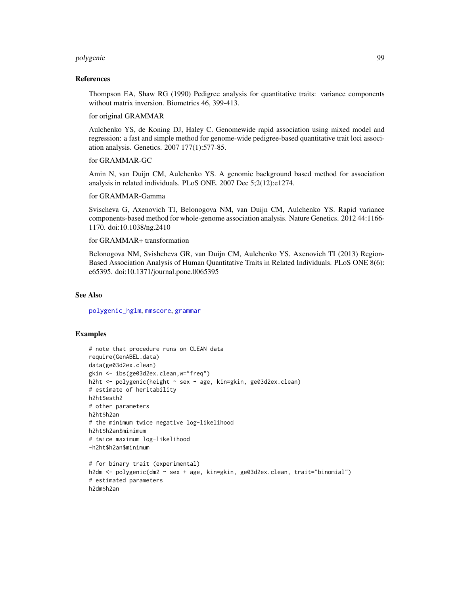#### polygenic 99

#### References

Thompson EA, Shaw RG (1990) Pedigree analysis for quantitative traits: variance components without matrix inversion. Biometrics 46, 399-413.

#### for original GRAMMAR

Aulchenko YS, de Koning DJ, Haley C. Genomewide rapid association using mixed model and regression: a fast and simple method for genome-wide pedigree-based quantitative trait loci association analysis. Genetics. 2007 177(1):577-85.

# for GRAMMAR-GC

Amin N, van Duijn CM, Aulchenko YS. A genomic background based method for association analysis in related individuals. PLoS ONE. 2007 Dec 5;2(12):e1274.

#### for GRAMMAR-Gamma

Svischeva G, Axenovich TI, Belonogova NM, van Duijn CM, Aulchenko YS. Rapid variance components-based method for whole-genome association analysis. Nature Genetics. 2012 44:1166- 1170. doi:10.1038/ng.2410

#### for GRAMMAR+ transformation

Belonogova NM, Svishcheva GR, van Duijn CM, Aulchenko YS, Axenovich TI (2013) Region-Based Association Analysis of Human Quantitative Traits in Related Individuals. PLoS ONE 8(6): e65395. doi:10.1371/journal.pone.0065395

#### See Also

[polygenic\\_hglm](#page-99-0), [mmscore](#page-85-0), [grammar](#page-64-0)

### Examples

```
# note that procedure runs on CLEAN data
require(GenABEL.data)
data(ge03d2ex.clean)
gkin <- ibs(ge03d2ex.clean,w="freq")
h2ht <- polygenic(height ~ sex + age, kin=gkin, ge03d2ex.clean)
# estimate of heritability
h2ht$esth2
# other parameters
h2ht$h2an
# the minimum twice negative log-likelihood
h2ht$h2an$minimum
# twice maximum log-likelihood
-h2ht$h2an$minimum
# for binary trait (experimental)
h2dm <- polygenic(dm2 ~ sex + age, kin=gkin, ge03d2ex.clean, trait="binomial")
# estimated parameters
```
h2dm\$h2an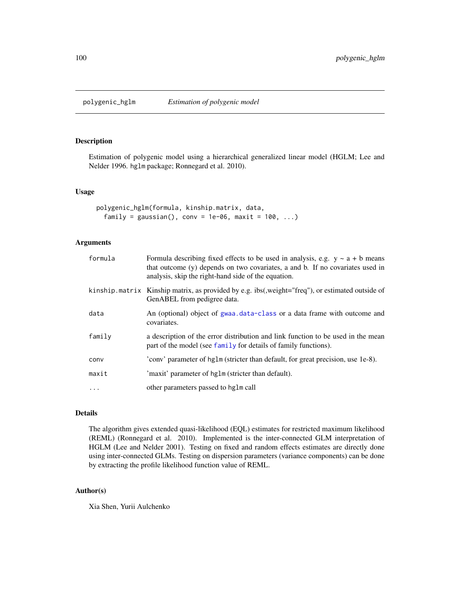<span id="page-99-0"></span>

### Description

Estimation of polygenic model using a hierarchical generalized linear model (HGLM; Lee and Nelder 1996. hglm package; Ronnegard et al. 2010).

#### Usage

```
polygenic_hglm(formula, kinship.matrix, data,
  family = gaussian(), conv = 1e-06, maxit = 100, \ldots)
```
### Arguments

| formula  | Formula describing fixed effects to be used in analysis, e.g. $y \sim a + b$ means<br>that outcome (y) depends on two covariates, a and b. If no covariates used in<br>analysis, skip the right-hand side of the equation. |
|----------|----------------------------------------------------------------------------------------------------------------------------------------------------------------------------------------------------------------------------|
|          | kinship matrix Kinship matrix, as provided by e.g. ibs(, weight="freq"), or estimated outside of<br>GenABEL from pedigree data.                                                                                            |
| data     | An (optional) object of gwaa data-class or a data frame with outcome and<br>covariates.                                                                                                                                    |
| family   | a description of the error distribution and link function to be used in the mean<br>part of the model (see family for details of family functions).                                                                        |
| conv     | 'conv' parameter of hglm (stricter than default, for great precision, use 1e-8).                                                                                                                                           |
| maxit    | 'maxit' parameter of hglm (stricter than default).                                                                                                                                                                         |
| $\ddots$ | other parameters passed to hglm call                                                                                                                                                                                       |
|          |                                                                                                                                                                                                                            |

# Details

The algorithm gives extended quasi-likelihood (EQL) estimates for restricted maximum likelihood (REML) (Ronnegard et al. 2010). Implemented is the inter-connected GLM interpretation of HGLM (Lee and Nelder 2001). Testing on fixed and random effects estimates are directly done using inter-connected GLMs. Testing on dispersion parameters (variance components) can be done by extracting the profile likelihood function value of REML.

# Author(s)

Xia Shen, Yurii Aulchenko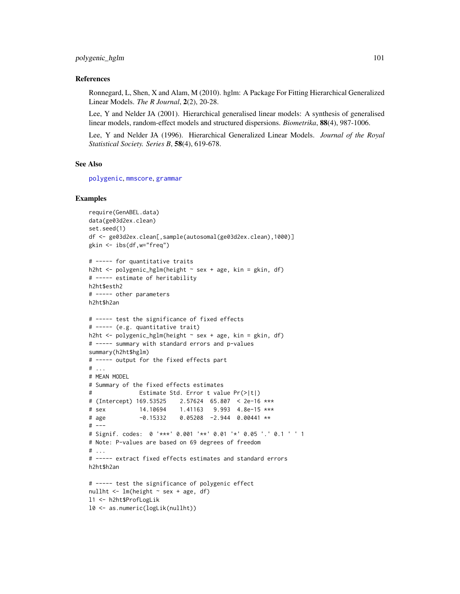# polygenic\_hglm 101

#### References

Ronnegard, L, Shen, X and Alam, M (2010). hglm: A Package For Fitting Hierarchical Generalized Linear Models. *The R Journal*, 2(2), 20-28.

Lee, Y and Nelder JA (2001). Hierarchical generalised linear models: A synthesis of generalised linear models, random-effect models and structured dispersions. *Biometrika*, 88(4), 987-1006.

Lee, Y and Nelder JA (1996). Hierarchical Generalized Linear Models. *Journal of the Royal Statistical Society. Series B*, 58(4), 619-678.

#### See Also

[polygenic](#page-95-0), [mmscore](#page-85-0), [grammar](#page-64-0)

#### Examples

```
require(GenABEL.data)
data(ge03d2ex.clean)
set.seed(1)
df <- ge03d2ex.clean[,sample(autosomal(ge03d2ex.clean),1000)]
gkin <- ibs(df,w="freq")
# ----- for quantitative traits
h2ht <- polygenic_hglm(height ~ sex + age, kin = gkin, df)
# ----- estimate of heritability
h2ht$esth2
# ----- other parameters
h2ht$h2an
# ----- test the significance of fixed effects
# ----- (e.g. quantitative trait)
h2ht <- polygenic_hglm(height ~ sex + age, kin = gkin, df)
# ----- summary with standard errors and p-values
summary(h2ht$hglm)
# ----- output for the fixed effects part
# ...
# MEAN MODEL
# Summary of the fixed effects estimates
# Estimate Std. Error t value Pr(>|t|)
# (Intercept) 169.53525 2.57624 65.807 < 2e-16 ***
# sex 14.10694 1.41163 9.993 4.8e-15 ***
# age -0.15332 0.05208 -2.944 0.00441 **
# ---
# Signif. codes: 0 '***' 0.001 '**' 0.01 '*' 0.05 '.' 0.1 ' ' 1
# Note: P-values are based on 69 degrees of freedom
# ...
# ----- extract fixed effects estimates and standard errors
h2ht$h2an
# ----- test the significance of polygenic effect
nullht \leq lm(height \sim sex + age, df)
l1 <- h2ht$ProfLogLik
l0 <- as.numeric(logLik(nullht))
```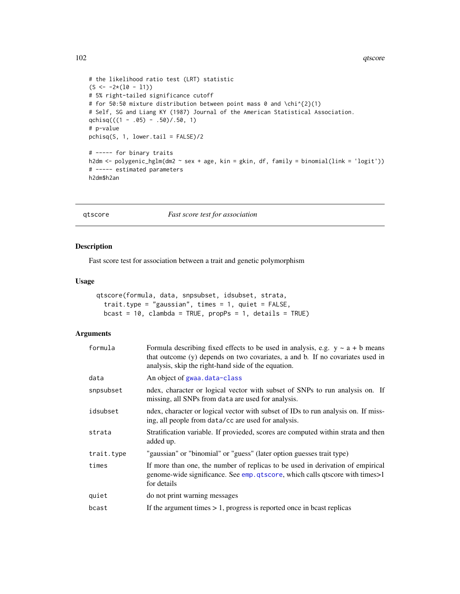```
# the likelihood ratio test (LRT) statistic
(S \leftarrow -2*(10 - 11))# 5% right-tailed significance cutoff
# for 50:50 mixture distribution between point mass 0 and \chi^{2}(1)
# Self, SG and Liang KY (1987) Journal of the American Statistical Association.
qchisq(((1 - .05) - .50)/.50, 1)
# p-value
pchisq(S, 1, lower.tail = FALSE)/2
# ----- for binary traits
h2dm <- polygenic_hglm(dm2 ~ sex + age, kin = gkin, df, family = binomial(link = 'logit'))
# ----- estimated parameters
h2dm$h2an
```
<span id="page-101-0"></span>qtscore *Fast score test for association*

# Description

Fast score test for association between a trait and genetic polymorphism

#### Usage

```
qtscore(formula, data, snpsubset, idsubset, strata,
  trait.type = "gaussian", times = 1, quiet = FALSE,
  bcast = 10, clambda = TRUE, propPs = 1, details = TRUE)
```
# Arguments

| formula    | Formula describing fixed effects to be used in analysis, e.g. $y \sim a + b$ means<br>that outcome (y) depends on two covariates, a and b. If no covariates used in<br>analysis, skip the right-hand side of the equation. |
|------------|----------------------------------------------------------------------------------------------------------------------------------------------------------------------------------------------------------------------------|
| data       | An object of gwaa.data-class                                                                                                                                                                                               |
| snpsubset  | ndex, character or logical vector with subset of SNPs to run analysis on. If<br>missing, all SNPs from data are used for analysis.                                                                                         |
| idsubset   | ndex, character or logical vector with subset of IDs to run analysis on. If miss-<br>ing, all people from data/cc are used for analysis.                                                                                   |
| strata     | Stratification variable. If provieded, scores are computed within strata and then<br>added up.                                                                                                                             |
| trait.type | "gaussian" or "binomial" or "guess" (later option guesses trait type)                                                                                                                                                      |
| times      | If more than one, the number of replicas to be used in derivation of empirical<br>genome-wide significance. See emp. qtscore, which calls qtscore with times>1<br>for details                                              |
| quiet      | do not print warning messages                                                                                                                                                                                              |
| bcast      | If the argument times $> 1$ , progress is reported once in bcast replicas                                                                                                                                                  |
|            |                                                                                                                                                                                                                            |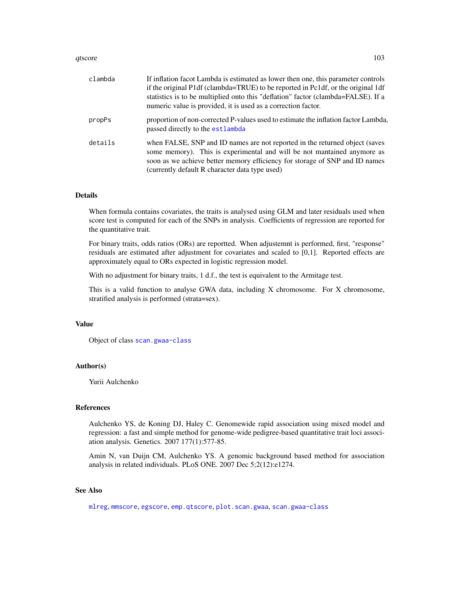#### qtscore and the state of the state of the state of the state of the state of the state of the state of the state of the state of the state of the state of the state of the state of the state of the state of the state of th

| clambda | If inflation facot Lambda is estimated as lower then one, this parameter controls<br>if the original P1df (clambda=TRUE) to be reported in Pc1df, or the original 1df<br>statistics is to be multiplied onto this "deflation" factor (clambda=FALSE). If a<br>numeric value is provided, it is used as a correction factor. |
|---------|-----------------------------------------------------------------------------------------------------------------------------------------------------------------------------------------------------------------------------------------------------------------------------------------------------------------------------|
| propPs  | proportion of non-corrected P-values used to estimate the inflation factor Lambda,<br>passed directly to the estlambda                                                                                                                                                                                                      |
| details | when FALSE, SNP and ID names are not reported in the returned object (saves<br>some memory). This is experimental and will be not mantained anymore as<br>soon as we achieve better memory efficiency for storage of SNP and ID names<br>(currently default R character data type used)                                     |

# Details

When formula contains covariates, the traits is analysed using GLM and later residuals used when score test is computed for each of the SNPs in analysis. Coefficients of regression are reported for the quantitative trait.

For binary traits, odds ratios (ORs) are reportted. When adjustemnt is performed, first, "response" residuals are estimated after adjustment for covariates and scaled to [0,1]. Reported effects are approximately equal to ORs expected in logistic regression model.

With no adjustment for binary traits, 1 d.f., the test is equivalent to the Armitage test.

This is a valid function to analyse GWA data, including X chromosome. For X chromosome, stratified analysis is performed (strata=sex).

#### Value

Object of class [scan.gwaa-class](#page-116-0)

### Author(s)

Yurii Aulchenko

#### References

Aulchenko YS, de Koning DJ, Haley C. Genomewide rapid association using mixed model and regression: a fast and simple method for genome-wide pedigree-based quantitative trait loci association analysis. Genetics. 2007 177(1):577-85.

Amin N, van Duijn CM, Aulchenko YS. A genomic background based method for association analysis in related individuals. PLoS ONE. 2007 Dec 5;2(12):e1274.

# See Also

[mlreg](#page-82-0), [mmscore](#page-85-0), [egscore](#page-43-0), [emp.qtscore](#page-48-0), [plot.scan.gwaa](#page-93-0), [scan.gwaa-class](#page-116-0)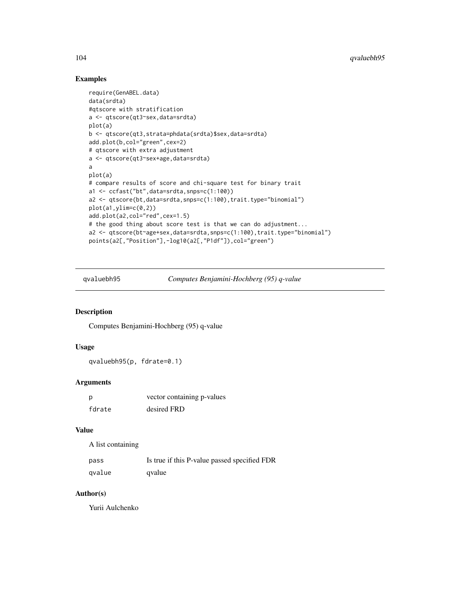# Examples

```
require(GenABEL.data)
data(srdta)
#qtscore with stratification
a <- qtscore(qt3~sex,data=srdta)
plot(a)
b <- qtscore(qt3,strata=phdata(srdta)$sex,data=srdta)
add.plot(b,col="green",cex=2)
# qtscore with extra adjustment
a <- qtscore(qt3~sex+age,data=srdta)
a
plot(a)
# compare results of score and chi-square test for binary trait
a1 <- ccfast("bt",data=srdta,snps=c(1:100))
a2 <- qtscore(bt,data=srdta,snps=c(1:100),trait.type="binomial")
plot(a1,ylim=c(0,2))
add.plot(a2,col="red",cex=1.5)
# the good thing about score test is that we can do adjustment...
a2 <- qtscore(bt~age+sex,data=srdta,snps=c(1:100),trait.type="binomial")
points(a2[,"Position"],-log10(a2[,"P1df"]),col="green")
```
qvaluebh95 *Computes Benjamini-Hochberg (95) q-value*

### Description

Computes Benjamini-Hochberg (95) q-value

# Usage

```
qvaluebh95(p, fdrate=0.1)
```
### Arguments

| p      | vector containing p-values |
|--------|----------------------------|
| fdrate | desired FRD                |

### Value

A list containing

| pass   | Is true if this P-value passed specified FDR |
|--------|----------------------------------------------|
| qvalue | qvalue                                       |

# Author(s)

Yurii Aulchenko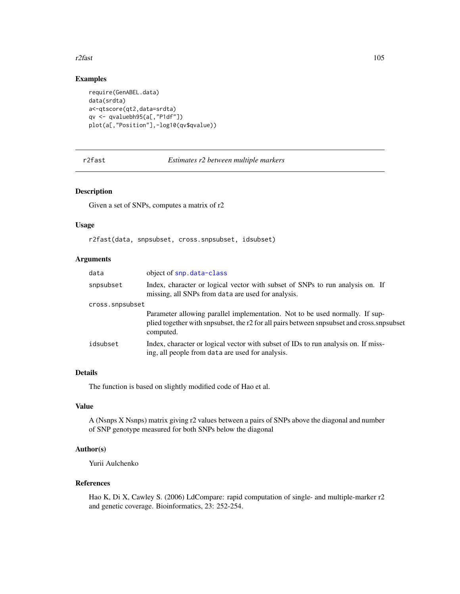#### r2fast 105

# Examples

```
require(GenABEL.data)
data(srdta)
a<-qtscore(qt2,data=srdta)
qv <- qvaluebh95(a[,"P1df"])
plot(a[,"Position"],-log10(qv$qvalue))
```

```
r2fast Estimates r2 between multiple markers
```
# Description

Given a set of SNPs, computes a matrix of r2

### Usage

r2fast(data, snpsubset, cross.snpsubset, idsubset)

# Arguments

| data            | object of snp.data-class                                                                                                                                                               |
|-----------------|----------------------------------------------------------------------------------------------------------------------------------------------------------------------------------------|
| snpsubset       | Index, character or logical vector with subset of SNPs to run analysis on. If<br>missing, all SNPs from data are used for analysis.                                                    |
| cross.snpsubset |                                                                                                                                                                                        |
|                 | Parameter allowing parallel implementation. Not to be used normally. If sup-<br>plied together with snpsubset, the r2 for all pairs between snpsubset and cross.snpsubset<br>computed. |
| idsubset        | Index, character or logical vector with subset of IDs to run analysis on. If miss-<br>ing, all people from data are used for analysis.                                                 |

# Details

The function is based on slightly modified code of Hao et al.

# Value

A (Nsnps X Nsnps) matrix giving r2 values between a pairs of SNPs above the diagonal and number of SNP genotype measured for both SNPs below the diagonal

# Author(s)

Yurii Aulchenko

# References

Hao K, Di X, Cawley S. (2006) LdCompare: rapid computation of single- and multiple-marker r2 and genetic coverage. Bioinformatics, 23: 252-254.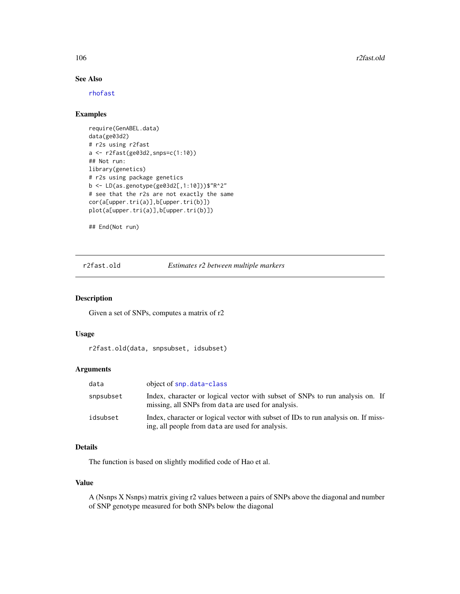# See Also

[rhofast](#page-110-0)

# Examples

```
require(GenABEL.data)
data(ge03d2)
# r2s using r2fast
a <- r2fast(ge03d2,snps=c(1:10))
## Not run:
library(genetics)
# r2s using package genetics
b <- LD(as.genotype(ge03d2[,1:10]))$"R^2"
# see that the r2s are not exactly the same
cor(a[upper.tri(a)],b[upper.tri(b)])
plot(a[upper.tri(a)],b[upper.tri(b)])
```
## End(Not run)

r2fast.old *Estimates r2 between multiple markers*

### Description

Given a set of SNPs, computes a matrix of r2

### Usage

r2fast.old(data, snpsubset, idsubset)

# Arguments

| data      | object of snp. data-class                                                                                                              |
|-----------|----------------------------------------------------------------------------------------------------------------------------------------|
| snpsubset | Index, character or logical vector with subset of SNPs to run analysis on. If<br>missing, all SNPs from data are used for analysis.    |
| idsubset  | Index, character or logical vector with subset of IDs to run analysis on. If miss-<br>ing, all people from data are used for analysis. |

### Details

The function is based on slightly modified code of Hao et al.

# Value

A (Nsnps X Nsnps) matrix giving r2 values between a pairs of SNPs above the diagonal and number of SNP genotype measured for both SNPs below the diagonal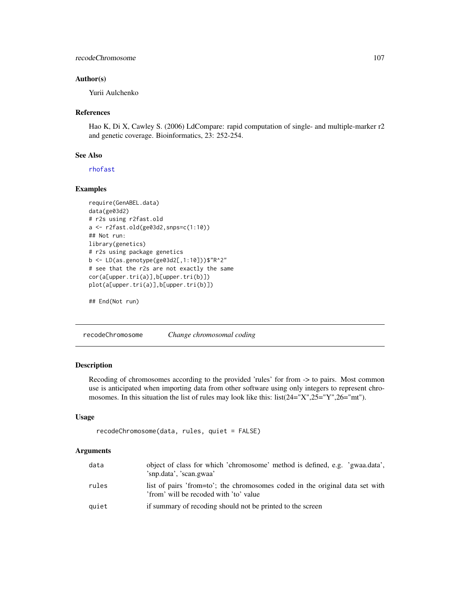# recodeChromosome 107

### Author(s)

Yurii Aulchenko

#### References

Hao K, Di X, Cawley S. (2006) LdCompare: rapid computation of single- and multiple-marker r2 and genetic coverage. Bioinformatics, 23: 252-254.

#### See Also

[rhofast](#page-110-0)

# Examples

```
require(GenABEL.data)
data(ge03d2)
# r2s using r2fast.old
a <- r2fast.old(ge03d2,snps=c(1:10))
## Not run:
library(genetics)
# r2s using package genetics
b <- LD(as.genotype(ge03d2[,1:10]))$"R^2"
# see that the r2s are not exactly the same
cor(a[upper.tri(a)],b[upper.tri(b)])
plot(a[upper.tri(a)],b[upper.tri(b)])
```
## End(Not run)

recodeChromosome *Change chromosomal coding*

### Description

Recoding of chromosomes according to the provided 'rules' for from -> to pairs. Most common use is anticipated when importing data from other software using only integers to represent chromosomes. In this situation the list of rules may look like this: list(24="X",25="Y",26="mt").

# Usage

```
recodeChromosome(data, rules, quiet = FALSE)
```
#### Arguments

| data  | object of class for which 'chromosome' method is defined, e.g. 'gwaa.data',<br>'snp.data', 'scan.gwaa'                 |
|-------|------------------------------------------------------------------------------------------------------------------------|
| rules | list of pairs 'from=to'; the chromosomes coded in the original data set with<br>'from' will be recoded with 'to' value |
| quiet | if summary of recoding should not be printed to the screen                                                             |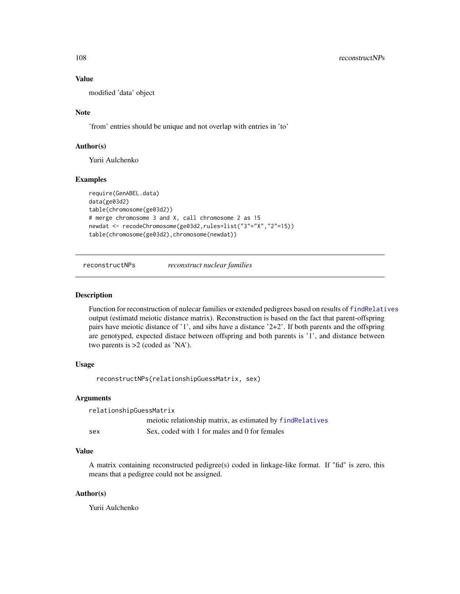# Value

modified 'data' object

### Note

'from' entries should be unique and not overlap with entries in 'to'

# Author(s)

Yurii Aulchenko

### Examples

```
require(GenABEL.data)
data(ge03d2)
table(chromosome(ge03d2))
# merge chromosome 3 and X, call chromosome 2 as 15
newdat <- recodeChromosome(ge03d2,rules=list("3"="X","2"=15))
table(chromosome(ge03d2),chromosome(newdat))
```
reconstructNPs *reconstruct nuclear families*

#### Description

Function for reconstruction of nulecar families or extended pedigrees based on results of [findRelatives](#page-56-0) output (estimatd meiotic distance matrix). Reconstruction is based on the fact that parent-offspring pairs have meiotic distance of '1', and sibs have a distance '2+2'. If both parents and the offspring are genotyped, expected distace between offspring and both parents is '1', and distance between two parents is >2 (coded as 'NA').

### Usage

```
reconstructNPs(relationshipGuessMatrix, sex)
```
#### Arguments

```
relationshipGuessMatrix
                meiotic relationship matrix, as estimated by findRelatives
sex Sex, coded with 1 for males and 0 for females
```
# Value

A matrix containing reconstructed pedigree(s) coded in linkage-like format. If "fid" is zero, this means that a pedigree could not be assigned.

### Author(s)

Yurii Aulchenko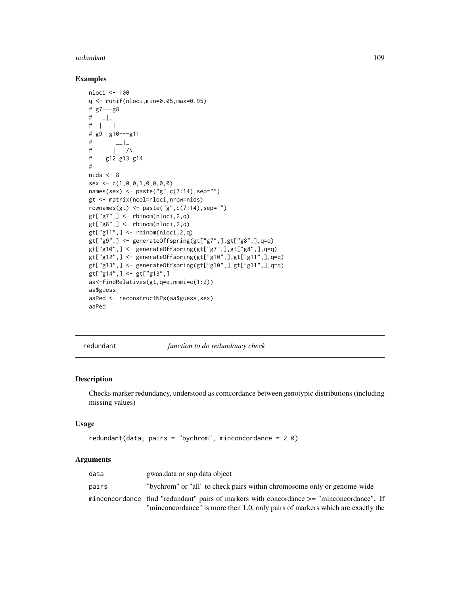#### <span id="page-108-0"></span>redundant 109

#### Examples

```
nloci <- 100
q <- runif(nloci,min=0.05,max=0.95)
# g7---g8
# |# | |
# g9 g10---g11
# _{--}|# | /\
# g12 g13 g14
#
nids <-8sex <- c(1,0,0,1,0,0,0,0)
names(sex) <- paste("g",c(7:14),sep="")
gt <- matrix(ncol=nloci,nrow=nids)
rownames(gt) <- paste("g",c(7:14),sep="")
gt['g7",] < - rbinom(nloci, 2, q)
gt['g8",] \leq rbinom(nloci, 2, q)
gt['g11",] \leq rbinom(hloci,2,q)gt["g9",] <- generateOffspring(gt["g7",],gt["g8",],q=q)
gt["g10",] <- generateOffspring(gt["g7",],gt["g8",],q=q)
gt["g12",] <- generateOffspring(gt["g10",],gt["g11",],q=q)
gt["g13",] <- generateOffspring(gt["g10",],gt["g11",],q=q)
gt['g14",] < -gt [gt['g13",]aa<-findRelatives(gt,q=q,nmei=c(1:2))
aa$guess
aaPed <- reconstructNPs(aa$guess,sex)
aaPed
```
redundant *function to do redundancy check*

# Description

Checks marker redundancy, understood as comcordance between genotypic distributions (including missing values)

#### Usage

```
redundant(data, pairs = "bychrom", minconcordance = 2.0)
```
#### Arguments

| data  | gwaa.data or snp.data object                                                              |  |
|-------|-------------------------------------------------------------------------------------------|--|
| pairs | "bychrom" or "all" to check pairs within chromosome only or genome-wide                   |  |
|       | minconcordance find "redundant" pairs of markers with concordance >= "minconcordance". If |  |
|       | "minconcordance" is more then 1.0, only pairs of markers which are exactly the            |  |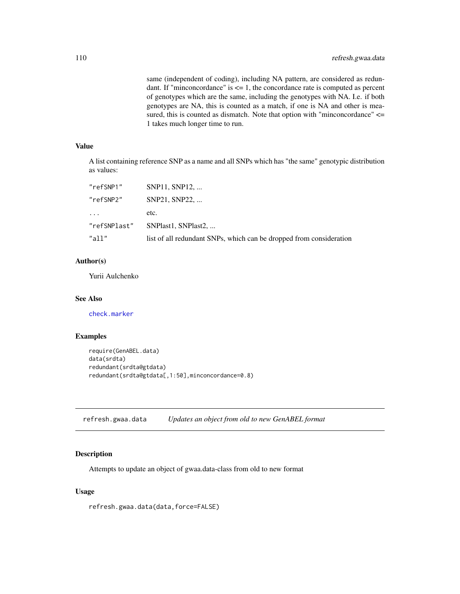<span id="page-109-0"></span>same (independent of coding), including NA pattern, are considered as redundant. If "minconcordance" is  $\leq$  1, the concordance rate is computed as percent of genotypes which are the same, including the genotypes with NA. I.e. if both genotypes are NA, this is counted as a match, if one is NA and other is measured, this is counted as dismatch. Note that option with "minconcordance"  $\le$ 1 takes much longer time to run.

# Value

A list containing reference SNP as a name and all SNPs which has "the same" genotypic distribution as values:

| "refSNP1"    | SNP11, SNP12,                                                       |
|--------------|---------------------------------------------------------------------|
| "refSNP2"    | SNP21, SNP22,                                                       |
| $\cdots$     | etc.                                                                |
| "refSNPlast" | SNPlast1, SNPlast2,                                                 |
| "a11"        | list of all redundant SNPs, which can be dropped from consideration |

# Author(s)

Yurii Aulchenko

#### See Also

[check.marker](#page-21-0)

#### Examples

```
require(GenABEL.data)
data(srdta)
redundant(srdta@gtdata)
redundant(srdta@gtdata[,1:50],minconcordance=0.8)
```
refresh.gwaa.data *Updates an object from old to new GenABEL format*

# Description

Attempts to update an object of gwaa.data-class from old to new format

# Usage

refresh.gwaa.data(data,force=FALSE)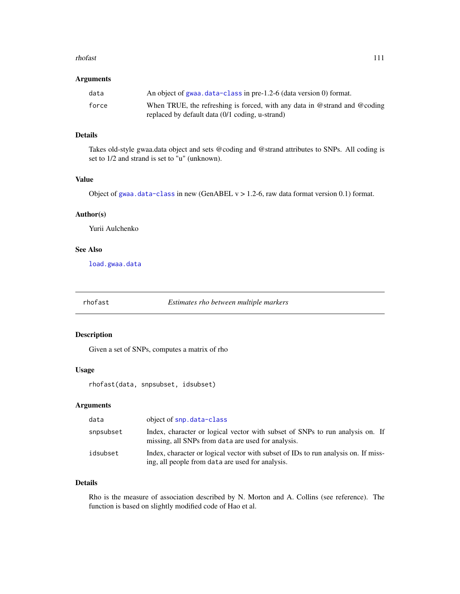#### <span id="page-110-0"></span>rhofast 111

# Arguments

| data  | An object of gwaa.data-class in pre-1.2-6 (data version 0) format.                                                           |
|-------|------------------------------------------------------------------------------------------------------------------------------|
| force | When TRUE, the refreshing is forced, with any data in @strand and @coding<br>replaced by default data (0/1 coding, u-strand) |

# Details

Takes old-style gwaa.data object and sets @coding and @strand attributes to SNPs. All coding is set to 1/2 and strand is set to "u" (unknown).

# Value

Object of [gwaa.data-class](#page-66-0) in new (GenABEL  $v > 1.2$ -6, raw data format version 0.1) format.

# Author(s)

Yurii Aulchenko

#### See Also

[load.gwaa.data](#page-76-0)

rhofast *Estimates rho between multiple markers*

# Description

Given a set of SNPs, computes a matrix of rho

#### Usage

rhofast(data, snpsubset, idsubset)

#### Arguments

| data      | object of snp.data-class                                                                                                               |
|-----------|----------------------------------------------------------------------------------------------------------------------------------------|
| snpsubset | Index, character or logical vector with subset of SNPs to run analysis on. If<br>missing, all SNPs from data are used for analysis.    |
| idsubset  | Index, character or logical vector with subset of IDs to run analysis on. If miss-<br>ing, all people from data are used for analysis. |

# Details

Rho is the measure of association described by N. Morton and A. Collins (see reference). The function is based on slightly modified code of Hao et al.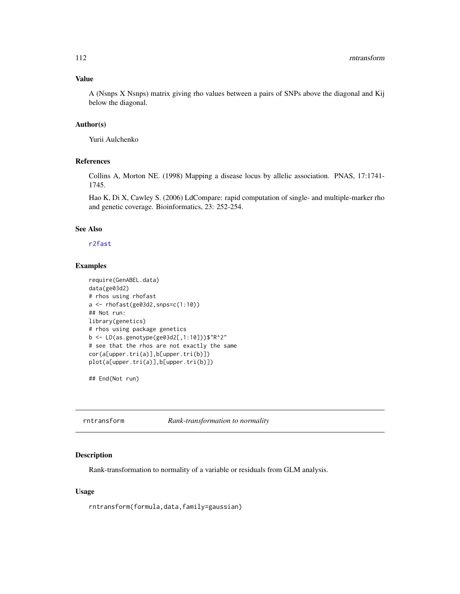#### <span id="page-111-0"></span>Value

A (Nsnps X Nsnps) matrix giving rho values between a pairs of SNPs above the diagonal and Kij below the diagonal.

#### Author(s)

Yurii Aulchenko

# References

Collins A, Morton NE. (1998) Mapping a disease locus by allelic association. PNAS, 17:1741- 1745.

Hao K, Di X, Cawley S. (2006) LdCompare: rapid computation of single- and multiple-marker rho and genetic coverage. Bioinformatics, 23: 252-254.

# See Also

#### [r2fast](#page-104-0)

# Examples

```
require(GenABEL.data)
data(ge03d2)
# rhos using rhofast
a <- rhofast(ge03d2,snps=c(1:10))
## Not run:
library(genetics)
# rhos using package genetics
b <- LD(as.genotype(ge03d2[,1:10]))$"R^2"
# see that the rhos are not exactly the same
cor(a[upper.tri(a)],b[upper.tri(b)])
plot(a[upper.tri(a)],b[upper.tri(b)])
```
## End(Not run)

rntransform *Rank-transformation to normality*

#### Description

Rank-transformation to normality of a variable or residuals from GLM analysis.

# Usage

rntransform(formula,data,family=gaussian)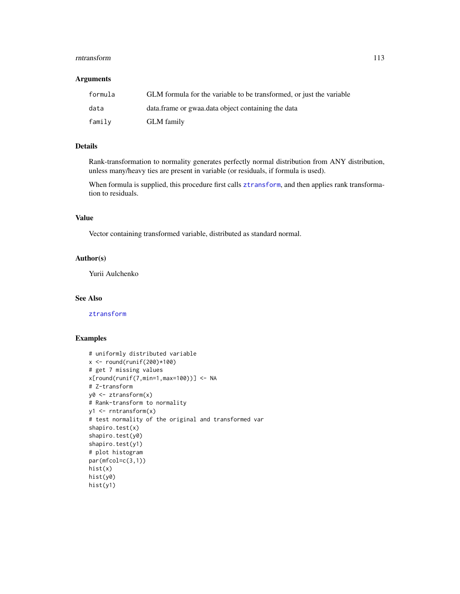#### rntransform 113

#### Arguments

| formula | GLM formula for the variable to be transformed, or just the variable |
|---------|----------------------------------------------------------------------|
| data    | data. frame or gwaa data object containing the data                  |
| family  | <b>GLM</b> family                                                    |

# Details

Rank-transformation to normality generates perfectly normal distribution from ANY distribution, unless many/heavy ties are present in variable (or residuals, if formula is used).

When formula is supplied, this procedure first calls [ztransform](#page-140-0), and then applies rank transformation to residuals.

#### Value

Vector containing transformed variable, distributed as standard normal.

# Author(s)

Yurii Aulchenko

#### See Also

[ztransform](#page-140-0)

```
# uniformly distributed variable
x < - round(runif(200)*100)
# get 7 missing values
x[round(runif(7,min=1,max=100))] <- NA
# Z-transform
y0 <- ztransform(x)
# Rank-transform to normality
y1 <- rntransform(x)
# test normality of the original and transformed var
shapiro.test(x)
shapiro.test(y0)
shapiro.test(y1)
# plot histogram
par(mfcol=c(3,1))
hist(x)
hist(y0)
hist(y1)
```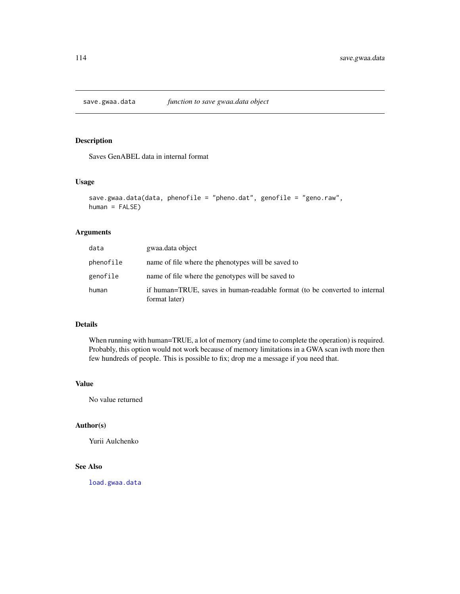<span id="page-113-0"></span>save.gwaa.data *function to save gwaa.data object*

#### Description

Saves GenABEL data in internal format

# Usage

```
save.gwaa.data(data, phenofile = "pheno.dat", genofile = "geno.raw",
human = FALSE)
```
# Arguments

| data      | gwaa.data object                                                                            |
|-----------|---------------------------------------------------------------------------------------------|
| phenofile | name of file where the phenotypes will be saved to                                          |
| genofile  | name of file where the genotypes will be saved to                                           |
| human     | if human=TRUE, saves in human-readable format (to be converted to internal<br>format later) |

# Details

When running with human=TRUE, a lot of memory (and time to complete the operation) is required. Probably, this option would not work because of memory limitations in a GWA scan iwth more then few hundreds of people. This is possible to fix; drop me a message if you need that.

# Value

No value returned

# Author(s)

Yurii Aulchenko

# See Also

[load.gwaa.data](#page-76-0)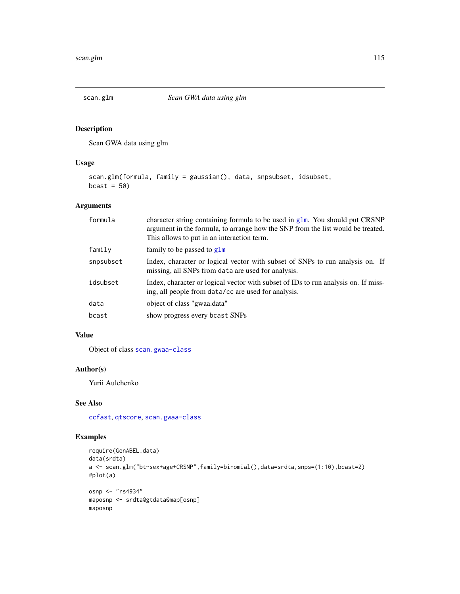<span id="page-114-1"></span><span id="page-114-0"></span>

Scan GWA data using glm

# Usage

```
scan.glm(formula, family = gaussian(), data, snpsubset, idsubset,
bcast = 50
```
# Arguments

| formula   | character string containing formula to be used in glm. You should put CRSNP<br>argument in the formula, to arrange how the SNP from the list would be treated.<br>This allows to put in an interaction term. |
|-----------|--------------------------------------------------------------------------------------------------------------------------------------------------------------------------------------------------------------|
| family    | family to be passed to glm                                                                                                                                                                                   |
| snpsubset | Index, character or logical vector with subset of SNPs to run analysis on. If<br>missing, all SNPs from data are used for analysis.                                                                          |
| idsubset  | Index, character or logical vector with subset of IDs to run analysis on. If miss-<br>ing, all people from data/cc are used for analysis.                                                                    |
| data      | object of class "gwaa.data"                                                                                                                                                                                  |
| bcast     | show progress every bcast SNPs                                                                                                                                                                               |

# Value

Object of class [scan.gwaa-class](#page-116-0)

# Author(s)

Yurii Aulchenko

#### See Also

[ccfast](#page-20-0), [qtscore](#page-101-0), [scan.gwaa-class](#page-116-0)

```
require(GenABEL.data)
data(srdta)
a <- scan.glm("bt~sex+age+CRSNP",family=binomial(),data=srdta,snps=(1:10),bcast=2)
#plot(a)
osnp <- "rs4934"
maposnp <- srdta@gtdata@map[osnp]
maposnp
```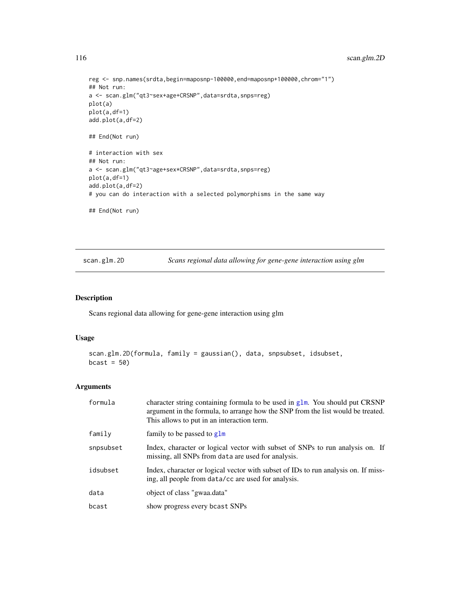```
reg <- snp.names(srdta,begin=maposnp-100000,end=maposnp+100000,chrom="1")
## Not run:
a <- scan.glm("qt3~sex+age+CRSNP",data=srdta,snps=reg)
plot(a)
plot(a,df=1)
add.plot(a,df=2)
## End(Not run)
# interaction with sex
## Not run:
a <- scan.glm("qt3~age+sex*CRSNP",data=srdta,snps=reg)
plot(a,df=1)
add.plot(a,df=2)
# you can do interaction with a selected polymorphisms in the same way
## End(Not run)
```
<span id="page-115-0"></span>scan.glm.2D *Scans regional data allowing for gene-gene interaction using glm*

#### Description

Scans regional data allowing for gene-gene interaction using glm

#### Usage

```
scan.glm.2D(formula, family = gaussian(), data, snpsubset, idsubset,
bcast = 50
```
#### Arguments

| formula   | character string containing formula to be used in $g1m$ . You should put CRSNP<br>argument in the formula, to arrange how the SNP from the list would be treated.<br>This allows to put in an interaction term. |
|-----------|-----------------------------------------------------------------------------------------------------------------------------------------------------------------------------------------------------------------|
| family    | family to be passed to $g1m$                                                                                                                                                                                    |
| snpsubset | Index, character or logical vector with subset of SNPs to run analysis on. If<br>missing, all SNPs from data are used for analysis.                                                                             |
| idsubset  | Index, character or logical vector with subset of IDs to run analysis on. If miss-<br>ing, all people from data/cc are used for analysis.                                                                       |
| data      | object of class "gwaa.data"                                                                                                                                                                                     |
| bcast     | show progress every bcast SNPs                                                                                                                                                                                  |

<span id="page-115-1"></span>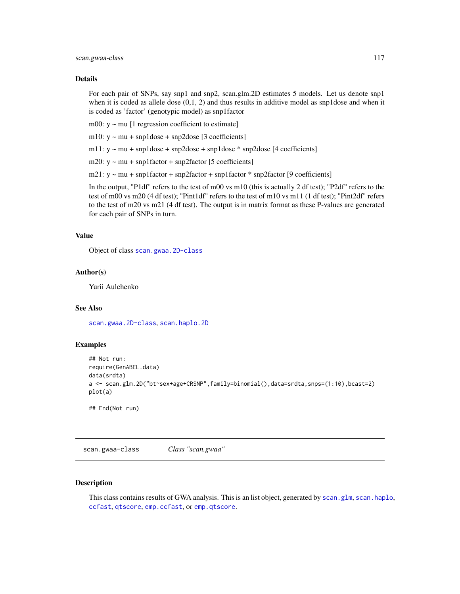#### <span id="page-116-1"></span>Details

For each pair of SNPs, say snp1 and snp2, scan.glm.2D estimates 5 models. Let us denote snp1 when it is coded as allele dose  $(0,1, 2)$  and thus results in additive model as snp1dose and when it is coded as 'factor' (genotypic model) as snp1factor

m00:  $y \sim mu$  [1 regression coefficient to estimate]

m10:  $y \sim mu + mp1dose + mp2dose$  [3 coefficients]

m11: y ~ mu + snp1dose + snp2dose + snp1dose \* snp2dose [4 coefficients]

m20:  $y \sim mu + sup1factor + sup2factor$  [5 coefficients]

m21: y ~ mu + snp1factor + snp2factor + snp1factor \* snp2factor [9 coefficients]

In the output, "P1df" refers to the test of m00 vs m10 (this is actually 2 df test); "P2df" refers to the test of m00 vs m20 (4 df test); "Pint1df" refers to the test of m10 vs m11 (1 df test); "Pint2df" refers to the test of m20 vs m21 (4 df test). The output is in matrix format as these P-values are generated for each pair of SNPs in turn.

#### Value

Object of class [scan.gwaa.2D-class](#page-118-0)

# Author(s)

Yurii Aulchenko

# See Also

[scan.gwaa.2D-class](#page-118-0), [scan.haplo.2D](#page-121-0)

#### Examples

```
## Not run:
require(GenABEL.data)
data(srdta)
a <- scan.glm.2D("bt~sex+age+CRSNP",family=binomial(),data=srdta,snps=(1:10),bcast=2)
plot(a)
```
## End(Not run)

<span id="page-116-0"></span>scan.gwaa-class *Class "scan.gwaa"*

#### Description

This class contains results of GWA analysis. This is an list object, generated by [scan.glm](#page-114-0), [scan.haplo](#page-119-0), [ccfast](#page-20-0), [qtscore](#page-101-0), [emp.ccfast](#page-47-0), or [emp.qtscore](#page-48-0).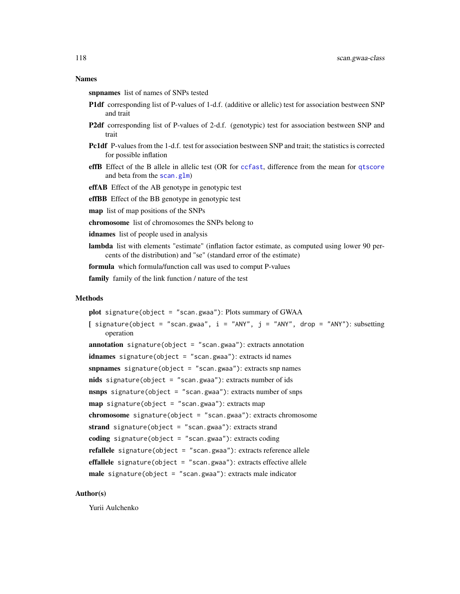snpnames list of names of SNPs tested

- P1df corresponding list of P-values of 1-d.f. (additive or allelic) test for association bestween SNP and trait
- P2df corresponding list of P-values of 2-d.f. (genotypic) test for association bestween SNP and trait
- Pc1df P-values from the 1-d.f. test for association bestween SNP and trait; the statistics is corrected for possible inflation
- effB Effect of the B allele in allelic test (OR for [ccfast](#page-20-0), difference from the mean for [qtscore](#page-101-0) and beta from the [scan.glm](#page-114-0))
- effAB Effect of the AB genotype in genotypic test
- effBB Effect of the BB genotype in genotypic test
- map list of map positions of the SNPs
- chromosome list of chromosomes the SNPs belong to
- idnames list of people used in analysis
- lambda list with elements "estimate" (inflation factor estimate, as computed using lower 90 percents of the distribution) and "se" (standard error of the estimate)

formula which formula/function call was used to comput P-values

family family of the link function / nature of the test

#### Methods

plot signature(object = "scan.gwaa"): Plots summary of GWAA [ signature(object = "scan.gwaa",  $i = "ANY", j = "ANY", drop = "ANY"$ ): subsetting operation **annotation** signature(object = "scan.gwaa"): extracts annotation idnames signature(object = "scan.gwaa"): extracts id names snpnames signature(object = "scan.gwaa"): extracts snp names nids signature(object = "scan.gwaa"): extracts number of ids nsnps signature(object = "scan.gwaa"): extracts number of snps map signature(object = "scan.gwaa"): extracts map chromosome signature(object = "scan.gwaa"): extracts chromosome strand signature(object = "scan.gwaa"): extracts strand coding signature(object = "scan.gwaa"): extracts coding **refallele** signature(object = "scan.gwaa"): extracts reference allele effallele signature(object = "scan.gwaa"): extracts effective allele male signature(object = "scan.gwaa"): extracts male indicator

#### Author(s)

Yurii Aulchenko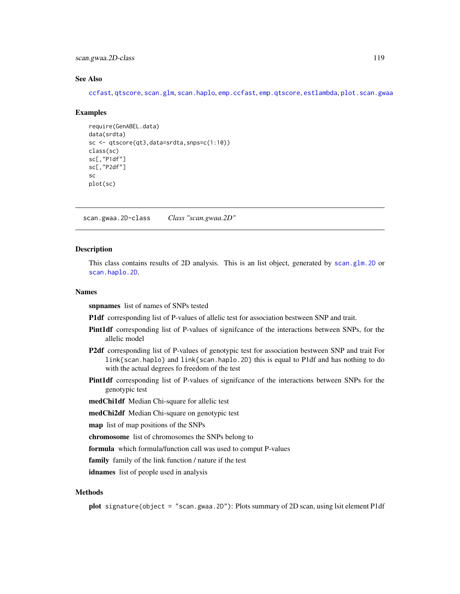<span id="page-118-1"></span>scan.gwaa.2D-class 119

#### See Also

[ccfast](#page-20-0), [qtscore](#page-101-0), [scan.glm](#page-114-0), [scan.haplo](#page-119-0), [emp.ccfast](#page-47-0), [emp.qtscore](#page-48-0), [estlambda](#page-50-0), [plot.scan.gwaa](#page-93-0)

#### Examples

```
require(GenABEL.data)
data(srdta)
sc <- qtscore(qt3,data=srdta,snps=c(1:10))
class(sc)
sc[,"P1df"]
sc[,"P2df"]
sc
plot(sc)
```
<span id="page-118-0"></span>scan.gwaa.2D-class *Class "scan.gwaa.2D"*

#### **Description**

This class contains results of 2D analysis. This is an list object, generated by [scan.glm.2D](#page-115-0) or [scan.haplo.2D](#page-121-0).

#### Names

snpnames list of names of SNPs tested

P1df corresponding list of P-values of allelic test for association bestween SNP and trait.

- Pint1df corresponding list of P-values of signifcance of the interactions between SNPs, for the allelic model
- P2df corresponding list of P-values of genotypic test for association bestween SNP and trait For link{scan.haplo} and link{scan.haplo.2D} this is equal to P1df and has nothing to do with the actual degrees fo freedom of the test
- Pint1df corresponding list of P-values of signifcance of the interactions between SNPs for the genotypic test

medChi1df Median Chi-square for allelic test

medChi2df Median Chi-square on genotypic test

map list of map positions of the SNPs

chromosome list of chromosomes the SNPs belong to

formula which formula/function call was used to comput P-values

family family of the link function / nature if the test

idnames list of people used in analysis

# Methods

plot signature(object = "scan.gwaa.2D"): Plots summary of 2D scan, using lsit element P1df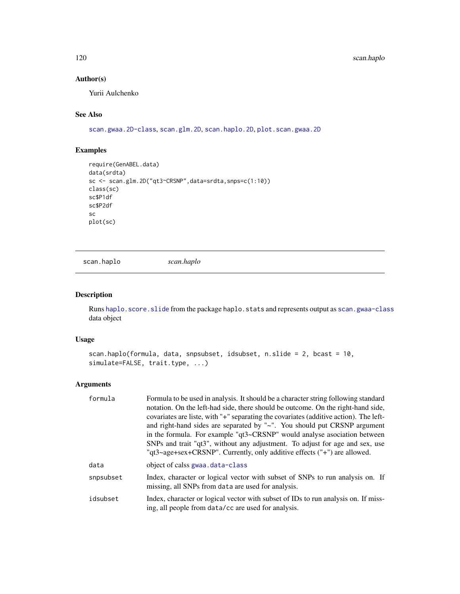# Author(s)

Yurii Aulchenko

# See Also

[scan.gwaa.2D-class](#page-118-0), [scan.glm.2D](#page-115-0), [scan.haplo.2D](#page-121-0), [plot.scan.gwaa.2D](#page-94-0)

# Examples

```
require(GenABEL.data)
data(srdta)
sc <- scan.glm.2D("qt3~CRSNP",data=srdta,snps=c(1:10))
class(sc)
sc$P1df
sc$P2df
sc
plot(sc)
```
<span id="page-119-0"></span>scan.haplo *scan.haplo*

#### Description

Runs [haplo.score.slide](#page-0-0) from the package haplo.stats and represents output as [scan.gwaa-class](#page-116-0) data object

# Usage

```
scan.haplo(formula, data, snpsubset, idsubset, n.slide = 2, bcast = 10,
simulate=FALSE, trait.type, ...)
```
# Arguments

| formula   | Formula to be used in analysis. It should be a character string following standard<br>notation. On the left-had side, there should be outcome. On the right-hand side,<br>covariates are liste, with "+" separating the covariates (additive action). The left-<br>and right-hand sides are separated by "~". You should put CRSNP argument<br>in the formula. For example "qt3~CRSNP" would analyse asociation between<br>SNPs and trait "qt3", without any adjustment. To adjust for age and sex, use<br>"qt3~age+sex+CRSNP". Currently, only additive effects $("+")$ are allowed. |
|-----------|---------------------------------------------------------------------------------------------------------------------------------------------------------------------------------------------------------------------------------------------------------------------------------------------------------------------------------------------------------------------------------------------------------------------------------------------------------------------------------------------------------------------------------------------------------------------------------------|
| data      | object of calss gwaa.data-class                                                                                                                                                                                                                                                                                                                                                                                                                                                                                                                                                       |
| snpsubset | Index, character or logical vector with subset of SNPs to run analysis on. If<br>missing, all SNPs from data are used for analysis.                                                                                                                                                                                                                                                                                                                                                                                                                                                   |
| idsubset  | Index, character or logical vector with subset of IDs to run analysis on. If miss-<br>ing, all people from data/cc are used for analysis.                                                                                                                                                                                                                                                                                                                                                                                                                                             |

<span id="page-119-1"></span>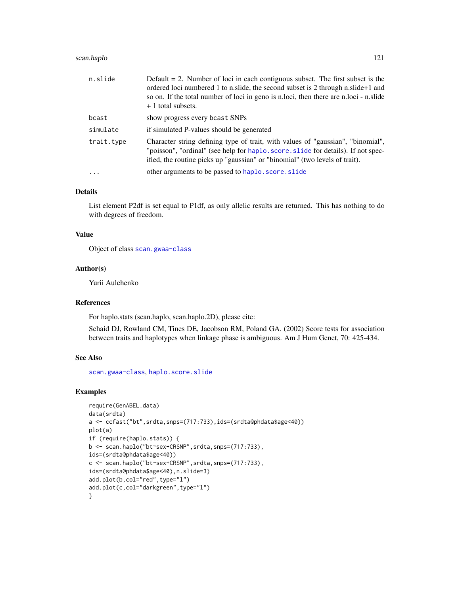# scan.haplo 121

| n.slide    | Default $= 2$ . Number of loci in each contiguous subset. The first subset is the<br>ordered loci numbered 1 to n.slide, the second subset is 2 through n.slide+1 and<br>so on. If the total number of loci in geno is n.loci, then there are n.loci - n.slide<br>+ 1 total subsets. |  |
|------------|--------------------------------------------------------------------------------------------------------------------------------------------------------------------------------------------------------------------------------------------------------------------------------------|--|
| bcast      | show progress every bcast SNPs                                                                                                                                                                                                                                                       |  |
| simulate   | if simulated P-values should be generated                                                                                                                                                                                                                                            |  |
| trait.type | Character string defining type of trait, with values of "gaussian", "binomial",<br>"poisson", "ordinal" (see help for haplo. score. slide for details). If not spec-<br>ified, the routine picks up "gaussian" or "binomial" (two levels of trait).                                  |  |
| .          | other arguments to be passed to haplo. score. slide                                                                                                                                                                                                                                  |  |

#### Details

List element P2df is set equal to P1df, as only allelic results are returned. This has nothing to do with degrees of freedom.

#### Value

Object of class [scan.gwaa-class](#page-116-0)

#### Author(s)

Yurii Aulchenko

#### References

For haplo.stats (scan.haplo, scan.haplo.2D), please cite:

Schaid DJ, Rowland CM, Tines DE, Jacobson RM, Poland GA. (2002) Score tests for association between traits and haplotypes when linkage phase is ambiguous. Am J Hum Genet, 70: 425-434.

#### See Also

[scan.gwaa-class](#page-116-0), [haplo.score.slide](#page-0-0)

```
require(GenABEL.data)
data(srdta)
a <- ccfast("bt",srdta,snps=(717:733),ids=(srdta@phdata$age<40))
plot(a)
if (require(haplo.stats)) {
b <- scan.haplo("bt~sex+CRSNP",srdta,snps=(717:733),
ids=(srdta@phdata$age<40))
c <- scan.haplo("bt~sex+CRSNP",srdta,snps=(717:733),
ids=(srdta@phdata$age<40),n.slide=3)
add.plot(b,col="red",type="l")
add.plot(c,col="darkgreen",type="l")
}
```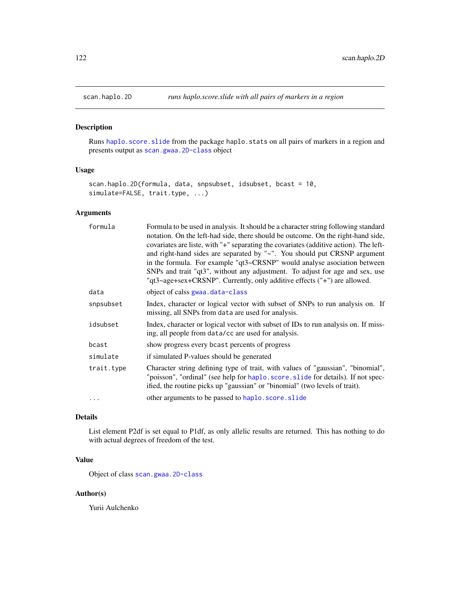<span id="page-121-1"></span><span id="page-121-0"></span>

Runs [haplo.score.slide](#page-0-0) from the package haplo.stats on all pairs of markers in a region and presents output as [scan.gwaa.2D-class](#page-118-0) object

# Usage

```
scan.haplo.2D(formula, data, snpsubset, idsubset, bcast = 10,
simulate=FALSE, trait.type, ...)
```
# Arguments

| formula    | Formula to be used in analysis. It should be a character string following standard<br>notation. On the left-had side, there should be outcome. On the right-hand side,<br>covariates are liste, with "+" separating the covariates (additive action). The left-<br>and right-hand sides are separated by "~". You should put CRSNP argument<br>in the formula. For example "qt3~CRSNP" would analyse asociation between<br>SNPs and trait "qt3", without any adjustment. To adjust for age and sex, use<br>"qt3~age+sex+CRSNP". Currently, only additive effects ("+") are allowed. |
|------------|-------------------------------------------------------------------------------------------------------------------------------------------------------------------------------------------------------------------------------------------------------------------------------------------------------------------------------------------------------------------------------------------------------------------------------------------------------------------------------------------------------------------------------------------------------------------------------------|
| data       | object of calss gwaa.data-class                                                                                                                                                                                                                                                                                                                                                                                                                                                                                                                                                     |
| snpsubset  | Index, character or logical vector with subset of SNPs to run analysis on. If<br>missing, all SNPs from data are used for analysis.                                                                                                                                                                                                                                                                                                                                                                                                                                                 |
| idsubset   | Index, character or logical vector with subset of IDs to run analysis on. If miss-<br>ing, all people from data/cc are used for analysis.                                                                                                                                                                                                                                                                                                                                                                                                                                           |
| bcast      | show progress every beast percents of progress                                                                                                                                                                                                                                                                                                                                                                                                                                                                                                                                      |
| simulate   | if simulated P-values should be generated                                                                                                                                                                                                                                                                                                                                                                                                                                                                                                                                           |
| trait.type | Character string defining type of trait, with values of "gaussian", "binomial",<br>"poisson", "ordinal" (see help for haplo. score. slide for details). If not spec-<br>ified, the routine picks up "gaussian" or "binomial" (two levels of trait).                                                                                                                                                                                                                                                                                                                                 |
|            | other arguments to be passed to haplo. score. slide                                                                                                                                                                                                                                                                                                                                                                                                                                                                                                                                 |

# Details

List element P2df is set equal to P1df, as only allelic results are returned. This has nothing to do with actual degrees of freedom of the test.

# Value

Object of class [scan.gwaa.2D-class](#page-118-0)

# Author(s)

Yurii Aulchenko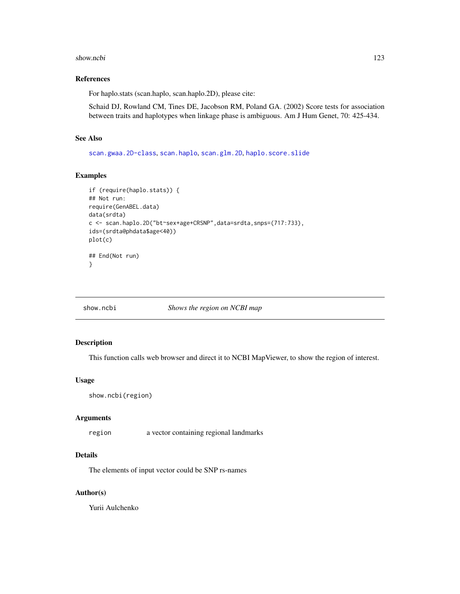#### <span id="page-122-0"></span>show.ncbi 123

# References

For haplo.stats (scan.haplo, scan.haplo.2D), please cite:

Schaid DJ, Rowland CM, Tines DE, Jacobson RM, Poland GA. (2002) Score tests for association between traits and haplotypes when linkage phase is ambiguous. Am J Hum Genet, 70: 425-434.

#### See Also

[scan.gwaa.2D-class](#page-118-0), [scan.haplo](#page-119-0), [scan.glm.2D](#page-115-0), [haplo.score.slide](#page-0-0)

#### Examples

```
if (require(haplo.stats)) {
## Not run:
require(GenABEL.data)
data(srdta)
c <- scan.haplo.2D("bt~sex+age+CRSNP",data=srdta,snps=(717:733),
ids=(srdta@phdata$age<40))
plot(c)
## End(Not run)
}
```
show.ncbi *Shows the region on NCBI map*

#### Description

This function calls web browser and direct it to NCBI MapViewer, to show the region of interest.

#### Usage

```
show.ncbi(region)
```
#### Arguments

region a vector containing regional landmarks

#### Details

The elements of input vector could be SNP rs-names

#### Author(s)

Yurii Aulchenko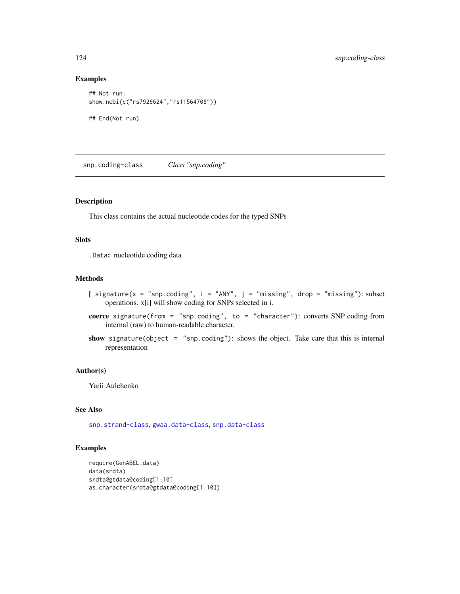# Examples

```
## Not run:
show.ncbi(c("rs7926624","rs11564708"))
## End(Not run)
```
<span id="page-123-0"></span>snp.coding-class *Class "snp.coding"*

#### Description

This class contains the actual nucleotide codes for the typed SNPs

# **Slots**

.Data: nucleotide coding data

#### Methods

- [ signature( $x = "snp.coding", i = "ANY", j = "missing", drop = "missing": subset$ operations. x[i] will show coding for SNPs selected in i.
- coerce signature(from = "snp.coding", to = "character"): converts SNP coding from internal (raw) to human-readable character.
- show signature(object = "snp.coding"): shows the object. Take care that this is internal representation

# Author(s)

Yurii Aulchenko

#### See Also

[snp.strand-class](#page-129-0), [gwaa.data-class](#page-66-0), [snp.data-class](#page-125-0)

```
require(GenABEL.data)
data(srdta)
srdta@gtdata@coding[1:10]
as.character(srdta@gtdata@coding[1:10])
```
<span id="page-123-1"></span>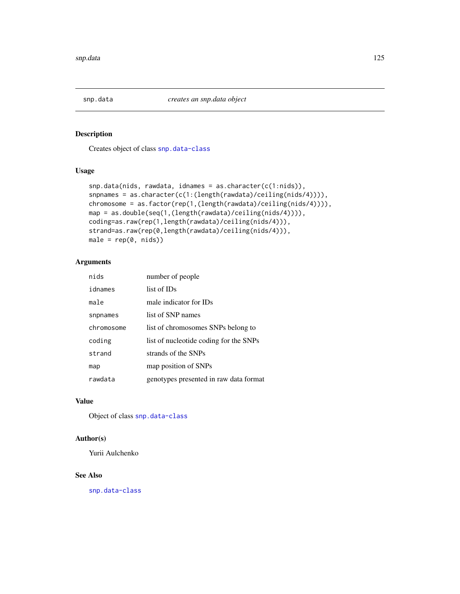<span id="page-124-1"></span><span id="page-124-0"></span>

Creates object of class [snp.data-class](#page-125-0)

# Usage

```
snp.data(nids, rawdata, idnames = as.character(c(1:nids)),
snpnames = as.character(c(1:(length(rawdata)/ceiling(nids/4)))),
chromosome = as.factor(rep(1,(length(rawdata)/ceiling(nids/4)))),
map = as.double(seq(1,(length(rawdata)/ceiling(nids/4)))),
coding=as.raw(rep(1,length(rawdata)/ceiling(nids/4))),
strand=as.raw(rep(0,length(rawdata)/ceiling(nids/4))),
male = rep(0, nids))
```
# Arguments

| nids       | number of people                       |
|------------|----------------------------------------|
| idnames    | list of IDs                            |
| male       | male indicator for IDs                 |
| snpnames   | list of SNP names                      |
| chromosome | list of chromosomes SNPs belong to     |
| coding     | list of nucleotide coding for the SNPs |
| strand     | strands of the SNPs                    |
| map        | map position of SNPs                   |
| rawdata    | genotypes presented in raw data format |

#### Value

Object of class [snp.data-class](#page-125-0)

#### Author(s)

Yurii Aulchenko

#### See Also

[snp.data-class](#page-125-0)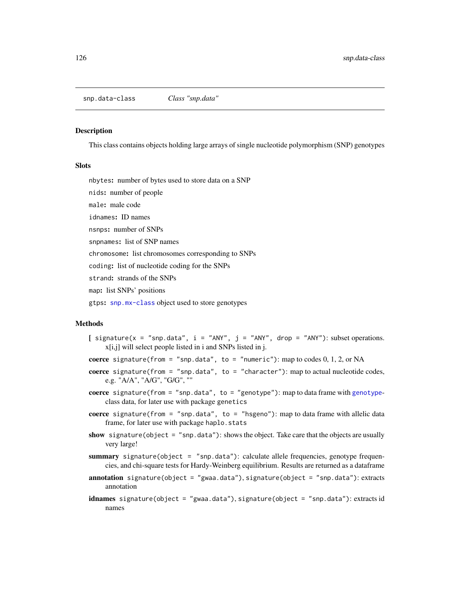<span id="page-125-1"></span><span id="page-125-0"></span>snp.data-class *Class "snp.data"*

#### Description

This class contains objects holding large arrays of single nucleotide polymorphism (SNP) genotypes

#### Slots

nbytes: number of bytes used to store data on a SNP

nids: number of people

male: male code

idnames: ID names

nsnps: number of SNPs

snpnames: list of SNP names

chromosome: list chromosomes corresponding to SNPs

coding: list of nucleotide coding for the SNPs

strand: strands of the SNPs

map: list SNPs' positions

gtps: [snp.mx-class](#page-127-0) object used to store genotypes

# Methods

- [ signature(x = "snp.data",  $i =$  "ANY",  $j =$  "ANY", drop = "ANY"): subset operations. x[i,j] will select people listed in i and SNPs listed in j.
- coerce signature(from = "snp.data", to = "numeric"): map to codes  $0, 1, 2$ , or NA
- coerce signature(from = "snp.data", to = "character"): map to actual nucleotide codes, e.g. "A/A", "A/G", "G/G", ""
- coerce signature(from  $=$  "snp.data", to  $=$  "[genotype](#page-0-0)"): map to data frame with genotypeclass data, for later use with package genetics
- coerce signature(from = "snp.data", to = "hsgeno"): map to data frame with allelic data frame, for later use with package haplo.stats
- show signature(object = "snp.data"): shows the object. Take care that the objects are usually very large!
- summary signature(object = "snp.data"): calculate allele frequencies, genotype frequencies, and chi-square tests for Hardy-Weinberg equilibrium. Results are returned as a dataframe
- annotation signature(object = "gwaa.data"), signature(object = "snp.data"): extracts annotation
- idnames signature(object = "gwaa.data"), signature(object = "snp.data"): extracts id names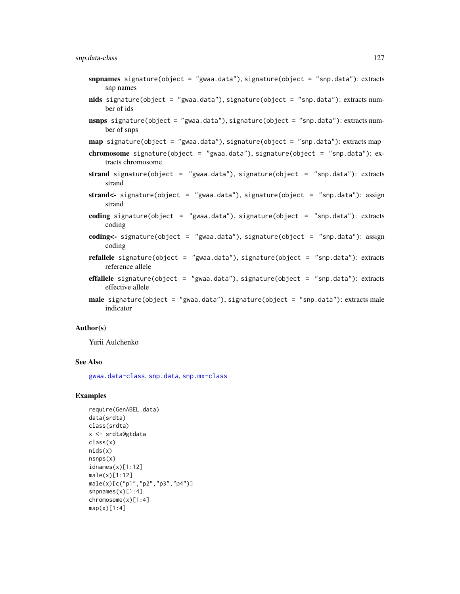- snpnames signature(object = "gwaa.data"), signature(object = "snp.data"): extracts snp names
- nids signature(object = "gwaa.data"), signature(object = "snp.data"): extracts number of ids
- nsnps signature(object = "gwaa.data"), signature(object = "snp.data"): extracts number of snps
- map signature(object = "gwaa.data"), signature(object = "snp.data"): extracts map
- chromosome signature(object = "gwaa.data"), signature(object = "snp.data"): extracts chromosome
- strand signature(object = "gwaa.data"), signature(object = "snp.data"): extracts strand
- strand<- signature(object = "gwaa.data"), signature(object = "snp.data"): assign strand
- coding signature(object = "gwaa.data"), signature(object = "snp.data"): extracts coding
- coding<- signature(object = "gwaa.data"), signature(object = "snp.data"): assign coding
- refallele signature(object = "gwaa.data"), signature(object = "snp.data"): extracts reference allele
- effallele signature(object = "gwaa.data"), signature(object = "snp.data"): extracts effective allele
- male signature(object = "gwaa.data"), signature(object = "snp.data"): extracts male indicator

#### Author(s)

Yurii Aulchenko

#### See Also

[gwaa.data-class](#page-66-0), [snp.data](#page-124-0), [snp.mx-class](#page-127-0)

```
require(GenABEL.data)
data(srdta)
class(srdta)
x <- srdta@gtdata
class(x)
nids(x)
nsnps(x)
idnames(x)[1:12]
male(x)[1:12]
male(x)[c("p1","p2","p3","p4")]
snpnames(x)[1:4]
chromosome(x)[1:4]
map(x)[1:4]
```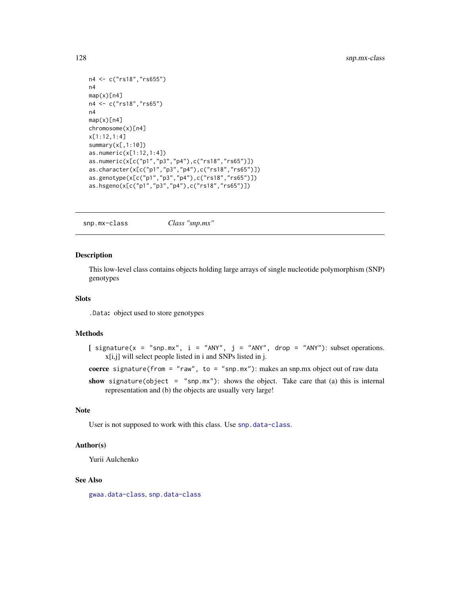```
n4 <- c("rs18","rs655")
n4
map(x)[n4]
n4 <- c("rs18","rs65")
n4
map(x)[n4]
chromosome(x)[n4]
x[1:12,1:4]
summary(x[,1:10])
as.numeric(x[1:12,1:4])
as.numeric(x[c("p1","p3","p4"),c("rs18","rs65")])
as.character(x[c("p1","p3","p4"),c("rs18","rs65")])
as.genotype(x[c("p1","p3","p4"),c("rs18","rs65")])
as.hsgeno(x[c("p1","p3","p4"),c("rs18","rs65")])
```

```
snp.mx-class Class "snp.mx"
```
This low-level class contains objects holding large arrays of single nucleotide polymorphism (SNP) genotypes

#### Slots

.Data: object used to store genotypes

# Methods

```
[ signature(x = "snp.mx", i = "ANY", j = "ANY", drop = "ANY"); subset operations.
     x[i,j] will select people listed in i and SNPs listed in j.
```
coerce signature(from = "raw", to = "snp.mx"): makes an snp.mx object out of raw data

show signature(object = "snp.mx"): shows the object. Take care that (a) this is internal representation and (b) the objects are usually very large!

#### Note

User is not supposed to work with this class. Use [snp.data-class](#page-125-0).

#### Author(s)

Yurii Aulchenko

# See Also

[gwaa.data-class](#page-66-0), [snp.data-class](#page-125-0)

<span id="page-127-1"></span>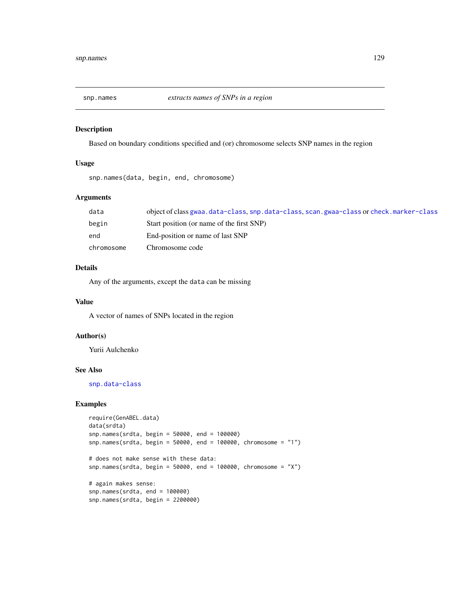<span id="page-128-0"></span>

Based on boundary conditions specified and (or) chromosome selects SNP names in the region

#### Usage

snp.names(data, begin, end, chromosome)

# Arguments

| data       | object of class gwaa.data-class, snp.data-class, scan.gwaa-class or check.marker-class |
|------------|----------------------------------------------------------------------------------------|
| begin      | Start position (or name of the first SNP)                                              |
| end        | End-position or name of last SNP                                                       |
| chromosome | Chromosome code                                                                        |

#### Details

Any of the arguments, except the data can be missing

#### Value

A vector of names of SNPs located in the region

# Author(s)

Yurii Aulchenko

# See Also

[snp.data-class](#page-125-0)

```
require(GenABEL.data)
data(srdta)
snp.names(srdta, begin = 50000, end = 100000)
snp.names(srdta, begin = 50000, end = 100000, chromosome = "1")
# does not make sense with these data:
snp.names(srdta, begin = 50000, end = 100000, chromosome = "X")
# again makes sense:
snp.names(srdta, end = 100000)
snp.names(srdta, begin = 2200000)
```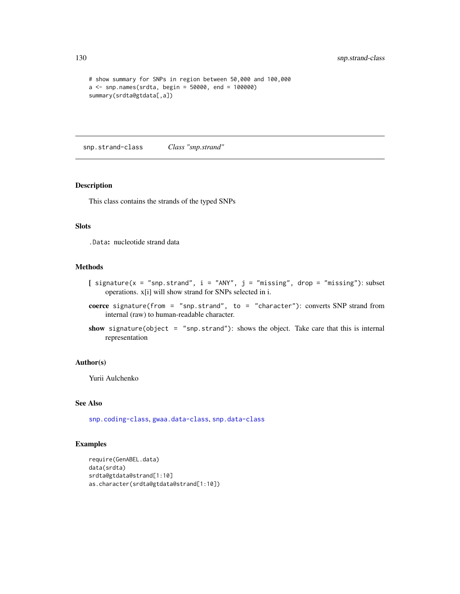```
# show summary for SNPs in region between 50,000 and 100,000
a \leq snp.names(srdta, begin = 50000, end = 100000)
summary(srdta@gtdata[,a])
```
<span id="page-129-0"></span>snp.strand-class *Class "snp.strand"*

#### Description

This class contains the strands of the typed SNPs

#### Slots

.Data: nucleotide strand data

#### Methods

- [ signature(x = "snp.strand",  $i =$  "ANY",  $j =$  "missing", drop = "missing"): subset operations. x[i] will show strand for SNPs selected in i.
- coerce signature(from = "snp.strand", to = "character"): converts SNP strand from internal (raw) to human-readable character.
- show signature(object = "snp.strand"): shows the object. Take care that this is internal representation

#### Author(s)

Yurii Aulchenko

# See Also

[snp.coding-class](#page-123-0), [gwaa.data-class](#page-66-0), [snp.data-class](#page-125-0)

```
require(GenABEL.data)
data(srdta)
srdta@gtdata@strand[1:10]
as.character(srdta@gtdata@strand[1:10])
```
<span id="page-129-1"></span>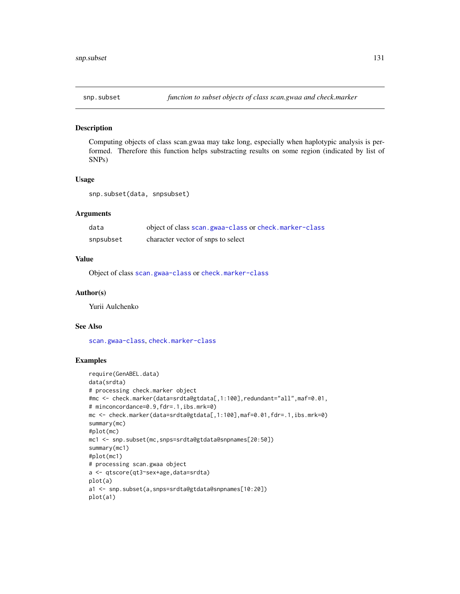<span id="page-130-0"></span>

Computing objects of class scan.gwaa may take long, especially when haplotypic analysis is performed. Therefore this function helps substracting results on some region (indicated by list of SNPs)

#### Usage

snp.subset(data, snpsubset)

#### Arguments

| data      | object of class scan.gwaa-class or check.marker-class |
|-----------|-------------------------------------------------------|
| snpsubset | character vector of snps to select                    |

#### Value

Object of class [scan.gwaa-class](#page-116-0) or [check.marker-class](#page-23-0)

#### Author(s)

Yurii Aulchenko

#### See Also

[scan.gwaa-class](#page-116-0), [check.marker-class](#page-23-0)

```
require(GenABEL.data)
data(srdta)
# processing check.marker object
#mc <- check.marker(data=srdta@gtdata[,1:100],redundant="all",maf=0.01,
# minconcordance=0.9,fdr=.1,ibs.mrk=0)
mc <- check.marker(data=srdta@gtdata[,1:100],maf=0.01,fdr=.1,ibs.mrk=0)
summary(mc)
#plot(mc)
mc1 <- snp.subset(mc,snps=srdta@gtdata@snpnames[20:50])
summary(mc1)
#plot(mc1)
# processing scan.gwaa object
a <- qtscore(qt3~sex+age,data=srdta)
plot(a)
a1 <- snp.subset(a,snps=srdta@gtdata@snpnames[10:20])
plot(a1)
```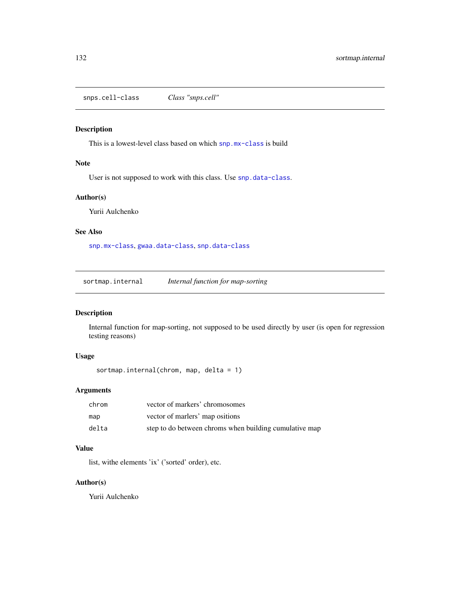<span id="page-131-0"></span>snps.cell-class *Class "snps.cell"*

# Description

This is a lowest-level class based on which [snp.mx-class](#page-127-0) is build

#### Note

User is not supposed to work with this class. Use [snp.data-class](#page-125-0).

# Author(s)

Yurii Aulchenko

# See Also

[snp.mx-class](#page-127-0), [gwaa.data-class](#page-66-0), [snp.data-class](#page-125-0)

sortmap.internal *Internal function for map-sorting*

# Description

Internal function for map-sorting, not supposed to be used directly by user (is open for regression testing reasons)

# Usage

```
sortmap.internal(chrom, map, delta = 1)
```
# Arguments

| chrom | vector of markers' chromosomes                         |
|-------|--------------------------------------------------------|
| map   | vector of marlers' map ositions                        |
| delta | step to do between chroms when building cumulative map |

# Value

list, withe elements 'ix' ('sorted' order), etc.

# Author(s)

Yurii Aulchenko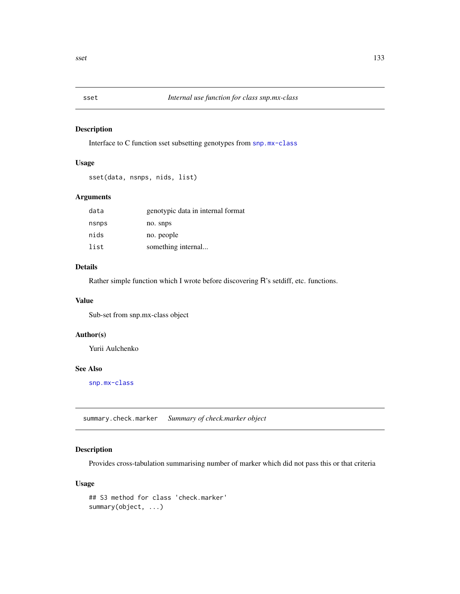<span id="page-132-0"></span>

Interface to C function sset subsetting genotypes from [snp.mx-class](#page-127-0)

# Usage

sset(data, nsnps, nids, list)

# Arguments

| data  | genotypic data in internal format |
|-------|-----------------------------------|
| nsnps | no. snps                          |
| nids  | no. people                        |
| list  | something internal                |

#### Details

Rather simple function which I wrote before discovering R's setdiff, etc. functions.

#### Value

Sub-set from snp.mx-class object

# Author(s)

Yurii Aulchenko

# See Also

[snp.mx-class](#page-127-0)

summary.check.marker *Summary of check.marker object*

# Description

Provides cross-tabulation summarising number of marker which did not pass this or that criteria

# Usage

```
## S3 method for class 'check.marker'
summary(object, ...)
```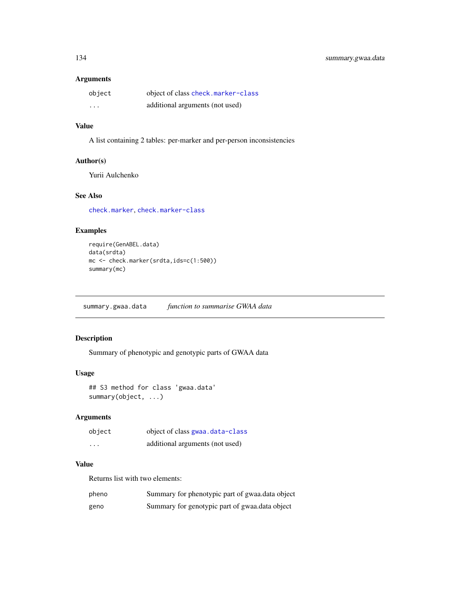#### <span id="page-133-1"></span>Arguments

| object  | object of class check.marker-class |
|---------|------------------------------------|
| $\cdot$ | additional arguments (not used)    |

# Value

A list containing 2 tables: per-marker and per-person inconsistencies

# Author(s)

Yurii Aulchenko

# See Also

[check.marker](#page-21-0), [check.marker-class](#page-23-0)

# Examples

```
require(GenABEL.data)
data(srdta)
mc <- check.marker(srdta,ids=c(1:500))
summary(mc)
```
<span id="page-133-0"></span>summary.gwaa.data *function to summarise GWAA data*

# Description

Summary of phenotypic and genotypic parts of GWAA data

#### Usage

```
## S3 method for class 'gwaa.data'
summary(object, ...)
```
# Arguments

| object | object of class gwaa.data-class |
|--------|---------------------------------|
| .      | additional arguments (not used) |

# Value

Returns list with two elements:

| pheno | Summary for phenotypic part of gwaa.data object |
|-------|-------------------------------------------------|
| geno  | Summary for genotypic part of gwaa.data object  |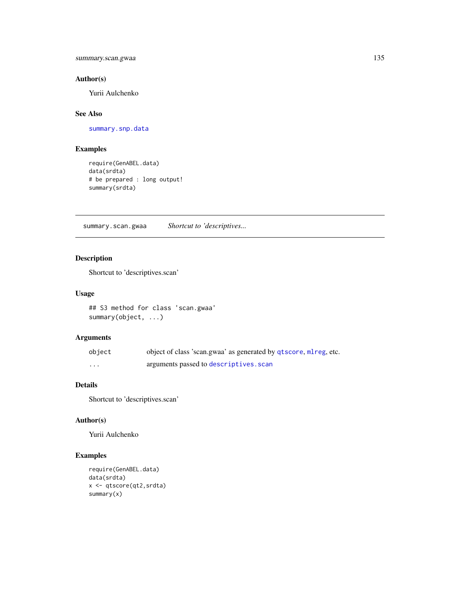summary.scan.gwaa 135

# Author(s)

Yurii Aulchenko

# See Also

[summary.snp.data](#page-135-0)

# Examples

```
require(GenABEL.data)
data(srdta)
# be prepared : long output!
summary(srdta)
```
summary.scan.gwaa *Shortcut to 'descriptives...*

# Description

Shortcut to 'descriptives.scan'

#### Usage

```
## S3 method for class 'scan.gwaa'
summary(object, ...)
```
# Arguments

| object | object of class 'scan.gwaa' as generated by qtscore, ml reg, etc. |
|--------|-------------------------------------------------------------------|
| .      | arguments passed to descriptives. scan                            |

# Details

Shortcut to 'descriptives.scan'

# Author(s)

Yurii Aulchenko

```
require(GenABEL.data)
data(srdta)
x <- qtscore(qt2,srdta)
summary(x)
```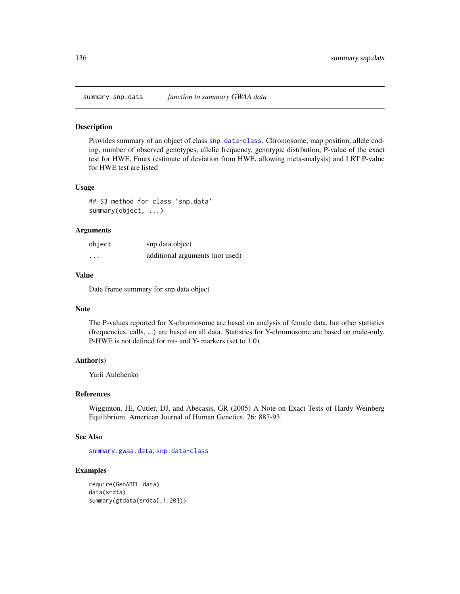<span id="page-135-1"></span><span id="page-135-0"></span>

Provides summary of an object of class [snp.data-class](#page-125-0). Chromosome, map position, allele coding, number of observed genotypes, allelic frequency, genotypic distrbution, P-value of the exact test for HWE, Fmax (estimate of deviation from HWE, allowing meta-analysis) and LRT P-value for HWE test are listed

#### Usage

## S3 method for class 'snp.data' summary(object, ...)

#### **Arguments**

| object               | snp.data object                 |
|----------------------|---------------------------------|
| $\ddot{\phantom{0}}$ | additional arguments (not used) |

#### Value

Data frame summary for snp.data object

#### Note

The P-values reported for X-chromosome are based on analysis of female data, but other statistics (frequencies, calls, ...) are based on all data. Statistics for Y-chromosome are based on male-only. P-HWE is not defined for mt- and Y- markers (set to 1.0).

#### Author(s)

Yurii Aulchenko

#### References

Wigginton, JE, Cutler, DJ, and Abecasis, GR (2005) A Note on Exact Tests of Hardy-Weinberg Equilibrium. American Journal of Human Genetics. 76: 887-93.

#### See Also

[summary.gwaa.data](#page-133-0), [snp.data-class](#page-125-0)

```
require(GenABEL.data)
data(srdta)
summary(gtdata(srdta[,1:20]))
```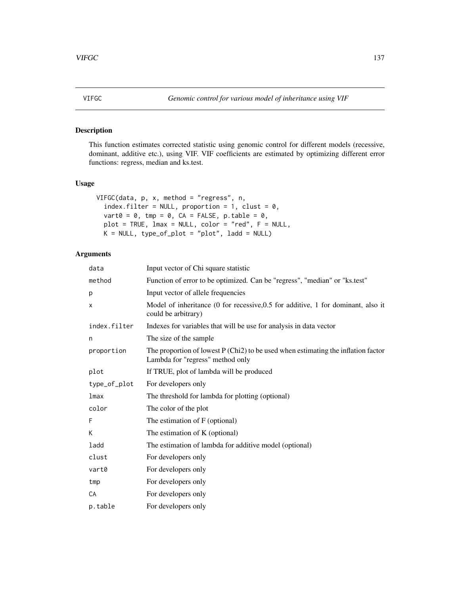<span id="page-136-0"></span>

This function estimates corrected statistic using genomic control for different models (recessive, dominant, additive etc.), using VIF. VIF coefficients are estimated by optimizing different error functions: regress, median and ks.test.

# Usage

```
VIFGC(data, p, x, method = "regress", n,
  index.filter = NULL, proportion = 1, clust = 0,
  vart0 = 0, tmp = 0, CA = FALSE, p.table = 0,
  plot = TRUE, lmax = NULL, color = "red", F = NULL,
 K = NULL, type_of_plot = "plot", ladd = NULL)
```
# Arguments

| data         | Input vector of Chi square statistic                                                                                    |
|--------------|-------------------------------------------------------------------------------------------------------------------------|
| method       | Function of error to be optimized. Can be "regress", "median" or "ks.test"                                              |
| p            | Input vector of allele frequencies                                                                                      |
| x            | Model of inheritance (0 for recessive, 0.5 for additive, 1 for dominant, also it<br>could be arbitrary)                 |
| index.filter | Indexes for variables that will be use for analysis in data vector                                                      |
| n            | The size of the sample                                                                                                  |
| proportion   | The proportion of lowest $P$ (Chi2) to be used when estimating the inflation factor<br>Lambda for "regress" method only |
| plot         | If TRUE, plot of lambda will be produced                                                                                |
| type_of_plot | For developers only                                                                                                     |
| lmax         | The threshold for lambda for plotting (optional)                                                                        |
| color        | The color of the plot                                                                                                   |
| F            | The estimation of F (optional)                                                                                          |
| K            | The estimation of K (optional)                                                                                          |
| ladd         | The estimation of lambda for additive model (optional)                                                                  |
| clust        | For developers only                                                                                                     |
| vart0        | For developers only                                                                                                     |
| tmp          | For developers only                                                                                                     |
| CA           | For developers only                                                                                                     |
| p.table      | For developers only                                                                                                     |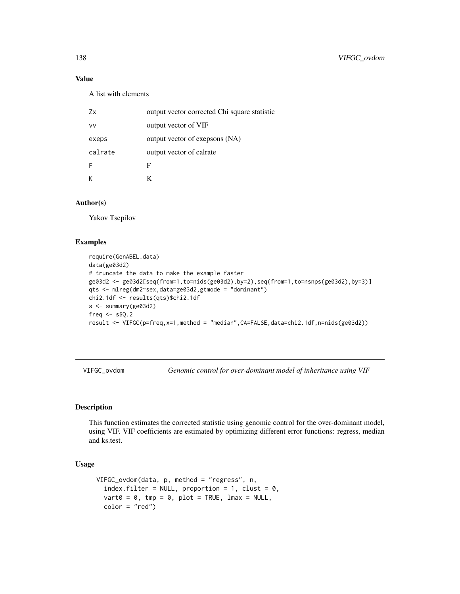# Value

A list with elements

| 7x      | output vector corrected Chi square statistic |
|---------|----------------------------------------------|
| vv      | output vector of VIF                         |
| exeps   | output vector of exepsons (NA)               |
| calrate | output vector of calrate                     |
| F       | F                                            |
|         | K                                            |

# Author(s)

Yakov Tsepilov

#### Examples

```
require(GenABEL.data)
data(ge03d2)
# truncate the data to make the example faster
ge03d2 <- ge03d2[seq(from=1,to=nids(ge03d2),by=2),seq(from=1,to=nsnps(ge03d2),by=3)]
qts <- mlreg(dm2~sex,data=ge03d2,gtmode = "dominant")
chi2.1df <- results(qts)$chi2.1df
s <- summary(ge03d2)
freq \le s$Q.2
result <- VIFGC(p=freq,x=1,method = "median",CA=FALSE,data=chi2.1df,n=nids(ge03d2))
```
VIFGC\_ovdom *Genomic control for over-dominant model of inheritance using VIF*

#### Description

This function estimates the corrected statistic using genomic control for the over-dominant model, using VIF. VIF coefficients are estimated by optimizing different error functions: regress, median and ks.test.

#### Usage

```
VIFGC_ovdom(data, p, method = "regress", n,
  index.filter = NULL, proportion = 1, clust = 0,
  \text{vart0} = 0, \text{tmp} = 0, \text{plot} = \text{TRUE}, \text{lmax} = \text{NULL},
  color = "red")
```
<span id="page-137-0"></span>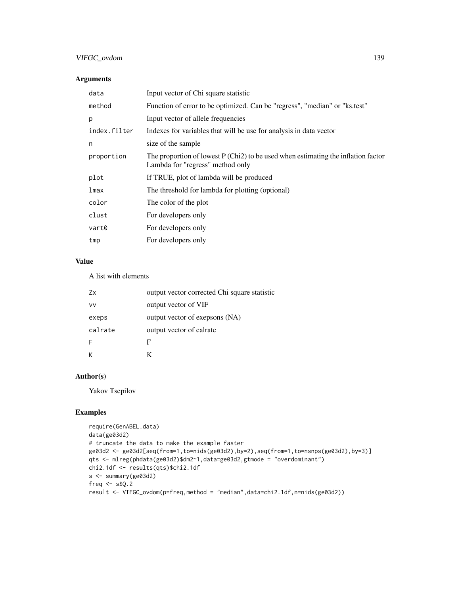# VIFGC\_ovdom 139

# Arguments

| Input vector of Chi square statistic                                                                                    |
|-------------------------------------------------------------------------------------------------------------------------|
| Function of error to be optimized. Can be "regress", "median" or "ks.test"                                              |
| Input vector of allele frequencies                                                                                      |
| Indexes for variables that will be use for analysis in data vector                                                      |
| size of the sample                                                                                                      |
| The proportion of lowest $P (Chi2)$ to be used when estimating the inflation factor<br>Lambda for "regress" method only |
| If TRUE, plot of lambda will be produced                                                                                |
| The threshold for lambda for plotting (optional)                                                                        |
| The color of the plot                                                                                                   |
| For developers only                                                                                                     |
| For developers only                                                                                                     |
| For developers only                                                                                                     |
|                                                                                                                         |

# Value

A list with elements

| Zx        | output vector corrected Chi square statistic |
|-----------|----------------------------------------------|
| <b>VV</b> | output vector of VIF                         |
| exeps     | output vector of exepsons (NA)               |
| calrate   | output vector of calrate                     |
| F         | F                                            |
|           |                                              |

# Author(s)

Yakov Tsepilov

```
require(GenABEL.data)
data(ge03d2)
# truncate the data to make the example faster
ge03d2 <- ge03d2[seq(from=1,to=nids(ge03d2),by=2),seq(from=1,to=nsnps(ge03d2),by=3)]
qts <- mlreg(phdata(ge03d2)$dm2~1,data=ge03d2,gtmode = "overdominant")
chi2.1df <- results(qts)$chi2.1df
s <- summary(ge03d2)
freq <- s$Q.2
result <- VIFGC_ovdom(p=freq,method = "median",data=chi2.1df,n=nids(ge03d2))
```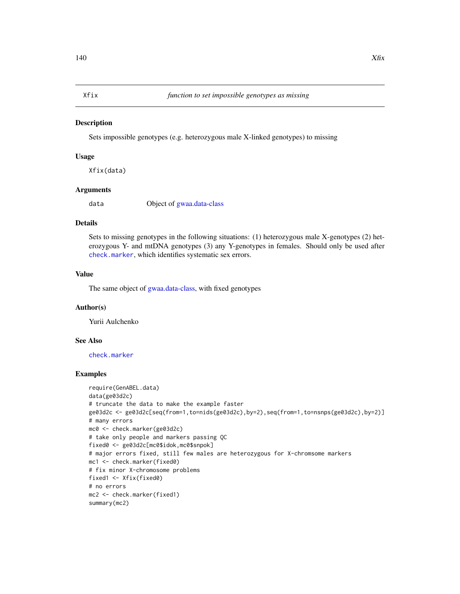<span id="page-139-0"></span>

Sets impossible genotypes (e.g. heterozygous male X-linked genotypes) to missing

#### Usage

Xfix(data)

#### Arguments

data Object of [gwaa.data-class](#page-66-0)

#### Details

Sets to missing genotypes in the following situations: (1) heterozygous male X-genotypes (2) heterozygous Y- and mtDNA genotypes (3) any Y-genotypes in females. Should only be used after [check.marker](#page-21-0), which identifies systematic sex errors.

# Value

The same object of [gwaa.data-class,](#page-66-0) with fixed genotypes

# Author(s)

Yurii Aulchenko

# See Also

[check.marker](#page-21-0)

```
require(GenABEL.data)
data(ge03d2c)
# truncate the data to make the example faster
ge03d2c <- ge03d2c[seq(from=1,to=nids(ge03d2c),by=2),seq(from=1,to=nsnps(ge03d2c),by=2)]
# many errors
mc0 <- check.marker(ge03d2c)
# take only people and markers passing QC
fixed0 <- ge03d2c[mc0$idok,mc0$snpok]
# major errors fixed, still few males are heterozygous for X-chromsome markers
mc1 <- check.marker(fixed0)
# fix minor X-chromosome problems
fixed1 <- Xfix(fixed0)
# no errors
mc2 <- check.marker(fixed1)
summary(mc2)
```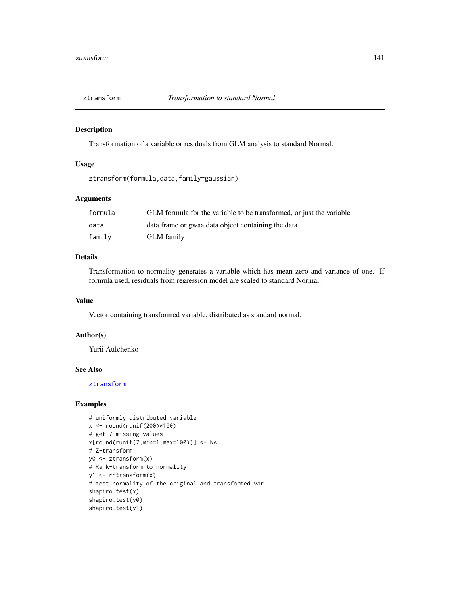<span id="page-140-1"></span><span id="page-140-0"></span>

Transformation of a variable or residuals from GLM analysis to standard Normal.

# Usage

ztransform(formula,data,family=gaussian)

# Arguments

| formula | GLM formula for the variable to be transformed, or just the variable |
|---------|----------------------------------------------------------------------|
| data    | data. frame or gwaa data object containing the data                  |
| family  | <b>GLM</b> family                                                    |

#### Details

Transformation to normality generates a variable which has mean zero and variance of one. If formula used, residuals from regression model are scaled to standard Normal.

#### Value

Vector containing transformed variable, distributed as standard normal.

# Author(s)

Yurii Aulchenko

#### See Also

[ztransform](#page-140-0)

```
# uniformly distributed variable
x < - round(runif(200)*100)
# get 7 missing values
x[round(runif(7,min=1,max=100))] <- NA
# Z-transform
y0 <- ztransform(x)
# Rank-transform to normality
y1 <- rntransform(x)
# test normality of the original and transformed var
shapiro.test(x)
shapiro.test(y0)
shapiro.test(y1)
```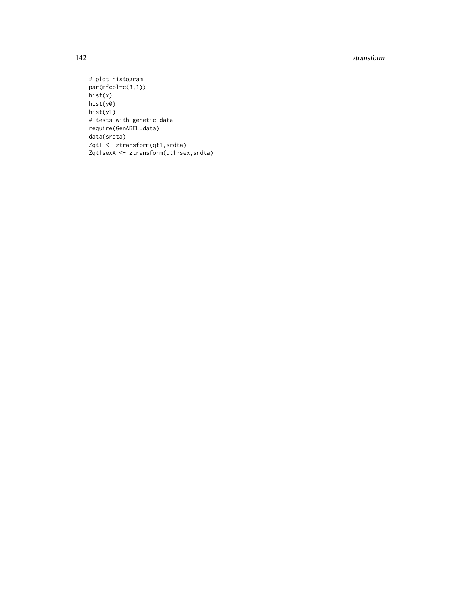#### 142 ztransform and the set of the set of the set of the set of the set of the set of the set of the set of the set of the set of the set of the set of the set of the set of the set of the set of the set of the set of the s

```
# plot histogram
par(mfcol=c(3,1))
hist(x)
hist(y0)
hist(y1)
# tests with genetic data
require(GenABEL.data)
data(srdta)
Zqt1 <- ztransform(qt1,srdta)
Zqt1sexA <- ztransform(qt1~sex,srdta)
```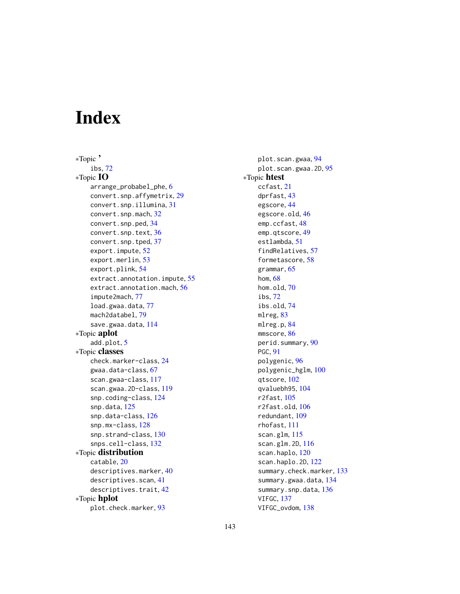# Index

∗Topic ' ibs, [72](#page-71-0) ∗Topic IO arrange\_probabel\_phe, [6](#page-5-0) convert.snp.affymetrix, [29](#page-28-0) convert.snp.illumina, [31](#page-30-0) convert.snp.mach, [32](#page-31-0) convert.snp.ped, [34](#page-33-0) convert.snp.text, [36](#page-35-0) convert.snp.tped, [37](#page-36-0) export.impute, [52](#page-51-0) export.merlin, [53](#page-52-0) export.plink, [54](#page-53-0) extract.annotation.impute, [55](#page-54-0) extract.annotation.mach, [56](#page-55-0) impute2mach, [77](#page-76-1) load.gwaa.data, [77](#page-76-1) mach2databel, [79](#page-78-0) save.gwaa.data, [114](#page-113-0) ∗Topic aplot add.plot, [5](#page-4-0) ∗Topic classes check.marker-class, [24](#page-23-1) gwaa.data-class, [67](#page-66-1) scan.gwaa-class, [117](#page-116-1) scan.gwaa.2D-class, [119](#page-118-1) snp.coding-class, [124](#page-123-1) snp.data, [125](#page-124-1) snp.data-class, [126](#page-125-1) snp.mx-class, [128](#page-127-1) snp.strand-class, [130](#page-129-1) snps.cell-class, [132](#page-131-0) ∗Topic distribution catable, [20](#page-19-0) descriptives.marker, [40](#page-39-0) descriptives.scan, [41](#page-40-1) descriptives.trait, [42](#page-41-0) ∗Topic hplot plot.check.marker, [93](#page-92-0)

plot.scan.gwaa, [94](#page-93-1) plot.scan.gwaa.2D, [95](#page-94-1) ∗Topic htest ccfast, [21](#page-20-1) dprfast, [43](#page-42-0) egscore, [44](#page-43-0) egscore.old, [46](#page-45-0) emp.ccfast, [48](#page-47-1) emp.qtscore, [49](#page-48-1) estlambda, [51](#page-50-1) findRelatives, [57](#page-56-0) formetascore, [58](#page-57-0) grammar, [65](#page-64-0) hom, [68](#page-67-0) hom.old, [70](#page-69-0) ibs, [72](#page-71-0) ibs.old, [74](#page-73-0) mlreg, [83](#page-82-1) mlreg.p, [84](#page-83-0) mmscore, [86](#page-85-0) perid.summary, [90](#page-89-0) PGC, [91](#page-90-0) polygenic, [96](#page-95-0) polygenic\_hglm, [100](#page-99-0) qtscore, [102](#page-101-1) qvaluebh95, [104](#page-103-0) r2fast, [105](#page-104-1) r2fast.old, [106](#page-105-0) redundant, [109](#page-108-0) rhofast, [111](#page-110-0) scan.glm, [115](#page-114-1) scan.glm.2D, [116](#page-115-1) scan.haplo, [120](#page-119-1) scan.haplo.2D, [122](#page-121-1) summary.check.marker, [133](#page-132-0) summary.gwaa.data, [134](#page-133-1) summary.snp.data, [136](#page-135-1) VIFGC, [137](#page-136-0) VIFGC\_ovdom, [138](#page-137-0)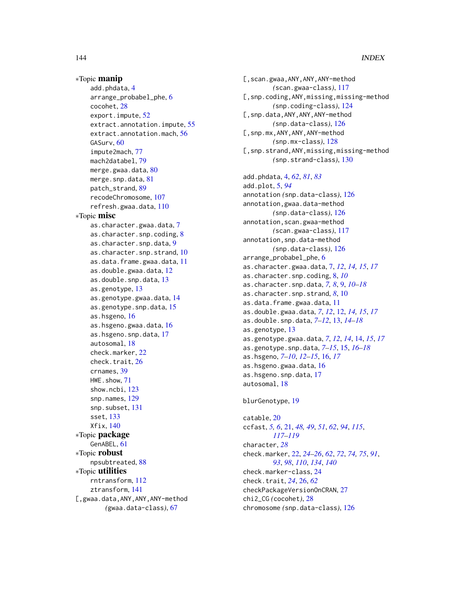#### 144 INDEX

∗Topic manip add.phdata, [4](#page-3-0) arrange\_probabel\_phe, [6](#page-5-0) cocohet, [28](#page-27-0) export.impute, [52](#page-51-0) extract.annotation.impute, [55](#page-54-0) extract.annotation.mach, [56](#page-55-0) GASurv, [60](#page-59-0) impute2mach, [77](#page-76-1) mach2databel, [79](#page-78-0) merge.gwaa.data, [80](#page-79-0) merge.snp.data, [81](#page-80-0) patch\_strand, [89](#page-88-0) recodeChromosome, [107](#page-106-0) refresh.gwaa.data, [110](#page-109-0) ∗Topic misc as.character.gwaa.data, [7](#page-6-0) as.character.snp.coding, [8](#page-7-0) as.character.snp.data, [9](#page-8-0) as.character.snp.strand, [10](#page-9-0) as.data.frame.gwaa.data, [11](#page-10-0) as.double.gwaa.data, [12](#page-11-0) as.double.snp.data, [13](#page-12-0) as.genotype, [13](#page-12-0) as.genotype.gwaa.data, [14](#page-13-0) as.genotype.snp.data, [15](#page-14-0) as.hsgeno, [16](#page-15-0) as.hsgeno.gwaa.data, [16](#page-15-0) as.hsgeno.snp.data, [17](#page-16-0) autosomal, [18](#page-17-0) check.marker, [22](#page-21-1) check.trait, [26](#page-25-0) crnames, [39](#page-38-0) HWE.show, [71](#page-70-0) show.ncbi, [123](#page-122-0) snp.names, [129](#page-128-0) snp.subset, [131](#page-130-0) sset, [133](#page-132-0) Xfix, [140](#page-139-0) ∗Topic package GenABEL, [61](#page-60-0) ∗Topic robust npsubtreated, [88](#page-87-0) ∗Topic utilities rntransform, [112](#page-111-0) ztransform, [141](#page-140-1) [,gwaa.data,ANY,ANY,ANY-method *(*gwaa.data-class*)*, [67](#page-66-1)

[,scan.gwaa,ANY,ANY,ANY-method *(*scan.gwaa-class*)*, [117](#page-116-1) [,snp.coding,ANY,missing,missing-method *(*snp.coding-class*)*, [124](#page-123-1) [,snp.data,ANY,ANY,ANY-method *(*snp.data-class*)*, [126](#page-125-1) [,snp.mx,ANY,ANY,ANY-method *(*snp.mx-class*)*, [128](#page-127-1) [,snp.strand,ANY,missing,missing-method *(*snp.strand-class*)*, [130](#page-129-1) add.phdata, [4,](#page-3-0) *[62](#page-61-0)*, *[81](#page-80-0)*, *[83](#page-82-1)* add.plot, [5,](#page-4-0) *[94](#page-93-1)* annotation *(*snp.data-class*)*, [126](#page-125-1) annotation,gwaa.data-method *(*snp.data-class*)*, [126](#page-125-1) annotation,scan.gwaa-method *(*scan.gwaa-class*)*, [117](#page-116-1) annotation,snp.data-method *(*snp.data-class*)*, [126](#page-125-1) arrange\_probabel\_phe, [6](#page-5-0) as.character.gwaa.data, [7,](#page-6-0) *[12](#page-11-0)*, *[14,](#page-13-0) [15](#page-14-0)*, *[17](#page-16-0)* as.character.snp.coding, [8,](#page-7-0) *[10](#page-9-0)* as.character.snp.data, *[7,](#page-6-0) [8](#page-7-0)*, [9,](#page-8-0) *[10](#page-9-0)[–18](#page-17-0)* as.character.snp.strand, *[8](#page-7-0)*, [10](#page-9-0) as.data.frame.gwaa.data, [11](#page-10-0) as.double.gwaa.data, *[7](#page-6-0)*, *[12](#page-11-0)*, [12,](#page-11-0) *[14,](#page-13-0) [15](#page-14-0)*, *[17](#page-16-0)* as.double.snp.data, *[7](#page-6-0)[–12](#page-11-0)*, [13,](#page-12-0) *[14](#page-13-0)[–18](#page-17-0)* as.genotype, [13](#page-12-0) as.genotype.gwaa.data, *[7](#page-6-0)*, *[12](#page-11-0)*, *[14](#page-13-0)*, [14,](#page-13-0) *[15](#page-14-0)*, *[17](#page-16-0)* as.genotype.snp.data, *[7](#page-6-0)[–15](#page-14-0)*, [15,](#page-14-0) *[16](#page-15-0)[–18](#page-17-0)* as.hsgeno, *[7](#page-6-0)[–10](#page-9-0)*, *[12](#page-11-0)[–15](#page-14-0)*, [16,](#page-15-0) *[17](#page-16-0)* as.hsgeno.gwaa.data, [16](#page-15-0) as.hsgeno.snp.data, [17](#page-16-0) autosomal, [18](#page-17-0)

#### blurGenotype, [19](#page-18-0)

catable, [20](#page-19-0) ccfast, *[5,](#page-4-0) [6](#page-5-0)*, [21,](#page-20-1) *[48,](#page-47-1) [49](#page-48-1)*, *[51](#page-50-1)*, *[62](#page-61-0)*, *[94](#page-93-1)*, *[115](#page-114-1)*, *[117](#page-116-1)[–119](#page-118-1)* character, *[28](#page-27-0)* check.marker, [22,](#page-21-1) *[24](#page-23-1)[–26](#page-25-0)*, *[62](#page-61-0)*, *[72](#page-71-0)*, *[74,](#page-73-0) [75](#page-74-0)*, *[91](#page-90-0)*, *[93](#page-92-0)*, *[98](#page-97-0)*, *[110](#page-109-0)*, *[134](#page-133-1)*, *[140](#page-139-0)* check.marker-class, [24](#page-23-1) check.trait, *[24](#page-23-1)*, [26,](#page-25-0) *[62](#page-61-0)* checkPackageVersionOnCRAN, [27](#page-26-0) chi2\_CG *(*cocohet*)*, [28](#page-27-0) chromosome *(*snp.data-class*)*, [126](#page-125-1)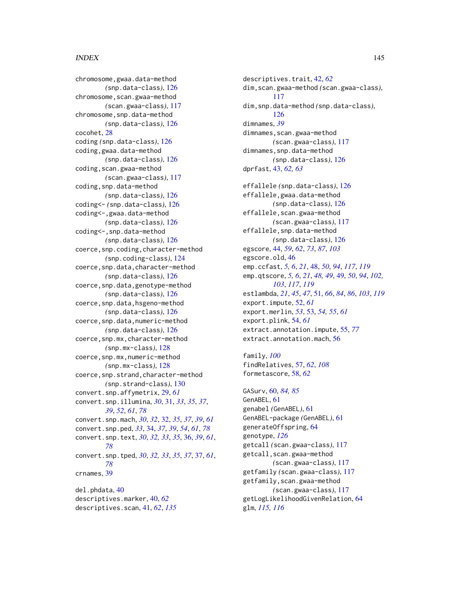## INDEX 145

chromosome,gwaa.data-method *(*snp.data-class*)*, [126](#page-125-0) chromosome, scan.gwaa-method *(*scan.gwaa-class*)*, [117](#page-116-0) chromosome,snp.data-method *(*snp.data-class*)*, [126](#page-125-0) cocohet, [28](#page-27-0) coding *(*snp.data-class*)*, [126](#page-125-0) coding,gwaa.data-method *(*snp.data-class*)*, [126](#page-125-0) coding, scan.gwaa-method *(*scan.gwaa-class*)*, [117](#page-116-0) coding,snp.data-method *(*snp.data-class*)*, [126](#page-125-0) coding<- *(*snp.data-class*)*, [126](#page-125-0) coding<-,gwaa.data-method *(*snp.data-class*)*, [126](#page-125-0) coding<-, snp.data-method *(*snp.data-class*)*, [126](#page-125-0) coerce,snp.coding,character-method *(*snp.coding-class*)*, [124](#page-123-0) coerce,snp.data,character-method *(*snp.data-class*)*, [126](#page-125-0) coerce,snp.data,genotype-method *(*snp.data-class*)*, [126](#page-125-0) coerce,snp.data,hsgeno-method *(*snp.data-class*)*, [126](#page-125-0) coerce,snp.data,numeric-method *(*snp.data-class*)*, [126](#page-125-0) coerce,snp.mx,character-method *(*snp.mx-class*)*, [128](#page-127-0) coerce,snp.mx,numeric-method *(*snp.mx-class*)*, [128](#page-127-0) coerce, snp.strand, character-method *(*snp.strand-class*)*, [130](#page-129-0) convert.snp.affymetrix, [29,](#page-28-0) *[61](#page-60-0)* convert.snp.illumina, *[30](#page-29-0)*, [31,](#page-30-0) *[33](#page-32-0)*, *[35](#page-34-0)*, *[37](#page-36-0)*, *[39](#page-38-0)*, *[52](#page-51-0)*, *[61](#page-60-0)*, *[78](#page-77-0)* convert.snp.mach, *[30](#page-29-0)*, *[32](#page-31-0)*, [32,](#page-31-0) *[35](#page-34-0)*, *[37](#page-36-0)*, *[39](#page-38-0)*, *[61](#page-60-0)* convert.snp.ped, *[33](#page-32-0)*, [34,](#page-33-0) *[37](#page-36-0)*, *[39](#page-38-0)*, *[54](#page-53-0)*, *[61](#page-60-0)*, *[78](#page-77-0)* convert.snp.text, *[30](#page-29-0)*, *[32,](#page-31-0) [33](#page-32-0)*, *[35](#page-34-0)*, [36,](#page-35-0) *[39](#page-38-0)*, *[61](#page-60-0)*, *[78](#page-77-0)* convert.snp.tped, *[30](#page-29-0)*, *[32,](#page-31-0) [33](#page-32-0)*, *[35](#page-34-0)*, *[37](#page-36-0)*, [37,](#page-36-0) *[61](#page-60-0)*, *[78](#page-77-0)* crnames, [39](#page-38-0) del.phdata, [40](#page-39-0) descriptives.marker, [40,](#page-39-0) *[62](#page-61-0)* descriptives.scan, [41,](#page-40-0) *[62](#page-61-0)*, *[135](#page-134-0)*

descriptives.trait, [42,](#page-41-0) *[62](#page-61-0)* dim,scan.gwaa-method *(*scan.gwaa-class*)*, [117](#page-116-0) dim,snp.data-method *(*snp.data-class*)*, [126](#page-125-0) dimnames, *[39](#page-38-0)* dimnames, scan.gwaa-method *(*scan.gwaa-class*)*, [117](#page-116-0) dimnames,snp.data-method *(*snp.data-class*)*, [126](#page-125-0) dprfast, [43,](#page-42-0) *[62,](#page-61-0) [63](#page-62-0)* effallele *(*snp.data-class*)*, [126](#page-125-0) effallele,gwaa.data-method *(*snp.data-class*)*, [126](#page-125-0) effallele,scan.gwaa-method *(*scan.gwaa-class*)*, [117](#page-116-0) effallele,snp.data-method *(*snp.data-class*)*, [126](#page-125-0) egscore, [44,](#page-43-0) *[59](#page-58-0)*, *[62](#page-61-0)*, *[73](#page-72-0)*, *[87](#page-86-0)*, *[103](#page-102-0)* egscore.old, [46](#page-45-0) emp.ccfast, *[5,](#page-4-0) [6](#page-5-0)*, *[21](#page-20-0)*, [48,](#page-47-0) *[50](#page-49-0)*, *[94](#page-93-0)*, *[117](#page-116-0)*, *[119](#page-118-0)* emp.qtscore, *[5,](#page-4-0) [6](#page-5-0)*, *[21](#page-20-0)*, *[48,](#page-47-0) [49](#page-48-0)*, [49,](#page-48-0) *[50](#page-49-0)*, *[94](#page-93-0)*, *[102,](#page-101-0) [103](#page-102-0)*, *[117](#page-116-0)*, *[119](#page-118-0)* estlambda, *[21](#page-20-0)*, *[45](#page-44-0)*, *[47](#page-46-0)*, [51,](#page-50-0) *[66](#page-65-0)*, *[84](#page-83-0)*, *[86](#page-85-0)*, *[103](#page-102-0)*, *[119](#page-118-0)* export.impute, [52,](#page-51-0) *[61](#page-60-0)* export.merlin, *[53](#page-52-0)*, [53,](#page-52-0) *[54,](#page-53-0) [55](#page-54-0)*, *[61](#page-60-0)* export.plink, [54,](#page-53-0) *[61](#page-60-0)* extract.annotation.impute, [55,](#page-54-0) *[77](#page-76-0)* extract.annotation.mach, [56](#page-55-0)

family, *[100](#page-99-0)* findRelatives, [57,](#page-56-0) *[62](#page-61-0)*, *[108](#page-107-0)* formetascore, [58,](#page-57-0) *[62](#page-61-0)*

GASurv, [60,](#page-59-0) *[84,](#page-83-0) [85](#page-84-0)* GenABEL, [61](#page-60-0) genabel *(*GenABEL*)*, [61](#page-60-0) GenABEL-package *(*GenABEL*)*, [61](#page-60-0) generateOffspring, [64](#page-63-0) genotype, *[126](#page-125-0)* getcall *(*scan.gwaa-class*)*, [117](#page-116-0) getcall,scan.gwaa-method *(*scan.gwaa-class*)*, [117](#page-116-0) getfamily *(*scan.gwaa-class*)*, [117](#page-116-0) getfamily,scan.gwaa-method *(*scan.gwaa-class*)*, [117](#page-116-0) getLogLikelihoodGivenRelation, [64](#page-63-0) glm, *[115,](#page-114-0) [116](#page-115-0)*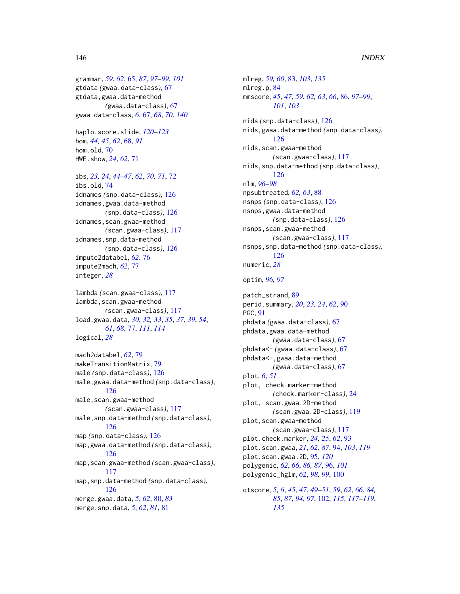## 146 INDEX

grammar, *[59](#page-58-0)*, *[62](#page-61-0)*, [65,](#page-64-0) *[87](#page-86-0)*, *[97–](#page-96-0)[99](#page-98-0)*, *[101](#page-100-0)* gtdata *(*gwaa.data-class*)*, [67](#page-66-0) gtdata,gwaa.data-method *(*gwaa.data-class*)*, [67](#page-66-0) gwaa.data-class, *[6](#page-5-0)*, [67,](#page-66-0) *[68](#page-67-0)*, *[70](#page-69-0)*, *[140](#page-139-0)*

haplo.score.slide, *[120–](#page-119-0)[123](#page-122-0)* hom, *[44,](#page-43-0) [45](#page-44-0)*, *[62](#page-61-0)*, [68,](#page-67-0) *[91](#page-90-0)* hom.old, [70](#page-69-0) HWE.show, *[24](#page-23-0)*, *[62](#page-61-0)*, [71](#page-70-0)

ibs, *[23,](#page-22-0) [24](#page-23-0)*, *[44](#page-43-0)[–47](#page-46-0)*, *[62](#page-61-0)*, *[70,](#page-69-0) [71](#page-70-0)*, [72](#page-71-0) ibs.old, [74](#page-73-0) idnames *(*snp.data-class*)*, [126](#page-125-0) idnames,gwaa.data-method *(*snp.data-class*)*, [126](#page-125-0) idnames, scan.gwaa-method *(*scan.gwaa-class*)*, [117](#page-116-0) idnames, snp.data-method *(*snp.data-class*)*, [126](#page-125-0) impute2databel, *[62](#page-61-0)*, [76](#page-75-0) impute2mach, *[62](#page-61-0)*, [77](#page-76-0) integer, *[28](#page-27-0)*

```
lambda (scan.gwaa-class), 117
lambda,scan.gwaa-method
        (scan.gwaa-class), 117
load.gwaa.data, 30, 32, 33, 35, 37, 39, 54,
        61, 68, 77, 111, 114
logical, 28
```
mach2databel, *[62](#page-61-0)*, [79](#page-78-0) makeTransitionMatrix, [79](#page-78-0) male *(*snp.data-class*)*, [126](#page-125-0) male,gwaa.data-method *(*snp.data-class*)*, [126](#page-125-0) male,scan.gwaa-method *(*scan.gwaa-class*)*, [117](#page-116-0) male,snp.data-method *(*snp.data-class*)*, [126](#page-125-0) map *(*snp.data-class*)*, [126](#page-125-0) map,gwaa.data-method *(*snp.data-class*)*, [126](#page-125-0) map,scan.gwaa-method *(*scan.gwaa-class*)*, [117](#page-116-0) map,snp.data-method *(*snp.data-class*)*, [126](#page-125-0) merge.gwaa.data, *[5](#page-4-0)*, *[62](#page-61-0)*, [80,](#page-79-0) *[83](#page-82-0)* merge.snp.data, *[5](#page-4-0)*, *[62](#page-61-0)*, *[81](#page-80-0)*, [81](#page-80-0)

mlreg, *[59,](#page-58-0) [60](#page-59-0)*, [83,](#page-82-0) *[103](#page-102-0)*, *[135](#page-134-0)* mlreg.p, [84](#page-83-0) mmscore, *[45](#page-44-0)*, *[47](#page-46-0)*, *[59](#page-58-0)*, *[62,](#page-61-0) [63](#page-62-0)*, *[66](#page-65-0)*, [86,](#page-85-0) *[97](#page-96-0)[–99](#page-98-0)*, *[101](#page-100-0)*, *[103](#page-102-0)* nids *(*snp.data-class*)*, [126](#page-125-0) nids,gwaa.data-method *(*snp.data-class*)*, [126](#page-125-0) nids,scan.gwaa-method *(*scan.gwaa-class*)*, [117](#page-116-0) nids,snp.data-method *(*snp.data-class*)*, [126](#page-125-0) nlm, *[96–](#page-95-0)[98](#page-97-0)* npsubtreated, *[62,](#page-61-0) [63](#page-62-0)*, [88](#page-87-0) nsnps *(*snp.data-class*)*, [126](#page-125-0) nsnps,gwaa.data-method *(*snp.data-class*)*, [126](#page-125-0) nsnps,scan.gwaa-method *(*scan.gwaa-class*)*, [117](#page-116-0) nsnps,snp.data-method *(*snp.data-class*)*, [126](#page-125-0) numeric, *[28](#page-27-0)* optim, *[96,](#page-95-0) [97](#page-96-0)* patch\_strand, [89](#page-88-0) perid.summary, *[20](#page-19-0)*, *[23,](#page-22-0) [24](#page-23-0)*, *[62](#page-61-0)*, [90](#page-89-0) PGC, [91](#page-90-0) phdata *(*gwaa.data-class*)*, [67](#page-66-0) phdata,gwaa.data-method *(*gwaa.data-class*)*, [67](#page-66-0) phdata<- *(*gwaa.data-class*)*, [67](#page-66-0) phdata<-,gwaa.data-method *(*gwaa.data-class*)*, [67](#page-66-0) plot, *[6](#page-5-0)*, *[51](#page-50-0)* plot, check.marker-method *(*check.marker-class*)*, [24](#page-23-0) plot, scan.gwaa.2D-method *(*scan.gwaa.2D-class*)*, [119](#page-118-0) plot,scan.gwaa-method *(*scan.gwaa-class*)*, [117](#page-116-0) plot.check.marker, *[24,](#page-23-0) [25](#page-24-0)*, *[62](#page-61-0)*, [93](#page-92-0) plot.scan.gwaa, *[21](#page-20-0)*, *[62](#page-61-0)*, *[87](#page-86-0)*, [94,](#page-93-0) *[103](#page-102-0)*, *[119](#page-118-0)* plot.scan.gwaa.2D, [95,](#page-94-0) *[120](#page-119-0)* polygenic, *[62](#page-61-0)*, *[66](#page-65-0)*, *[86,](#page-85-0) [87](#page-86-0)*, [96,](#page-95-0) *[101](#page-100-0)* polygenic\_hglm, *[62](#page-61-0)*, *[98,](#page-97-0) [99](#page-98-0)*, [100](#page-99-0) qtscore, *[5,](#page-4-0) [6](#page-5-0)*, *[45](#page-44-0)*, *[47](#page-46-0)*, *[49](#page-48-0)[–51](#page-50-0)*, *[59](#page-58-0)*, *[62](#page-61-0)*, *[66](#page-65-0)*, *[84,](#page-83-0) [85](#page-84-0)*, *[87](#page-86-0)*, *[94](#page-93-0)*, *[97](#page-96-0)*, [102,](#page-101-0) *[115](#page-114-0)*, *[117](#page-116-0)[–119](#page-118-0)*, *[135](#page-134-0)*